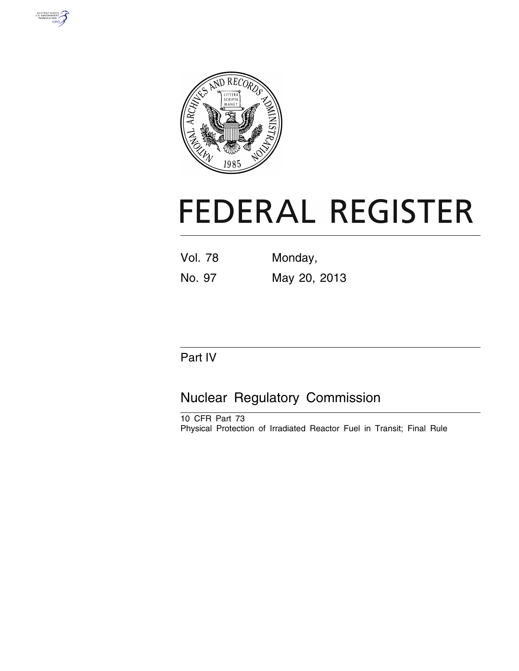



# **FEDERAL REGISTER**

| <b>Vol. 78</b> | Monday,      |
|----------------|--------------|
| No. 97         | May 20, 2013 |

# Part IV

# Nuclear Regulatory Commission

10 CFR Part 73 Physical Protection of Irradiated Reactor Fuel in Transit; Final Rule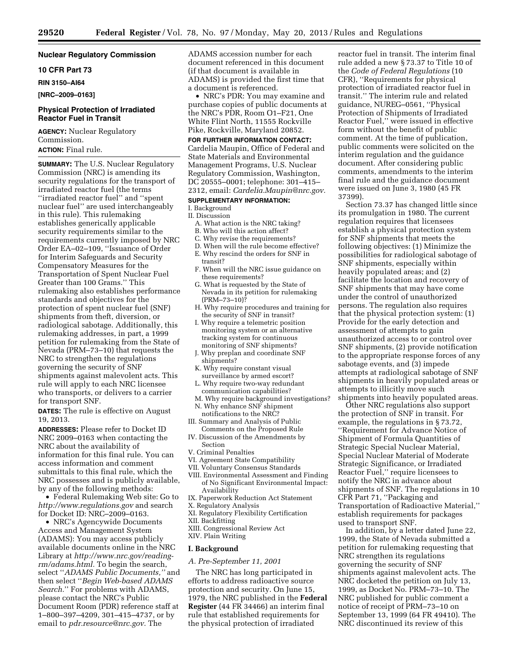#### **Nuclear Regulatory Commission**

**10 CFR Part 73** 

**RIN 3150–AI64** 

**[NRC–2009–0163]** 

#### **Physical Protection of Irradiated Reactor Fuel in Transit**

**AGENCY:** Nuclear Regulatory Commission.

# **ACTION:** Final rule.

**SUMMARY:** The U.S. Nuclear Regulatory Commission (NRC) is amending its security regulations for the transport of irradiated reactor fuel (the terms ''irradiated reactor fuel'' and ''spent nuclear fuel'' are used interchangeably in this rule). This rulemaking establishes generically applicable security requirements similar to the requirements currently imposed by NRC Order EA–02–109, ''Issuance of Order for Interim Safeguards and Security Compensatory Measures for the Transportation of Spent Nuclear Fuel Greater than 100 Grams.'' This rulemaking also establishes performance standards and objectives for the protection of spent nuclear fuel (SNF) shipments from theft, diversion, or radiological sabotage. Additionally, this rulemaking addresses, in part, a 1999 petition for rulemaking from the State of Nevada (PRM–73–10) that requests the NRC to strengthen the regulations governing the security of SNF shipments against malevolent acts. This rule will apply to each NRC licensee who transports, or delivers to a carrier for transport SNF.

**DATES:** The rule is effective on August 19, 2013.

**ADDRESSES:** Please refer to Docket ID NRC 2009–0163 when contacting the NRC about the availability of information for this final rule. You can access information and comment submittals to this final rule, which the NRC possesses and is publicly available, by any of the following methods:

• Federal Rulemaking Web site: Go to *<http://www.regulations.gov>* and search for Docket ID: NRC–2009–0163.

• NRC's Agencywide Documents Access and Management System (ADAMS): You may access publicly available documents online in the NRC Library at *[http://www.nrc.gov/reading](http://www.nrc.gov/reading-rm/adams.html)[rm/adams.html.](http://www.nrc.gov/reading-rm/adams.html)* To begin the search, select ''*ADAMS Public Documents,''* and then select ''*Begin Web-based ADAMS Search.*'' For problems with ADAMS, please contact the NRC's Public Document Room (PDR) reference staff at 1–800–397–4209, 301–415–4737, or by email to *[pdr.resource@nrc.gov.](mailto:pdr.resource@nrc.gov)* The

ADAMS accession number for each document referenced in this document (if that document is available in ADAMS) is provided the first time that a document is referenced.

• NRC's PDR: You may examine and purchase copies of public documents at the NRC's PDR, Room O1–F21, One White Flint North, 11555 Rockville Pike, Rockville, Maryland 20852.

#### **FOR FURTHER INFORMATION CONTACT:**

Cardelia Maupin, Office of Federal and State Materials and Environmental Management Programs, U.S. Nuclear Regulatory Commission, Washington, DC 20555–0001; telephone: 301–415– 2312, email: *[Cardelia.Maupin@nrc.gov.](mailto:Cardelia.Maupin@nrc.gov)* 

# **SUPPLEMENTARY INFORMATION:**

I. Background

- II. Discussion
	- A. What action is the NRC taking? B. Who will this action affect?
	-
	- C. Why revise the requirements?
	- D. When will the rule become effective?
	- E. Why rescind the orders for SNF in transit?
	- F. When will the NRC issue guidance on these requirements?
	- G. What is requested by the State of Nevada in its petition for rulemaking (PRM–73–10)?
	- H. Why require procedures and training for the security of SNF in transit?
	- I. Why require a telemetric position monitoring system or an alternative tracking system for continuous monitoring of SNF shipments?
	- J. Why preplan and coordinate SNF shipments?
	- K. Why require constant visual surveillance by armed escort?
	- L. Why require two-way redundant communication capabilities?
- M. Why require background investigations? N. Why enhance SNF shipment
- notifications to the NRC? III. Summary and Analysis of Public
- Comments on the Proposed Rule IV. Discussion of the Amendments by Section
- V. Criminal Penalties
- VI. Agreement State Compatibility
- VII. Voluntary Consensus Standards
- VIII. Environmental Assessment and Finding of No Significant Environmental Impact: Availability
- IX. Paperwork Reduction Act Statement
- X. Regulatory Analysis XI. Regulatory Flexibility Certification
- XII. Backfitting
- XIII. Congressional Review Act
- XIV. Plain Writing

#### **I. Background**

#### *A. Pre-September 11, 2001*

The NRC has long participated in efforts to address radioactive source protection and security. On June 15, 1979, the NRC published in the **Federal Register** (44 FR 34466) an interim final rule that established requirements for the physical protection of irradiated

reactor fuel in transit. The interim final rule added a new § 73.37 to Title 10 of the *Code of Federal Regulations* (10 CFR), ''Requirements for physical protection of irradiated reactor fuel in transit.'' The interim rule and related guidance, NUREG–0561, ''Physical Protection of Shipments of Irradiated Reactor Fuel,'' were issued in effective form without the benefit of public comment. At the time of publication, public comments were solicited on the interim regulation and the guidance document. After considering public comments, amendments to the interim final rule and the guidance document were issued on June 3, 1980 (45 FR 37399).

Section 73.37 has changed little since its promulgation in 1980. The current regulation requires that licensees establish a physical protection system for SNF shipments that meets the following objectives: (1) Minimize the possibilities for radiological sabotage of SNF shipments, especially within heavily populated areas; and (2) facilitate the location and recovery of SNF shipments that may have come under the control of unauthorized persons. The regulation also requires that the physical protection system: (1) Provide for the early detection and assessment of attempts to gain unauthorized access to or control over SNF shipments, (2) provide notification to the appropriate response forces of any sabotage events, and (3) impede attempts at radiological sabotage of SNF shipments in heavily populated areas or attempts to illicitly move such shipments into heavily populated areas.

Other NRC regulations also support the protection of SNF in transit. For example, the regulations in § 73.72, ''Requirement for Advance Notice of Shipment of Formula Quantities of Strategic Special Nuclear Material, Special Nuclear Material of Moderate Strategic Significance, or Irradiated Reactor Fuel,'' require licensees to notify the NRC in advance about shipments of SNF. The regulations in 10 CFR Part 71, ''Packaging and Transportation of Radioactive Material,'' establish requirements for packages used to transport SNF.

In addition, by a letter dated June 22, 1999, the State of Nevada submitted a petition for rulemaking requesting that NRC strengthen its regulations governing the security of SNF shipments against malevolent acts. The NRC docketed the petition on July 13, 1999, as Docket No. PRM–73–10. The NRC published for public comment a notice of receipt of PRM–73–10 on September 13, 1999 (64 FR 49410). The NRC discontinued its review of this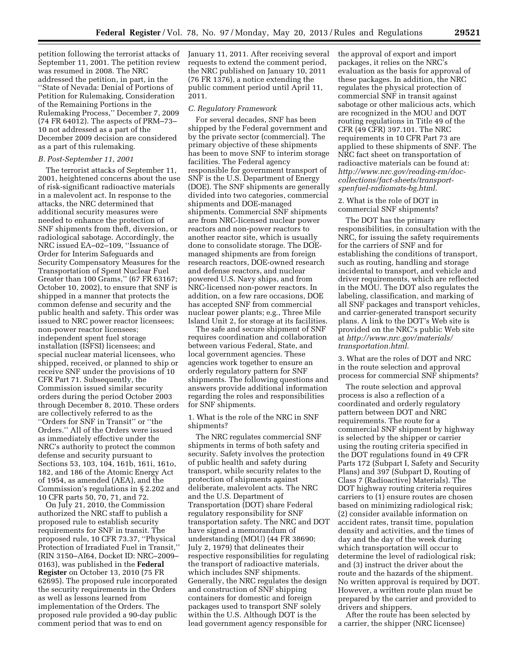petition following the terrorist attacks of September 11, 2001. The petition review was resumed in 2008. The NRC addressed the petition, in part, in the ''State of Nevada: Denial of Portions of Petition for Rulemaking, Consideration of the Remaining Portions in the Rulemaking Process,'' December 7, 2009 (74 FR 64012). The aspects of PRM–73– 10 not addressed as a part of the December 2009 decision are considered as a part of this rulemaking.

#### *B. Post-September 11, 2001*

The terrorist attacks of September 11, 2001, heightened concerns about the use of risk-significant radioactive materials in a malevolent act. In response to the attacks, the NRC determined that additional security measures were needed to enhance the protection of SNF shipments from theft, diversion, or radiological sabotage. Accordingly, the NRC issued EA–02–109, ''Issuance of Order for Interim Safeguards and Security Compensatory Measures for the Transportation of Spent Nuclear Fuel Greater than 100 Grams,'' (67 FR 63167; October 10, 2002), to ensure that SNF is shipped in a manner that protects the common defense and security and the public health and safety. This order was issued to NRC power reactor licensees; non-power reactor licensees; independent spent fuel storage installation (ISFSI) licensees; and special nuclear material licensees, who shipped, received, or planned to ship or receive SNF under the provisions of 10 CFR Part 71. Subsequently, the Commission issued similar security orders during the period October 2003 through December 8, 2010. These orders are collectively referred to as the ''Orders for SNF in Transit'' or ''the Orders.'' All of the Orders were issued as immediately effective under the NRC's authority to protect the common defense and security pursuant to Sections 53, 103, 104, 161b, 161i, 161o, 182, and 186 of the Atomic Energy Act of 1954, as amended (AEA), and the Commission's regulations in § 2.202 and 10 CFR parts 50, 70, 71, and 72.

On July 21, 2010, the Commission authorized the NRC staff to publish a proposed rule to establish security requirements for SNF in transit. The proposed rule, 10 CFR 73.37, ''Physical Protection of Irradiated Fuel in Transit,'' (RIN 3150–AI64, Docket ID: NRC–2009– 0163), was published in the **Federal Register** on October 13, 2010 (75 FR 62695). The proposed rule incorporated the security requirements in the Orders as well as lessons learned from implementation of the Orders. The proposed rule provided a 90-day public comment period that was to end on

January 11, 2011. After receiving several requests to extend the comment period, the NRC published on January 10, 2011 (76 FR 1376), a notice extending the public comment period until April 11, 2011.

#### *C. Regulatory Framework*

For several decades, SNF has been shipped by the Federal government and by the private sector (commercial). The primary objective of these shipments has been to move SNF to interim storage facilities. The Federal agency responsible for government transport of SNF is the U.S. Department of Energy (DOE). The SNF shipments are generally divided into two categories, commercial shipments and DOE-managed shipments. Commercial SNF shipments are from NRC-licensed nuclear power reactors and non-power reactors to another reactor site, which is usually done to consolidate storage. The DOEmanaged shipments are from foreign research reactors, DOE-owned research and defense reactors, and nuclear powered U.S. Navy ships, and from NRC-licensed non-power reactors. In addition, on a few rare occasions, DOE has accepted SNF from commercial nuclear power plants; e.g., Three Mile Island Unit 2, for storage at its facilities.

The safe and secure shipment of SNF requires coordination and collaboration between various Federal, State, and local government agencies. These agencies work together to ensure an orderly regulatory pattern for SNF shipments. The following questions and answers provide additional information regarding the roles and responsibilities for SNF shipments.

1. What is the role of the NRC in SNF shipments?

The NRC regulates commercial SNF shipments in terms of both safety and security. Safety involves the protection of public health and safety during transport, while security relates to the protection of shipments against deliberate, malevolent acts. The NRC and the U.S. Department of Transportation (DOT) share Federal regulatory responsibility for SNF transportation safety. The NRC and DOT have signed a memorandum of understanding (MOU) (44 FR 38690; July 2, 1979) that delineates their respective responsibilities for regulating the transport of radioactive materials, which includes SNF shipments. Generally, the NRC regulates the design and construction of SNF shipping containers for domestic and foreign packages used to transport SNF solely within the U.S. Although DOT is the lead government agency responsible for

the approval of export and import packages, it relies on the NRC's evaluation as the basis for approval of these packages. In addition, the NRC regulates the physical protection of commercial SNF in transit against sabotage or other malicious acts, which are recognized in the MOU and DOT routing regulations in Title 49 of the CFR (49 CFR) 397.101. The NRC requirements in 10 CFR Part 73 are applied to these shipments of SNF. The NRC fact sheet on transportation of radioactive materials can be found at: *[http://www.nrc.gov/reading-rm/doc](http://www.nrc.gov/reading-rm/doc-collections/fact-sheets/transport-spenfuel-radiomats-bg.html)collections/fact-sheets/transportspenfuel-radiomats-bg.html*.

2. What is the role of DOT in commercial SNF shipments?

The DOT has the primary responsibilities, in consultation with the NRC, for issuing the safety requirements for the carriers of SNF and for establishing the conditions of transport, such as routing, handling and storage incidental to transport, and vehicle and driver requirements, which are reflected in the MOU. The DOT also regulates the labeling, classification, and marking of all SNF packages and transport vehicles, and carrier-generated transport security plans. A link to the DOT's Web site is provided on the NRC's public Web site at *[http://www.nrc.gov/materials/](http://www.nrc.gov/materials/transportation.html) [transportation.html.](http://www.nrc.gov/materials/transportation.html)* 

3. What are the roles of DOT and NRC in the route selection and approval process for commercial SNF shipments?

The route selection and approval process is also a reflection of a coordinated and orderly regulatory pattern between DOT and NRC requirements. The route for a commercial SNF shipment by highway is selected by the shipper or carrier using the routing criteria specified in the DOT regulations found in 49 CFR Parts 172 (Subpart I, Safety and Security Plans) and 397 (Subpart D, Routing of Class 7 (Radioactive) Materials). The DOT highway routing criteria requires carriers to (1) ensure routes are chosen based on minimizing radiological risk; (2) consider available information on accident rates, transit time, population density and activities, and the times of day and the day of the week during which transportation will occur to determine the level of radiological risk; and (3) instruct the driver about the route and the hazards of the shipment. No written approval is required by DOT. However, a written route plan must be prepared by the carrier and provided to drivers and shippers.

After the route has been selected by a carrier, the shipper (NRC licensee)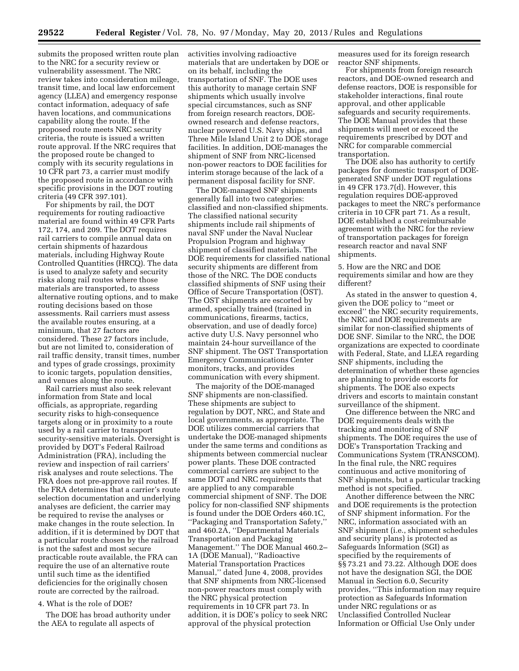submits the proposed written route plan to the NRC for a security review or vulnerability assessment. The NRC review takes into consideration mileage, transit time, and local law enforcement agency (LLEA) and emergency response contact information, adequacy of safe haven locations, and communications capability along the route. If the proposed route meets NRC security criteria, the route is issued a written route approval. If the NRC requires that the proposed route be changed to comply with its security regulations in 10 CFR part 73, a carrier must modify the proposed route in accordance with specific provisions in the DOT routing criteria (49 CFR 397.101).

For shipments by rail, the DOT requirements for routing radioactive material are found within 49 CFR Parts 172, 174, and 209. The DOT requires rail carriers to compile annual data on certain shipments of hazardous materials, including Highway Route Controlled Quantities (HRCQ). The data is used to analyze safety and security risks along rail routes where those materials are transported, to assess alternative routing options, and to make routing decisions based on those assessments. Rail carriers must assess the available routes ensuring, at a minimum, that 27 factors are considered. These 27 factors include, but are not limited to, consideration of rail traffic density, transit times, number and types of grade crossings, proximity to iconic targets, population densities, and venues along the route.

Rail carriers must also seek relevant information from State and local officials, as appropriate, regarding security risks to high-consequence targets along or in proximity to a route used by a rail carrier to transport security-sensitive materials. Oversight is provided by DOT's Federal Railroad Administration (FRA), including the review and inspection of rail carriers' risk analyses and route selections. The FRA does not pre-approve rail routes. If the FRA determines that a carrier's route selection documentation and underlying analyses are deficient, the carrier may be required to revise the analyses or make changes in the route selection. In addition, if it is determined by DOT that a particular route chosen by the railroad is not the safest and most secure practicable route available, the FRA can require the use of an alternative route until such time as the identified deficiencies for the originally chosen route are corrected by the railroad.

#### 4. What is the role of DOE?

The DOE has broad authority under the AEA to regulate all aspects of

activities involving radioactive materials that are undertaken by DOE or on its behalf, including the transportation of SNF. The DOE uses this authority to manage certain SNF shipments which usually involve special circumstances, such as SNF from foreign research reactors, DOEowned research and defense reactors, nuclear powered U.S. Navy ships, and Three Mile Island Unit 2 to DOE storage facilities. In addition, DOE-manages the shipment of SNF from NRC-licensed non-power reactors to DOE facilities for interim storage because of the lack of a permanent disposal facility for SNF.

The DOE-managed SNF shipments generally fall into two categories: classified and non-classified shipments. The classified national security shipments include rail shipments of naval SNF under the Naval Nuclear Propulsion Program and highway shipment of classified materials. The DOE requirements for classified national security shipments are different from those of the NRC. The DOE conducts classified shipments of SNF using their Office of Secure Transportation (OST). The OST shipments are escorted by armed, specially trained (trained in communications, firearms, tactics, observation, and use of deadly force) active duty U.S. Navy personnel who maintain 24-hour surveillance of the SNF shipment. The OST Transportation Emergency Communications Center monitors, tracks, and provides communication with every shipment.

The majority of the DOE-managed SNF shipments are non-classified. These shipments are subject to regulation by DOT, NRC, and State and local governments, as appropriate. The DOE utilizes commercial carriers that undertake the DOE-managed shipments under the same terms and conditions as shipments between commercial nuclear power plants. These DOE contracted commercial carriers are subject to the same DOT and NRC requirements that are applied to any comparable commercial shipment of SNF. The DOE policy for non-classified SNF shipments is found under the DOE Orders 460.1C, ''Packaging and Transportation Safety,'' and 460.2A, ''Departmental Materials Transportation and Packaging Management.'' The DOE Manual 460.2– 1A (DOE Manual), ''Radioactive Material Transportation Practices Manual,'' dated June 4, 2008, provides that SNF shipments from NRC-licensed non-power reactors must comply with the NRC physical protection requirements in 10 CFR part 73. In addition, it is DOE's policy to seek NRC approval of the physical protection

measures used for its foreign research reactor SNF shipments.

For shipments from foreign research reactors, and DOE-owned research and defense reactors, DOE is responsible for stakeholder interactions, final route approval, and other applicable safeguards and security requirements. The DOE Manual provides that these shipments will meet or exceed the requirements prescribed by DOT and NRC for comparable commercial transportation.

The DOE also has authority to certify packages for domestic transport of DOEgenerated SNF under DOT regulations in 49 CFR 173.7(d). However, this regulation requires DOE-approved packages to meet the NRC's performance criteria in 10 CFR part 71. As a result, DOE established a cost-reimbursable agreement with the NRC for the review of transportation packages for foreign research reactor and naval SNF shipments.

5. How are the NRC and DOE requirements similar and how are they different?

As stated in the answer to question 4, given the DOE policy to ''meet or exceed'' the NRC security requirements, the NRC and DOE requirements are similar for non-classified shipments of DOE SNF. Similar to the NRC, the DOE organizations are expected to coordinate with Federal, State, and LLEA regarding SNF shipments, including the determination of whether these agencies are planning to provide escorts for shipments. The DOE also expects drivers and escorts to maintain constant surveillance of the shipment.

One difference between the NRC and DOE requirements deals with the tracking and monitoring of SNF shipments. The DOE requires the use of DOE's Transportation Tracking and Communications System (TRANSCOM). In the final rule, the NRC requires continuous and active monitoring of SNF shipments, but a particular tracking method is not specified.

Another difference between the NRC and DOE requirements is the protection of SNF shipment information. For the NRC, information associated with an SNF shipment (i.e., shipment schedules and security plans) is protected as Safeguards Information (SGI) as specified by the requirements of §§ 73.21 and 73.22. Although DOE does not have the designation SGI, the DOE Manual in Section 6.0, Security provides, ''This information may require protection as Safeguards Information under NRC regulations or as Unclassified Controlled Nuclear Information or Official Use Only under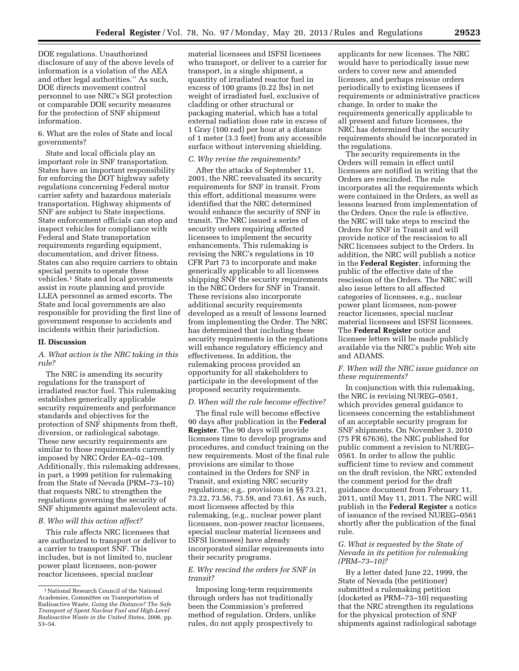DOE regulations. Unauthorized disclosure of any of the above levels of information is a violation of the AEA and other legal authorities.'' As such, DOE directs movement control personnel to use NRC's SGI protection or comparable DOE security measures for the protection of SNF shipment information.

# 6. What are the roles of State and local governments?

State and local officials play an important role in SNF transportation. States have an important responsibility for enforcing the DOT highway safety regulations concerning Federal motor carrier safety and hazardous materials transportation. Highway shipments of SNF are subject to State inspections. State enforcement officials can stop and inspect vehicles for compliance with Federal and State transportation requirements regarding equipment, documentation, and driver fitness. States can also require carriers to obtain special permits to operate these vehicles.1 State and local governments assist in route planning and provide LLEA personnel as armed escorts. The State and local governments are also responsible for providing the first line of government response to accidents and incidents within their jurisdiction.

#### **II. Discussion**

## *A. What action is the NRC taking in this rule?*

The NRC is amending its security regulations for the transport of irradiated reactor fuel. This rulemaking establishes generically applicable security requirements and performance standards and objectives for the protection of SNF shipments from theft, diversion, or radiological sabotage. These new security requirements are similar to those requirements currently imposed by NRC Order EA–02–109. Additionally, this rulemaking addresses, in part, a 1999 petition for rulemaking from the State of Nevada (PRM–73–10) that requests NRC to strengthen the regulations governing the security of SNF shipments against malevolent acts.

#### *B. Who will this action affect?*

This rule affects NRC licensees that are authorized to transport or deliver to a carrier to transport SNF. This includes, but is not limited to, nuclear power plant licensees, non-power reactor licensees, special nuclear

material licensees and ISFSI licensees who transport, or deliver to a carrier for transport, in a single shipment, a quantity of irradiated reactor fuel in excess of 100 grams (0.22 lbs) in net weight of irradiated fuel, exclusive of cladding or other structural or packaging material, which has a total external radiation dose rate in excess of 1 Gray (100 rad) per hour at a distance of 1 meter (3.3 feet) from any accessible surface without intervening shielding.

#### *C. Why revise the requirements?*

After the attacks of September 11, 2001, the NRC reevaluated its security requirements for SNF in transit. From this effort, additional measures were identified that the NRC determined would enhance the security of SNF in transit. The NRC issued a series of security orders requiring affected licensees to implement the security enhancements. This rulemaking is revising the NRC's regulations in 10 CFR Part 73 to incorporate and make generically applicable to all licensees shipping SNF the security requirements in the NRC Orders for SNF in Transit. These revisions also incorporate additional security requirements developed as a result of lessons learned from implementing the Order. The NRC has determined that including these security requirements in the regulations will enhance regulatory efficiency and effectiveness. In addition, the rulemaking process provided an opportunity for all stakeholders to participate in the development of the proposed security requirements.

#### *D. When will the rule become effective?*

The final rule will become effective 90 days after publication in the **Federal Register**. The 90 days will provide licensees time to develop programs and procedures, and conduct training on the new requirements. Most of the final rule provisions are similar to those contained in the Orders for SNF in Transit, and existing NRC security regulations; e.g,. provisions in §§ 73.21, 73.22, 73.56, 73.59, and 73.61. As such, most licensees affected by this rulemaking, (e.g., nuclear power plant licensees, non-power reactor licensees, special nuclear material licensees and ISFSI licensees) have already incorporated similar requirements into their security programs.

#### *E. Why rescind the orders for SNF in transit?*

Imposing long-term requirements through orders has not traditionally been the Commission's preferred method of regulation. Orders, unlike rules, do not apply prospectively to

applicants for new licenses. The NRC would have to periodically issue new orders to cover new and amended licenses, and perhaps reissue orders periodically to existing licensees if requirements or administrative practices change. In order to make the requirements generically applicable to all present and future licensees, the NRC has determined that the security requirements should be incorporated in the regulations.

The security requirements in the Orders will remain in effect until licensees are notified in writing that the Orders are rescinded. The rule incorporates all the requirements which were contained in the Orders, as well as lessons learned from implementation of the Orders. Once the rule is effective, the NRC will take steps to rescind the Orders for SNF in Transit and will provide notice of the rescission to all NRC licensees subject to the Orders. In addition, the NRC will publish a notice in the **Federal Register**, informing the public of the effective date of the rescission of the Orders. The NRC will also issue letters to all affected categories of licensees, e.g., nuclear power plant licensees, non-power reactor licensees, special nuclear material licensees and ISFSI licensees. The **Federal Register** notice and licensee letters will be made publicly available via the NRC's public Web site and ADAMS.

#### *F. When will the NRC issue guidance on these requirements?*

In conjunction with this rulemaking, the NRC is revising NUREG–0561, which provides general guidance to licensees concerning the establishment of an acceptable security program for SNF shipments. On November 3, 2010 (75 FR 67636), the NRC published for public comment a revision to NUREG– 0561. In order to allow the public sufficient time to review and comment on the draft revision, the NRC extended the comment period for the draft guidance document from February 11, 2011, until May 11, 2011. The NRC will publish in the **Federal Register** a notice of issuance of the revised NUREG–0561 shortly after the publication of the final rule.

#### *G. What is requested by the State of Nevada in its petition for rulemaking (PRM–73–10)?*

By a letter dated June 22, 1999, the State of Nevada (the petitioner) submitted a rulemaking petition (docketed as PRM–73–10) requesting that the NRC strengthen its regulations for the physical protection of SNF shipments against radiological sabotage

<sup>1</sup>National Research Council of the National Academies, Committee on Transportation of Radioactive Waste, *Going the Distance? The Safe Transport of Spent Nuclear Fuel and High-Level Radioactive Waste in the United States,* 2006, pp. 53–54.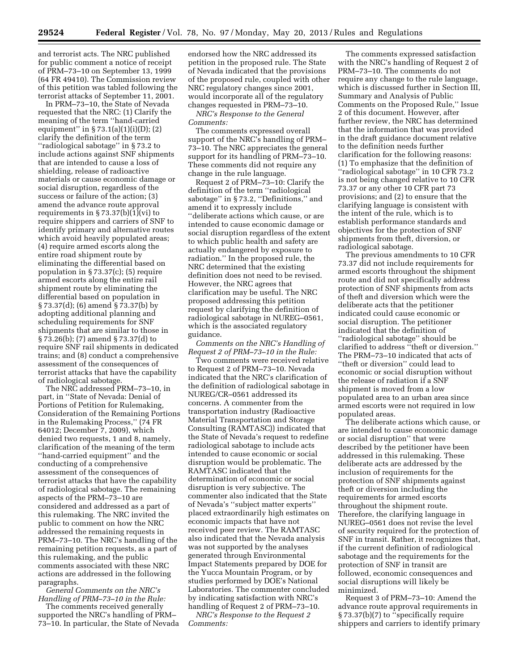and terrorist acts. The NRC published for public comment a notice of receipt of PRM–73–10 on September 13, 1999 (64 FR 49410). The Commission review of this petition was tabled following the terrorist attacks of September 11, 2001.

In PRM–73–10, the State of Nevada requested that the NRC: (1) Clarify the meaning of the term ''hand-carried equipment" in  $\S 73.1(a)(1)(i)(D); (2)$ clarify the definition of the term ''radiological sabotage'' in § 73.2 to include actions against SNF shipments that are intended to cause a loss of shielding, release of radioactive materials or cause economic damage or social disruption, regardless of the success or failure of the action; (3) amend the advance route approval requirements in  $\S 73.37(b)(1)(vi)$  to require shippers and carriers of SNF to identify primary and alternative routes which avoid heavily populated areas; (4) require armed escorts along the entire road shipment route by eliminating the differential based on population in § 73.37(c); (5) require armed escorts along the entire rail shipment route by eliminating the differential based on population in § 73.37(d); (6) amend § 73.37(b) by adopting additional planning and scheduling requirements for SNF shipments that are similar to those in § 73.26(b); (7) amend § 73.37(d) to require SNF rail shipments in dedicated trains; and (8) conduct a comprehensive assessment of the consequences of terrorist attacks that have the capability of radiological sabotage.

The NRC addressed PRM–73–10, in part, in ''State of Nevada: Denial of Portions of Petition for Rulemaking, Consideration of the Remaining Portions in the Rulemaking Process,'' (74 FR 64012; December 7, 2009), which denied two requests, 1 and 8, namely, clarification of the meaning of the term ''hand-carried equipment'' and the conducting of a comprehensive assessment of the consequences of terrorist attacks that have the capability of radiological sabotage. The remaining aspects of the PRM–73–10 are considered and addressed as a part of this rulemaking. The NRC invited the public to comment on how the NRC addressed the remaining requests in PRM–73–10. The NRC's handling of the remaining petition requests, as a part of this rulemaking, and the public comments associated with these NRC actions are addressed in the following paragraphs.

*General Comments on the NRC's Handling of PRM–73–10 in the Rule:* 

The comments received generally supported the NRC's handling of PRM– 73–10. In particular, the State of Nevada

endorsed how the NRC addressed its petition in the proposed rule. The State of Nevada indicated that the provisions of the proposed rule, coupled with other NRC regulatory changes since 2001, would incorporate all of the regulatory changes requested in PRM–73–10.

*NRC's Response to the General Comments:* 

The comments expressed overall support of the NRC's handling of PRM– 73–10. The NRC appreciates the general support for its handling of PRM–73–10. These comments did not require any change in the rule language.

Request 2 of PRM–73–10: Clarify the definition of the term ''radiological sabotage'' in § 73.2, ''Definitions,'' and amend it to expressly include ''deliberate actions which cause, or are intended to cause economic damage or social disruption regardless of the extent to which public health and safety are actually endangered by exposure to radiation.'' In the proposed rule, the NRC determined that the existing definition does not need to be revised. However, the NRC agrees that clarification may be useful. The NRC proposed addressing this petition request by clarifying the definition of radiological sabotage in NUREG–0561, which is the associated regulatory guidance.

*Comments on the NRC's Handling of Request 2 of PRM–73–10 in the Rule:* 

Two comments were received relative to Request 2 of PRM–73–10. Nevada indicated that the NRC's clarification of the definition of radiological sabotage in NUREG/CR–0561 addressed its concerns. A commenter from the transportation industry (Radioactive Material Transportation and Storage Consulting (RAMTASC)) indicated that the State of Nevada's request to redefine radiological sabotage to include acts intended to cause economic or social disruption would be problematic. The RAMTASC indicated that the determination of economic or social disruption is very subjective. The commenter also indicated that the State of Nevada's ''subject matter experts'' placed extraordinarily high estimates on economic impacts that have not received peer review. The RAMTASC also indicated that the Nevada analysis was not supported by the analyses generated through Environmental Impact Statements prepared by DOE for the Yucca Mountain Program, or by studies performed by DOE's National Laboratories. The commenter concluded by indicating satisfaction with NRC's handling of Request 2 of PRM–73–10.

*NRC's Response to the Request 2 Comments:* 

The comments expressed satisfaction with the NRC's handling of Request 2 of PRM–73–10. The comments do not require any change to the rule language, which is discussed further in Section III, Summary and Analysis of Public Comments on the Proposed Rule,'' Issue 2 of this document. However, after further review, the NRC has determined that the information that was provided in the draft guidance document relative to the definition needs further clarification for the following reasons: (1) To emphasize that the definition of ''radiological sabotage'' in 10 CFR 73.2 is not being changed relative to 10 CFR 73.37 or any other 10 CFR part 73 provisions; and (2) to ensure that the clarifying language is consistent with the intent of the rule, which is to establish performance standards and objectives for the protection of SNF shipments from theft, diversion, or radiological sabotage.

The previous amendments to 10 CFR 73.37 did not include requirements for armed escorts throughout the shipment route and did not specifically address protection of SNF shipments from acts of theft and diversion which were the deliberate acts that the petitioner indicated could cause economic or social disruption. The petitioner indicated that the definition of ''radiological sabotage'' should be clarified to address ''theft or diversion.'' The PRM–73–10 indicated that acts of ''theft or diversion'' could lead to economic or social disruption without the release of radiation if a SNF shipment is moved from a low populated area to an urban area since armed escorts were not required in low populated areas.

The deliberate actions which cause, or are intended to cause economic damage or social disruption'' that were described by the petitioner have been addressed in this rulemaking. These deliberate acts are addressed by the inclusion of requirements for the protection of SNF shipments against theft or diversion including the requirements for armed escorts throughout the shipment route. Therefore, the clarifying language in NUREG–0561 does not revise the level of security required for the protection of SNF in transit. Rather, it recognizes that, if the current definition of radiological sabotage and the requirements for the protection of SNF in transit are followed, economic consequences and social disruptions will likely be minimized.

Request 3 of PRM–73–10: Amend the advance route approval requirements in § 73.37(b)(7) to ''specifically require shippers and carriers to identify primary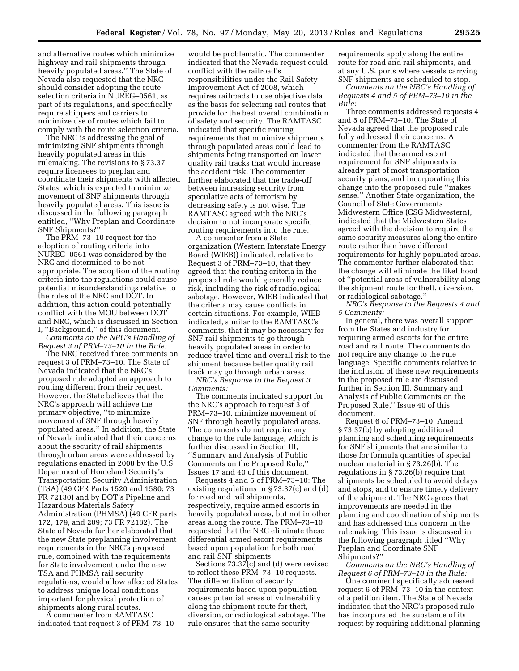and alternative routes which minimize highway and rail shipments through heavily populated areas.'' The State of Nevada also requested that the NRC should consider adopting the route selection criteria in NUREG–0561, as part of its regulations, and specifically require shippers and carriers to minimize use of routes which fail to comply with the route selection criteria.

The NRC is addressing the goal of minimizing SNF shipments through heavily populated areas in this rulemaking. The revisions to § 73.37 require licensees to preplan and coordinate their shipments with affected States, which is expected to minimize movement of SNF shipments through heavily populated areas. This issue is discussed in the following paragraph entitled, ''Why Preplan and Coordinate SNF Shipments?''

The PRM–73–10 request for the adoption of routing criteria into NUREG–0561 was considered by the NRC and determined to be not appropriate. The adoption of the routing criteria into the regulations could cause potential misunderstandings relative to the roles of the NRC and DOT. In addition, this action could potentially conflict with the MOU between DOT and NRC, which is discussed in Section I, ''Background,'' of this document. *Comments on the NRC's Handling of* 

*Request 3 of PRM–73–10 in the Rule:* 

The NRC received three comments on request 3 of PRM–73–10. The State of Nevada indicated that the NRC's proposed rule adopted an approach to routing different from their request. However, the State believes that the NRC's approach will achieve the primary objective, ''to minimize movement of SNF through heavily populated areas.'' In addition, the State of Nevada indicated that their concerns about the security of rail shipments through urban areas were addressed by regulations enacted in 2008 by the U.S. Department of Homeland Security's Transportation Security Administration (TSA) (49 CFR Parts 1520 and 1580; 73 FR 72130) and by DOT's Pipeline and Hazardous Materials Safety Administration (PHMSA) (49 CFR parts 172, 179, and 209; 73 FR 72182). The State of Nevada further elaborated that the new State preplanning involvement requirements in the NRC's proposed rule, combined with the requirements for State involvement under the new TSA and PHMSA rail security regulations, would allow affected States to address unique local conditions important for physical protection of shipments along rural routes.

A commenter from RAMTASC indicated that request 3 of PRM–73–10 would be problematic. The commenter indicated that the Nevada request could conflict with the railroad's responsibilities under the Rail Safety Improvement Act of 2008, which requires railroads to use objective data as the basis for selecting rail routes that provide for the best overall combination of safety and security. The RAMTASC indicated that specific routing requirements that minimize shipments through populated areas could lead to shipments being transported on lower quality rail tracks that would increase the accident risk. The commenter further elaborated that the trade-off between increasing security from speculative acts of terrorism by decreasing safety is not wise. The RAMTASC agreed with the NRC's decision to not incorporate specific routing requirements into the rule.

A commenter from a State organization (Western Interstate Energy Board (WIEB)) indicated, relative to Request 3 of PRM–73–10, that they agreed that the routing criteria in the proposed rule would generally reduce risk, including the risk of radiological sabotage. However, WIEB indicated that the criteria may cause conflicts in certain situations. For example, WIEB indicated, similar to the RAMTASC's comments, that it may be necessary for SNF rail shipments to go through heavily populated areas in order to reduce travel time and overall risk to the shipment because better quality rail track may go through urban areas.

*NRC's Response to the Request 3 Comments:* 

The comments indicated support for the NRC's approach to request 3 of PRM–73–10, minimize movement of SNF through heavily populated areas. The comments do not require any change to the rule language, which is further discussed in Section III, ''Summary and Analysis of Public Comments on the Proposed Rule,'' Issues 17 and 40 of this document.

Requests 4 and 5 of PRM–73–10: The existing regulations in § 73.37(c) and (d) for road and rail shipments, respectively, require armed escorts in heavily populated areas, but not in other areas along the route. The PRM–73–10 requested that the NRC eliminate these differential armed escort requirements based upon population for both road and rail SNF shipments.

Sections 73.37(c) and (d) were revised to reflect these PRM–73–10 requests. The differentiation of security requirements based upon population causes potential areas of vulnerability along the shipment route for theft, diversion, or radiological sabotage. The rule ensures that the same security

requirements apply along the entire route for road and rail shipments, and at any U.S. ports where vessels carrying SNF shipments are scheduled to stop.

*Comments on the NRC's Handling of Requests 4 and 5 of PRM–73–10 in the Rule:* 

Three comments addressed requests 4 and 5 of PRM–73–10. The State of Nevada agreed that the proposed rule fully addressed their concerns. A commenter from the RAMTASC indicated that the armed escort requirement for SNF shipments is already part of most transportation security plans, and incorporating this change into the proposed rule ''makes sense.'' Another State organization, the Council of State Governments Midwestern Office (CSG Midwestern), indicated that the Midwestern States agreed with the decision to require the same security measures along the entire route rather than have different requirements for highly populated areas. The commenter further elaborated that the change will eliminate the likelihood of ''potential areas of vulnerability along the shipment route for theft, diversion, or radiological sabotage.''

*NRC's Response to the Requests 4 and 5 Comments:* 

In general, there was overall support from the States and industry for requiring armed escorts for the entire road and rail route. The comments do not require any change to the rule language. Specific comments relative to the inclusion of these new requirements in the proposed rule are discussed further in Section III, Summary and Analysis of Public Comments on the Proposed Rule,'' Issue 40 of this document.

Request 6 of PRM–73–10: Amend § 73.37(b) by adopting additional planning and scheduling requirements for SNF shipments that are similar to those for formula quantities of special nuclear material in § 73.26(b). The regulations in § 73.26(b) require that shipments be scheduled to avoid delays and stops, and to ensure timely delivery of the shipment. The NRC agrees that improvements are needed in the planning and coordination of shipments and has addressed this concern in the rulemaking. This issue is discussed in the following paragraph titled ''Why Preplan and Coordinate SNF Shipments?''

*Comments on the NRC's Handling of Request 6 of PRM–73–10 in the Rule:* 

One comment specifically addressed request 6 of PRM–73–10 in the context of a petition item. The State of Nevada indicated that the NRC's proposed rule has incorporated the substance of its request by requiring additional planning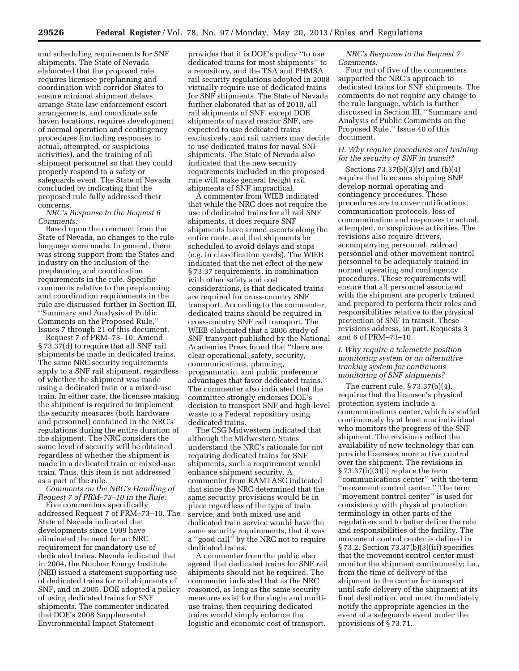and scheduling requirements for SNF shipments. The State of Nevada elaborated that the proposed rule requires licensee preplanning and coordination with corridor States to ensure minimal shipment delays, arrange State law enforcement escort arrangements, and coordinate safe haven locations, requires development of normal operation and contingency procedures (including responses to actual, attempted, or suspicious activities), and the training of all shipment personnel so that they could properly respond to a safety or safeguards event. The State of Nevada concluded by indicating that the proposed rule fully addressed their concerns.

*NRC's Response to the Request 6 Comments:* 

Based upon the comment from the State of Nevada, no changes to the rule language were made. In general, there was strong support from the States and industry on the inclusion of the preplanning and coordination requirements in the rule. Specific comments relative to the preplanning and coordination requirements in the rule are discussed further in Section III, ''Summary and Analysis of Public Comments on the Proposed Rule,'' Issues 7 through 21 of this document.

Request 7 of PRM–73–10: Amend § 73.37(d) to require that all SNF rail shipments be made in dedicated trains. The same NRC security requirements apply to a SNF rail shipment, regardless of whether the shipment was made using a dedicated train or a mixed-use train. In either case, the licensee making the shipment is required to implement the security measures (both hardware and personnel) contained in the NRC's regulations during the entire duration of the shipment. The NRC considers the same level of security will be obtained regardless of whether the shipment is made in a dedicated train or mixed-use train. Thus, this item is not addressed as a part of the rule.

*Comments on the NRC's Handling of Request 7 of PRM–73–10 in the Rule:* 

Five commenters specifically addressed Request 7 of PRM–73–10. The State of Nevada indicated that developments since 1999 have eliminated the need for an NRC requirement for mandatory use of dedicated trains. Nevada indicated that in 2004, the Nuclear Energy Institute (NEI) issued a statement supporting use of dedicated trains for rail shipments of SNF, and in 2005, DOE adopted a policy of using dedicated trains for SNF shipments. The commenter indicated that DOE's 2008 Supplemental Environmental Impact Statement

provides that it is DOE's policy ''to use dedicated trains for most shipments'' to a repository, and the TSA and PHMSA rail security regulations adopted in 2008 virtually require use of dedicated trains for SNF shipments. The State of Nevada further elaborated that as of 2010, all rail shipments of SNF, except DOE shipments of naval reactor SNF, are expected to use dedicated trains exclusively, and rail carriers may decide to use dedicated trains for naval SNF shipments. The State of Nevada also indicated that the new security requirements included in the proposed rule will make general freight rail shipments of SNF impractical.

A commenter from WIEB indicated that while the NRC does not require the use of dedicated trains for all rail SNF shipments, it does require SNF shipments have armed escorts along the entire route, and that shipments be scheduled to avoid delays and stops (e.g. in classification yards). The WIEB indicated that the net effect of the new § 73.37 requirements, in combination with other safety and cost considerations, is that dedicated trains are required for cross-country SNF transport. According to the commenter, dedicated trains should be required in cross-country SNF rail transport. The WIEB elaborated that a 2006 study of SNF transport published by the National Academies Press found that ''there are clear operational, safety, security, communications, planning, programmatic, and public preference advantages that favor dedicated trains.'' The commenter also indicated that the committee strongly endorses DOE's decision to transport SNF and high-level waste to a Federal repository using dedicated trains.

The CSG Midwestern indicated that although the Midwestern States understand the NRC's rationale for not requiring dedicated trains for SNF shipments, such a requirement would enhance shipment security. A commenter from RAMTASC indicated that since the NRC determined that the same security provisions would be in place regardless of the type of train service, and both mixed use and dedicated train service would have the same security requirements, that it was a ''good call'' by the NRC not to require dedicated trains.

A commenter from the public also agreed that dedicated trains for SNF rail shipments should not be required. The commenter indicated that as the NRC reasoned, as long as the same security measures exist for the single and multiuse trains, then requiring dedicated trains would simply enhance the logistic and economic cost of transport.

*NRC's Response to the Request 7 Comments:* 

Four out of five of the commenters supported the NRC's approach to dedicated trains for SNF shipments. The comments do not require any change to the rule language, which is further discussed in Section III, ''Summary and Analysis of Public Comments on the Proposed Rule,'' Issue 40 of this document.

#### *H. Why require procedures and training for the security of SNF in transit?*

Sections 73.37(b)(3)(v) and (b)(4) require that licensees shipping SNF develop normal operating and contingency procedures. These procedures are to cover notifications, communication protocols, loss of communication and responses to actual, attempted, or suspicious activities. The revisions also require drivers, accompanying personnel, railroad personnel and other movement control personnel to be adequately trained in normal operating and contingency procedures. These requirements will ensure that all personnel associated with the shipment are properly trained and prepared to perform their roles and responsibilities relative to the physical protection of SNF in transit. These revisions address, in part, Requests 3 and 6 of PRM–73–10.

#### *I. Why require a telemetric position monitoring system or an alternative tracking system for continuous monitoring of SNF shipments?*

The current rule, § 73.37(b)(4), requires that the licensee's physical protection system include a communications center, which is staffed continuously by at least one individual who monitors the progress of the SNF shipment. The revisions reflect the availability of new technology that can provide licensees more active control over the shipment. The revisions in § 73.37(b)(3)(i) replace the term ''communications center'' with the term ''movement control center.'' The term ''movement control center'' is used for consistency with physical protection terminology in other parts of the regulations and to better define the role and responsibilities of the facility. The movement control center is defined in § 73.2. Section 73.37(b)(3)(iii) specifies that the movement control center must monitor the shipment continuously; i.e., from the time of delivery of the shipment to the carrier for transport until safe delivery of the shipment at its final destination, and must immediately notify the appropriate agencies in the event of a safeguards event under the provisions of § 73.71.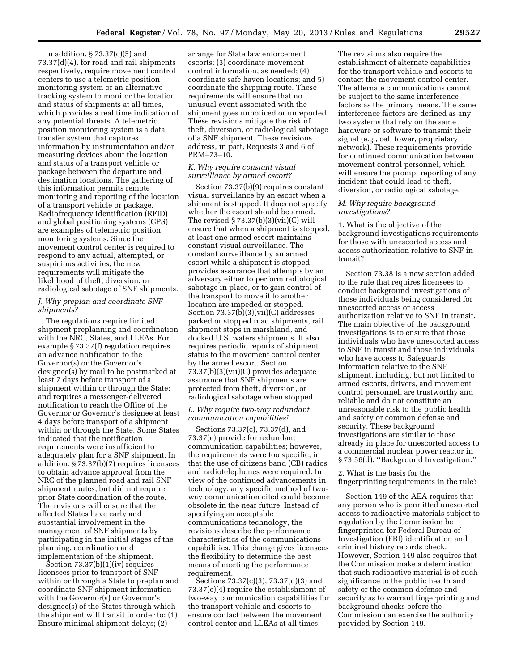In addition, § 73.37(c)(5) and 73.37(d)(4), for road and rail shipments respectively, require movement control centers to use a telemetric position monitoring system or an alternative tracking system to monitor the location and status of shipments at all times, which provides a real time indication of any potential threats. A telemetric position monitoring system is a data transfer system that captures information by instrumentation and/or measuring devices about the location and status of a transport vehicle or package between the departure and destination locations. The gathering of this information permits remote monitoring and reporting of the location of a transport vehicle or package. Radiofrequency identification (RFID) and global positioning systems (GPS) are examples of telemetric position monitoring systems. Since the movement control center is required to respond to any actual, attempted, or suspicious activities, the new requirements will mitigate the likelihood of theft, diversion, or radiological sabotage of SNF shipments.

#### *J. Why preplan and coordinate SNF shipments?*

The regulations require limited shipment preplanning and coordination with the NRC, States, and LLEAs. For example § 73.37(f) regulation requires an advance notification to the Governor(s) or the Governor's designee(s) by mail to be postmarked at least 7 days before transport of a shipment within or through the State; and requires a messenger-delivered notification to reach the Office of the Governor or Governor's designee at least 4 days before transport of a shipment within or through the State. Some States indicated that the notification requirements were insufficient to adequately plan for a SNF shipment. In addition, § 73.37(b)(7) requires licensees to obtain advance approval from the NRC of the planned road and rail SNF shipment routes, but did not require prior State coordination of the route. The revisions will ensure that the affected States have early and substantial involvement in the management of SNF shipments by participating in the initial stages of the planning, coordination and implementation of the shipment.

Section 73.37(b)(1)(iv) requires licensees prior to transport of SNF within or through a State to preplan and coordinate SNF shipment information with the Governor(s) or Governor's designee(s) of the States through which the shipment will transit in order to: (1) Ensure minimal shipment delays; (2)

arrange for State law enforcement escorts; (3) coordinate movement control information, as needed; (4) coordinate safe haven locations; and 5) coordinate the shipping route. These requirements will ensure that no unusual event associated with the shipment goes unnoticed or unreported. These revisions mitigate the risk of theft, diversion, or radiological sabotage of a SNF shipment. These revisions address, in part, Requests 3 and 6 of PRM–73–10.

# *K. Why require constant visual surveillance by armed escort?*

Section 73.37(b)(9) requires constant visual surveillance by an escort when a shipment is stopped. It does not specify whether the escort should be armed. The revised § 73.37(b)(3)(vii)(C) will ensure that when a shipment is stopped, at least one armed escort maintains constant visual surveillance. The constant surveillance by an armed escort while a shipment is stopped provides assurance that attempts by an adversary either to perform radiological sabotage in place, or to gain control of the transport to move it to another location are impeded or stopped. Section 73.37(b)(3)(vii)(C) addresses parked or stopped road shipments, rail shipment stops in marshland, and docked U.S. waters shipments. It also requires periodic reports of shipment status to the movement control center by the armed escort. Section 73.37(b)(3)(vii)(C) provides adequate assurance that SNF shipments are protected from theft, diversion, or radiological sabotage when stopped.

#### *L. Why require two-way redundant communication capabilities?*

Sections 73.37(c), 73.37(d), and 73.37(e) provide for redundant communication capabilities; however, the requirements were too specific, in that the use of citizens band (CB) radios and radiotelephones were required. In view of the continued advancements in technology, any specific method of twoway communication cited could become obsolete in the near future. Instead of specifying an acceptable communications technology, the revisions describe the performance characteristics of the communications capabilities. This change gives licensees the flexibility to determine the best means of meeting the performance requirement.

Sections 73.37(c)(3), 73.37(d)(3) and 73.37(e)(4) require the establishment of two-way communication capabilities for the transport vehicle and escorts to ensure contact between the movement control center and LLEAs at all times.

The revisions also require the establishment of alternate capabilities for the transport vehicle and escorts to contact the movement control center. The alternate communications cannot be subject to the same interference factors as the primary means. The same interference factors are defined as any two systems that rely on the same hardware or software to transmit their signal (e.g., cell tower, proprietary network). These requirements provide for continued communication between movement control personnel, which will ensure the prompt reporting of any incident that could lead to theft, diversion, or radiological sabotage.

#### *M. Why require background investigations?*

1. What is the objective of the background investigations requirements for those with unescorted access and access authorization relative to SNF in transit?

Section 73.38 is a new section added to the rule that requires licensees to conduct background investigations of those individuals being considered for unescorted access or access authorization relative to SNF in transit. The main objective of the background investigations is to ensure that those individuals who have unescorted access to SNF in transit and those individuals who have access to Safeguards Information relative to the SNF shipment, including, but not limited to armed escorts, drivers, and movement control personnel, are trustworthy and reliable and do not constitute an unreasonable risk to the public health and safety or common defense and security. These background investigations are similar to those already in place for unescorted access to a commercial nuclear power reactor in §73.56(d), "Background Investigation."

2. What is the basis for the fingerprinting requirements in the rule?

Section 149 of the AEA requires that any person who is permitted unescorted access to radioactive materials subject to regulation by the Commission be fingerprinted for Federal Bureau of Investigation (FBI) identification and criminal history records check. However, Section 149 also requires that the Commission make a determination that such radioactive material is of such significance to the public health and safety or the common defense and security as to warrant fingerprinting and background checks before the Commission can exercise the authority provided by Section 149.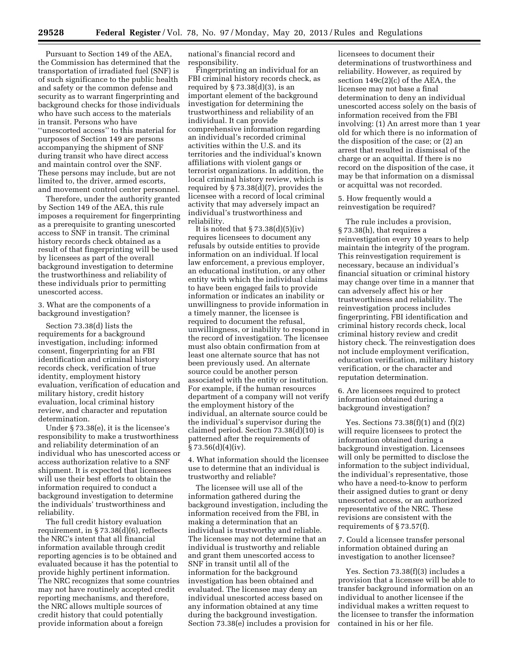Pursuant to Section 149 of the AEA, the Commission has determined that the transportation of irradiated fuel (SNF) is of such significance to the public health and safety or the common defense and security as to warrant fingerprinting and background checks for those individuals who have such access to the materials in transit. Persons who have ''unescorted access'' to this material for purposes of Section 149 are persons accompanying the shipment of SNF during transit who have direct access and maintain control over the SNF. These persons may include, but are not limited to, the driver, armed escorts, and movement control center personnel.

Therefore, under the authority granted by Section 149 of the AEA, this rule imposes a requirement for fingerprinting as a prerequisite to granting unescorted access to SNF in transit. The criminal history records check obtained as a result of that fingerprinting will be used by licensees as part of the overall background investigation to determine the trustworthiness and reliability of these individuals prior to permitting unescorted access.

3. What are the components of a background investigation?

Section 73.38(d) lists the requirements for a background investigation, including: informed consent, fingerprinting for an FBI identification and criminal history records check, verification of true identity, employment history evaluation, verification of education and military history, credit history evaluation, local criminal history review, and character and reputation determination.

Under § 73.38(e), it is the licensee's responsibility to make a trustworthiness and reliability determination of an individual who has unescorted access or access authorization relative to a SNF shipment. It is expected that licensees will use their best efforts to obtain the information required to conduct a background investigation to determine the individuals' trustworthiness and reliability.

The full credit history evaluation requirement, in § 73.38(d)(6), reflects the NRC's intent that all financial information available through credit reporting agencies is to be obtained and evaluated because it has the potential to provide highly pertinent information. The NRC recognizes that some countries may not have routinely accepted credit reporting mechanisms, and therefore, the NRC allows multiple sources of credit history that could potentially provide information about a foreign

national's financial record and responsibility.

Fingerprinting an individual for an FBI criminal history records check, as required by  $\S 73.38(d)(3)$ , is an important element of the background investigation for determining the trustworthiness and reliability of an individual. It can provide comprehensive information regarding an individual's recorded criminal activities within the U.S. and its territories and the individual's known affiliations with violent gangs or terrorist organizations. In addition, the local criminal history review, which is required by § 73.38(d)(7), provides the licensee with a record of local criminal activity that may adversely impact an individual's trustworthiness and reliability.

It is noted that  $\S 73.38(d)(5)(iv)$ requires licensees to document any refusals by outside entities to provide information on an individual. If local law enforcement, a previous employer, an educational institution, or any other entity with which the individual claims to have been engaged fails to provide information or indicates an inability or unwillingness to provide information in a timely manner, the licensee is required to document the refusal, unwillingness, or inability to respond in the record of investigation. The licensee must also obtain confirmation from at least one alternate source that has not been previously used. An alternate source could be another person associated with the entity or institution. For example, if the human resources department of a company will not verify the employment history of the individual, an alternate source could be the individual's supervisor during the claimed period. Section 73.38(d)(10) is patterned after the requirements of  $§ 73.56(d)(4)(iv).$ 

4. What information should the licensee use to determine that an individual is trustworthy and reliable?

The licensee will use all of the information gathered during the background investigation, including the information received from the FBI, in making a determination that an individual is trustworthy and reliable. The licensee may not determine that an individual is trustworthy and reliable and grant them unescorted access to SNF in transit until all of the information for the background investigation has been obtained and evaluated. The licensee may deny an individual unescorted access based on any information obtained at any time during the background investigation. Section 73.38(e) includes a provision for

licensees to document their determinations of trustworthiness and reliability. However, as required by section 149c(2)(c) of the AEA, the licensee may not base a final determination to deny an individual unescorted access solely on the basis of information received from the FBI involving: (1) An arrest more than 1 year old for which there is no information of the disposition of the case; or (2) an arrest that resulted in dismissal of the charge or an acquittal. If there is no record on the disposition of the case, it may be that information on a dismissal or acquittal was not recorded.

5. How frequently would a reinvestigation be required?

The rule includes a provision, § 73.38(h), that requires a reinvestigation every 10 years to help maintain the integrity of the program. This reinvestigation requirement is necessary, because an individual's financial situation or criminal history may change over time in a manner that can adversely affect his or her trustworthiness and reliability. The reinvestigation process includes fingerprinting, FBI identification and criminal history records check, local criminal history review and credit history check. The reinvestigation does not include employment verification, education verification, military history verification, or the character and reputation determination.

6. Are licensees required to protect information obtained during a background investigation?

Yes. Sections  $73.38(f)(1)$  and  $(f)(2)$ will require licensees to protect the information obtained during a background investigation. Licensees will only be permitted to disclose the information to the subject individual, the individual's representative, those who have a need-to-know to perform their assigned duties to grant or deny unescorted access, or an authorized representative of the NRC. These revisions are consistent with the requirements of § 73.57(f).

7. Could a licensee transfer personal information obtained during an investigation to another licensee?

Yes. Section 73.38(f)(3) includes a provision that a licensee will be able to transfer background information on an individual to another licensee if the individual makes a written request to the licensee to transfer the information contained in his or her file.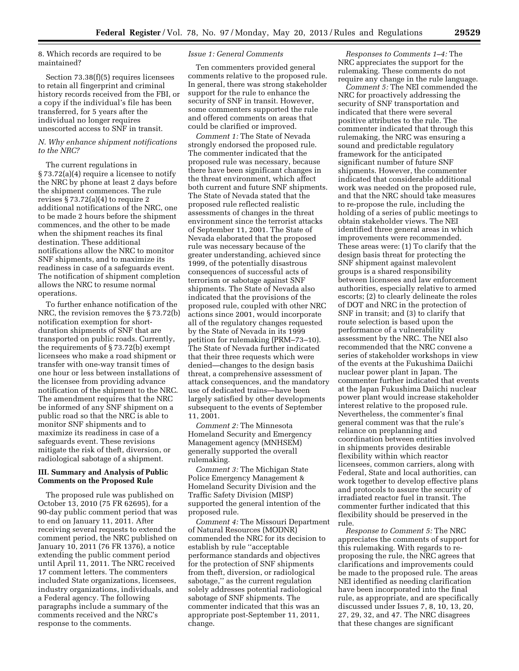8. Which records are required to be maintained?

Section 73.38(f)(5) requires licensees to retain all fingerprint and criminal history records received from the FBI, or a copy if the individual's file has been transferred, for 5 years after the individual no longer requires unescorted access to SNF in transit.

#### *N. Why enhance shipment notifications to the NRC?*

The current regulations in § 73.72(a)(4) require a licensee to notify the NRC by phone at least 2 days before the shipment commences. The rule revises  $\S 73.72(a)(4)$  to require 2 additional notifications of the NRC, one to be made 2 hours before the shipment commences, and the other to be made when the shipment reaches its final destination. These additional notifications allow the NRC to monitor SNF shipments, and to maximize its readiness in case of a safeguards event. The notification of shipment completion allows the NRC to resume normal operations.

To further enhance notification of the NRC, the revision removes the § 73.72(b) notification exemption for shortduration shipments of SNF that are transported on public roads. Currently, the requirements of § 73.72(b) exempt licensees who make a road shipment or transfer with one-way transit times of one hour or less between installations of the licensee from providing advance notification of the shipment to the NRC. The amendment requires that the NRC be informed of any SNF shipment on a public road so that the NRC is able to monitor SNF shipments and to maximize its readiness in case of a safeguards event. These revisions mitigate the risk of theft, diversion, or radiological sabotage of a shipment.

#### **III. Summary and Analysis of Public Comments on the Proposed Rule**

The proposed rule was published on October 13, 2010 (75 FR 62695), for a 90-day public comment period that was to end on January 11, 2011. After receiving several requests to extend the comment period, the NRC published on January 10, 2011 (76 FR 1376), a notice extending the public comment period until April 11, 2011. The NRC received 17 comment letters. The commenters included State organizations, licensees, industry organizations, individuals, and a Federal agency. The following paragraphs include a summary of the comments received and the NRC's response to the comments.

#### *Issue 1: General Comments*

Ten commenters provided general comments relative to the proposed rule. In general, there was strong stakeholder support for the rule to enhance the security of SNF in transit. However, some commenters supported the rule and offered comments on areas that could be clarified or improved.

*Comment 1:* The State of Nevada strongly endorsed the proposed rule. The commenter indicated that the proposed rule was necessary, because there have been significant changes in the threat environment, which affect both current and future SNF shipments. The State of Nevada stated that the proposed rule reflected realistic assessments of changes in the threat environment since the terrorist attacks of September 11, 2001. The State of Nevada elaborated that the proposed rule was necessary because of the greater understanding, achieved since 1999, of the potentially disastrous consequences of successful acts of terrorism or sabotage against SNF shipments. The State of Nevada also indicated that the provisions of the proposed rule, coupled with other NRC actions since 2001, would incorporate all of the regulatory changes requested by the State of Nevada in its 1999 petition for rulemaking (PRM–73–10). The State of Nevada further indicated that their three requests which were denied—changes to the design basis threat, a comprehensive assessment of attack consequences, and the mandatory use of dedicated trains—have been largely satisfied by other developments subsequent to the events of September 11, 2001.

*Comment 2:* The Minnesota Homeland Security and Emergency Management agency (MNHSEM) generally supported the overall rulemaking.

*Comment 3:* The Michigan State Police Emergency Management & Homeland Security Division and the Traffic Safety Division (MISP) supported the general intention of the proposed rule.

*Comment 4:* The Missouri Department of Natural Resources (MODNR) commended the NRC for its decision to establish by rule ''acceptable performance standards and objectives for the protection of SNF shipments from theft, diversion, or radiological sabotage,'' as the current regulation solely addresses potential radiological sabotage of SNF shipments. The commenter indicated that this was an appropriate post-September 11, 2011, change.

*Responses to Comments 1–4:* The NRC appreciates the support for the rulemaking. These comments do not require any change in the rule language.

*Comment 5:* The NEI commended the NRC for proactively addressing the security of SNF transportation and indicated that there were several positive attributes to the rule. The commenter indicated that through this rulemaking, the NRC was ensuring a sound and predictable regulatory framework for the anticipated significant number of future SNF shipments. However, the commenter indicated that considerable additional work was needed on the proposed rule, and that the NRC should take measures to re-propose the rule, including the holding of a series of public meetings to obtain stakeholder views. The NEI identified three general areas in which improvements were recommended. These areas were: (1) To clarify that the design basis threat for protecting the SNF shipment against malevolent groups is a shared responsibility between licensees and law enforcement authorities, especially relative to armed escorts; (2) to clearly delineate the roles of DOT and NRC in the protection of SNF in transit; and (3) to clarify that route selection is based upon the performance of a vulnerability assessment by the NRC. The NEI also recommended that the NRC convene a series of stakeholder workshops in view of the events at the Fukushima Daiichi nuclear power plant in Japan. The commenter further indicated that events at the Japan Fukushima Daiichi nuclear power plant would increase stakeholder interest relative to the proposed rule. Nevertheless, the commenter's final general comment was that the rule's reliance on preplanning and coordination between entities involved in shipments provides desirable flexibility within which reactor licensees, common carriers, along with Federal, State and local authorities, can work together to develop effective plans and protocols to assure the security of irradiated reactor fuel in transit. The commenter further indicated that this flexibility should be preserved in the rule.

*Response to Comment 5:* The NRC appreciates the comments of support for this rulemaking. With regards to reproposing the rule, the NRC agrees that clarifications and improvements could be made to the proposed rule. The areas NEI identified as needing clarification have been incorporated into the final rule, as appropriate, and are specifically discussed under Issues 7, 8, 10, 13, 20, 27, 29, 32, and 47. The NRC disagrees that these changes are significant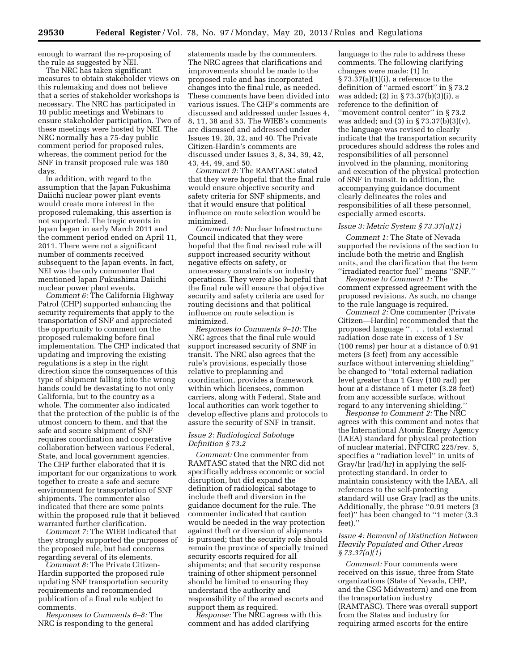enough to warrant the re-proposing of the rule as suggested by NEI.

The NRC has taken significant measures to obtain stakeholder views on this rulemaking and does not believe that a series of stakeholder workshops is necessary. The NRC has participated in 10 public meetings and Webinars to ensure stakeholder participation. Two of these meetings were hosted by NEI. The NRC normally has a 75-day public comment period for proposed rules, whereas, the comment period for the SNF in transit proposed rule was 180 days.

In addition, with regard to the assumption that the Japan Fukushima Daiichi nuclear power plant events would create more interest in the proposed rulemaking, this assertion is not supported. The tragic events in Japan began in early March 2011 and the comment period ended on April 11, 2011. There were not a significant number of comments received subsequent to the Japan events. In fact, NEI was the only commenter that mentioned Japan Fukushima Daiichi nuclear power plant events.

*Comment 6:* The California Highway Patrol (CHP) supported enhancing the security requirements that apply to the transportation of SNF and appreciated the opportunity to comment on the proposed rulemaking before final implementation. The CHP indicated that updating and improving the existing regulations is a step in the right direction since the consequences of this type of shipment falling into the wrong hands could be devastating to not only California, but to the country as a whole. The commenter also indicated that the protection of the public is of the utmost concern to them, and that the safe and secure shipment of SNF requires coordination and cooperative collaboration between various Federal, State, and local government agencies. The CHP further elaborated that it is important for our organizations to work together to create a safe and secure environment for transportation of SNF shipments. The commenter also indicated that there are some points within the proposed rule that it believed warranted further clarification.

*Comment 7:* The WIEB indicated that they strongly supported the purposes of the proposed rule, but had concerns regarding several of its elements.

*Comment 8:* The Private Citizen-Hardin supported the proposed rule updating SNF transportation security requirements and recommended publication of a final rule subject to comments.

*Responses to Comments 6–8:* The NRC is responding to the general

statements made by the commenters. The NRC agrees that clarifications and improvements should be made to the proposed rule and has incorporated changes into the final rule, as needed. These comments have been divided into various issues. The CHP's comments are discussed and addressed under Issues 4, 8, 11, 38 and 53. The WIEB's comments are discussed and addressed under Issues 19, 20, 32, and 40. The Private Citizen-Hardin's comments are discussed under Issues 3, 8, 34, 39, 42, 43, 44, 49, and 50.

*Comment 9:* The RAMTASC stated that they were hopeful that the final rule would ensure objective security and safety criteria for SNF shipments, and that it would ensure that political influence on route selection would be minimized.

*Comment 10:* Nuclear Infrastructure Council indicated that they were hopeful that the final revised rule will support increased security without negative effects on safety, or unnecessary constraints on industry operations. They were also hopeful that the final rule will ensure that objective security and safety criteria are used for routing decisions and that political influence on route selection is minimized.

*Responses to Comments 9–10:* The NRC agrees that the final rule would support increased security of SNF in transit. The NRC also agrees that the rule's provisions, especially those relative to preplanning and coordination, provides a framework within which licensees, common carriers, along with Federal, State and local authorities can work together to develop effective plans and protocols to assure the security of SNF in transit.

#### *Issue 2: Radiological Sabotage Definition § 73.2*

*Comment:* One commenter from RAMTASC stated that the NRC did not specifically address economic or social disruption, but did expand the definition of radiological sabotage to include theft and diversion in the guidance document for the rule. The commenter indicated that caution would be needed in the way protection against theft or diversion of shipments is pursued; that the security role should remain the province of specially trained security escorts required for all shipments; and that security response training of other shipment personnel should be limited to ensuring they understand the authority and responsibility of the armed escorts and support them as required.

*Response:* The NRC agrees with this comment and has added clarifying

language to the rule to address these comments. The following clarifying changes were made: (1) In  $\S 73.37(a)(1)(i)$ , a reference to the definition of ''armed escort'' in § 73.2 was added; (2) in § 73.37(b)(3)(i), a reference to the definition of "movement control center" in § 73.2 was added; and (3) in § 73.37(b)(3)(v), the language was revised to clearly indicate that the transportation security procedures should address the roles and responsibilities of all personnel involved in the planning, monitoring and execution of the physical protection of SNF in transit. In addition, the accompanying guidance document clearly delineates the roles and responsibilities of all these personnel, especially armed escorts.

#### *Issue 3: Metric System § 73.37(a)(1)*

*Comment 1:* The State of Nevada supported the revisions of the section to include both the metric and English units, and the clarification that the term ''irradiated reactor fuel'' means ''SNF.''

*Response to Comment 1:* The comment expressed agreement with the proposed revisions. As such, no change to the rule language is required.

*Comment 2:* One commenter (Private Citizen—Hardin) recommended that the proposed language ''. . . total external radiation dose rate in excess of 1 Sv (100 rems) per hour at a distance of 0.91 meters (3 feet) from any accessible surface without intervening shielding'' be changed to ''total external radiation level greater than 1 Gray (100 rad) per hour at a distance of 1 meter (3.28 feet) from any accessible surface, without regard to any intervening shielding.''

*Response to Comment 2:* The NRC agrees with this comment and notes that the International Atomic Energy Agency (IAEA) standard for physical protection of nuclear material, INFCIRC 225/rev. 5, specifies a ''radiation level'' in units of Gray/hr (rad/hr) in applying the selfprotecting standard. In order to maintain consistency with the IAEA, all references to the self-protecting standard will use Gray (rad) as the units. Additionally, the phrase ''0.91 meters (3 feet)'' has been changed to ''1 meter (3.3 feet).'

#### *Issue 4: Removal of Distinction Between Heavily Populated and Other Areas § 73.37(a)(1)*

*Comment:* Four comments were received on this issue, three from State organizations (State of Nevada, CHP, and the CSG Midwestern) and one from the transportation industry (RAMTASC). There was overall support from the States and industry for requiring armed escorts for the entire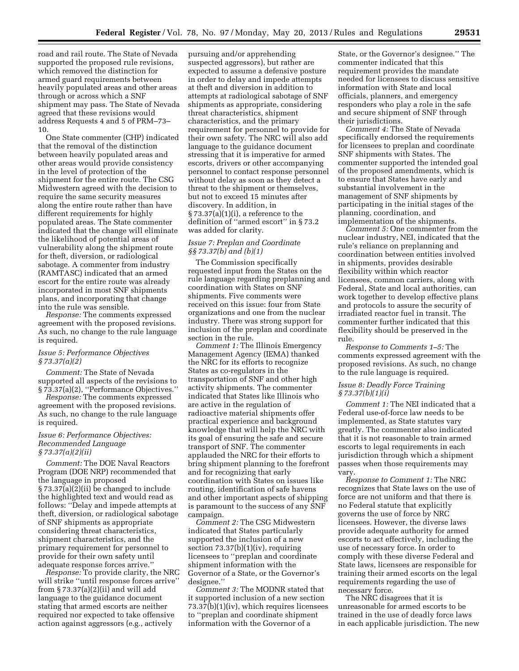road and rail route. The State of Nevada supported the proposed rule revisions, which removed the distinction for armed guard requirements between heavily populated areas and other areas through or across which a SNF shipment may pass. The State of Nevada agreed that these revisions would address Requests 4 and 5 of PRM–73– 10.

One State commenter (CHP) indicated that the removal of the distinction between heavily populated areas and other areas would provide consistency in the level of protection of the shipment for the entire route. The CSG Midwestern agreed with the decision to require the same security measures along the entire route rather than have different requirements for highly populated areas. The State commenter indicated that the change will eliminate the likelihood of potential areas of vulnerability along the shipment route for theft, diversion, or radiological sabotage. A commenter from industry (RAMTASC) indicated that an armed escort for the entire route was already incorporated in most SNF shipments plans, and incorporating that change into the rule was sensible.

*Response:* The comments expressed agreement with the proposed revisions. As such, no change to the rule language is required.

#### *Issue 5: Performance Objectives § 73.37(a)(2)*

*Comment:* The State of Nevada supported all aspects of the revisions to § 73.37(a)(2), ''Performance Objectives.''

*Response:* The comments expressed agreement with the proposed revisions. As such, no change to the rule language is required.

#### *Issue 6: Performance Objectives: Recommended Language § 73.37(a)(2)(ii)*

*Comment:* The DOE Naval Reactors Program (DOE NRP) recommended that the language in proposed § 73.37(a)(2)(ii) be changed to include the highlighted text and would read as follows: ''Delay and impede attempts at theft, diversion, or radiological sabotage of SNF shipments as appropriate considering threat characteristics, shipment characteristics, and the primary requirement for personnel to provide for their own safety until adequate response forces arrive.''

*Response:* To provide clarity, the NRC will strike ''until response forces arrive'' from § 73.37(a)(2)(ii) and will add language to the guidance document stating that armed escorts are neither required nor expected to take offensive action against aggressors (e.g., actively

pursuing and/or apprehending suspected aggressors), but rather are expected to assume a defensive posture in order to delay and impede attempts at theft and diversion in addition to attempts at radiological sabotage of SNF shipments as appropriate, considering threat characteristics, shipment characteristics, and the primary requirement for personnel to provide for their own safety. The NRC will also add language to the guidance document stressing that it is imperative for armed escorts, drivers or other accompanying personnel to contact response personnel without delay as soon as they detect a threat to the shipment or themselves, but not to exceed 15 minutes after discovery. In addition, in  $\S 73.37(a)(1)(i)$ , a reference to the definition of ''armed escort'' in § 73.2 was added for clarity.

#### *Issue 7: Preplan and Coordinate §§ 73.37(b) and (b)(1)*

The Commission specifically requested input from the States on the rule language regarding preplanning and coordination with States on SNF shipments. Five comments were received on this issue: four from State organizations and one from the nuclear industry. There was strong support for inclusion of the preplan and coordinate section in the rule.

*Comment 1:* The Illinois Emergency Management Agency (IEMA) thanked the NRC for its efforts to recognize States as co-regulators in the transportation of SNF and other high activity shipments. The commenter indicated that States like Illinois who are active in the regulation of radioactive material shipments offer practical experience and background knowledge that will help the NRC with its goal of ensuring the safe and secure transport of SNF. The commenter applauded the NRC for their efforts to bring shipment planning to the forefront and for recognizing that early coordination with States on issues like routing, identification of safe havens and other important aspects of shipping is paramount to the success of any SNF campaign.

*Comment 2:* The CSG Midwestern indicated that States particularly supported the inclusion of a new section  $73.37(b)(1)(iv)$ , requiring licensees to ''preplan and coordinate shipment information with the Governor of a State, or the Governor's designee.''

*Comment 3:* The MODNR stated that it supported inclusion of a new section 73.37(b)(1)(iv), which requires licensees to ''preplan and coordinate shipment information with the Governor of a

State, or the Governor's designee.'' The commenter indicated that this requirement provides the mandate needed for licensees to discuss sensitive information with State and local officials, planners, and emergency responders who play a role in the safe and secure shipment of SNF through their jurisdictions.

*Comment 4:* The State of Nevada specifically endorsed the requirements for licensees to preplan and coordinate SNF shipments with States. The commenter supported the intended goal of the proposed amendments, which is to ensure that States have early and substantial involvement in the management of SNF shipments by participating in the initial stages of the planning, coordination, and implementation of the shipments.

*Comment 5:* One commenter from the nuclear industry, NEI, indicated that the rule's reliance on preplanning and coordination between entities involved in shipments, provides desirable flexibility within which reactor licensees, common carriers, along with Federal, State and local authorities, can work together to develop effective plans and protocols to assure the security of irradiated reactor fuel in transit. The commenter further indicated that this flexibility should be preserved in the rule.

*Response to Comments 1–5:* The comments expressed agreement with the proposed revisions. As such, no change to the rule language is required.

#### *Issue 8: Deadly Force Training § 73.37(b)(1)(i)*

*Comment 1:* The NEI indicated that a Federal use-of-force law needs to be implemented, as State statutes vary greatly. The commenter also indicated that it is not reasonable to train armed escorts to legal requirements in each jurisdiction through which a shipment passes when those requirements may vary.

*Response to Comment 1:* The NRC recognizes that State laws on the use of force are not uniform and that there is no Federal statute that explicitly governs the use of force by NRC licensees. However, the diverse laws provide adequate authority for armed escorts to act effectively, including the use of necessary force. In order to comply with these diverse Federal and State laws, licensees are responsible for training their armed escorts on the legal requirements regarding the use of necessary force.

The NRC disagrees that it is unreasonable for armed escorts to be trained in the use of deadly force laws in each applicable jurisdiction. The new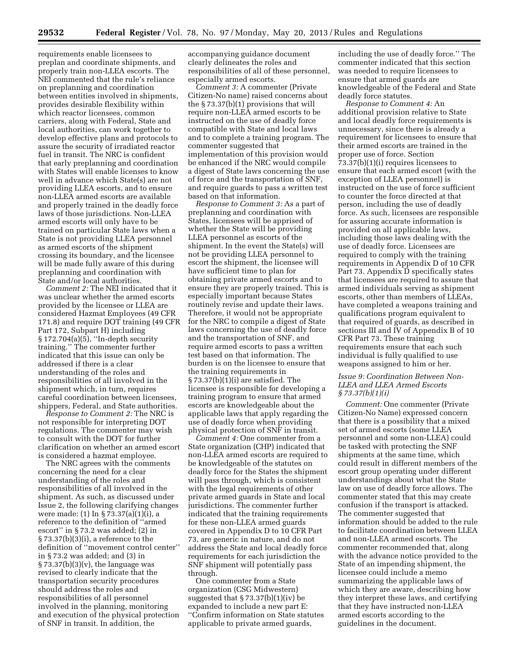requirements enable licensees to preplan and coordinate shipments, and properly train non-LLEA escorts. The NEI commented that the rule's reliance on preplanning and coordination between entities involved in shipments, provides desirable flexibility within which reactor licensees, common carriers, along with Federal, State and local authorities, can work together to develop effective plans and protocols to assure the security of irradiated reactor fuel in transit. The NRC is confident that early preplanning and coordination with States will enable licenses to know well in advance which State(s) are not providing LLEA escorts, and to ensure non-LLEA armed escorts are available and properly trained in the deadly force laws of those jurisdictions. Non-LLEA armed escorts will only have to be trained on particular State laws when a State is not providing LLEA personnel as armed escorts of the shipment crossing its boundary, and the licensee will be made fully aware of this during preplanning and coordination with State and/or local authorities.

*Comment 2:* The NEI indicated that it was unclear whether the armed escorts provided by the licensee or LLEA are considered Hazmat Employees (49 CFR 171.8) and require DOT training (49 CFR Part 172, Subpart H) including § 172.704(a)(5), ''In-depth security training.'' The commenter further indicated that this issue can only be addressed if there is a clear understanding of the roles and responsibilities of all involved in the shipment which, in turn, requires careful coordination between licensees, shippers, Federal, and State authorities.

*Response to Comment 2:* The NRC is not responsible for interpreting DOT regulations. The commenter may wish to consult with the DOT for further clarification on whether an armed escort is considered a hazmat employee.

The NRC agrees with the comments concerning the need for a clear understanding of the roles and responsibilities of all involved in the shipment. As such, as discussed under Issue 2, the following clarifying changes were made: (1) In § 73.37(a)(1)(i), a reference to the definition of ''armed escort'' in § 73.2 was added; (2) in  $\S 73.37(b)(3)(i)$ , a reference to the definition of ''movement control center'' in § 73.2 was added; and (3) in  $\S 73.37(b)(3)(v)$ , the language was revised to clearly indicate that the transportation security procedures should address the roles and responsibilities of all personnel involved in the planning, monitoring and execution of the physical protection of SNF in transit. In addition, the

accompanying guidance document clearly delineates the roles and responsibilities of all of these personnel, especially armed escorts.

*Comment 3:* A commenter (Private Citizen-No name) raised concerns about the § 73.37(b)(1) provisions that will require non-LLEA armed escorts to be instructed on the use of deadly force compatible with State and local laws and to complete a training program. The commenter suggested that implementation of this provision would be enhanced if the NRC would compile a digest of State laws concerning the use of force and the transportation of SNF, and require guards to pass a written test based on that information.

*Response to Comment 3:* As a part of preplanning and coordination with States, licensees will be apprised of whether the State will be providing LLEA personnel as escorts of the shipment. In the event the State(s) will not be providing LLEA personnel to escort the shipment, the licensee will have sufficient time to plan for obtaining private armed escorts and to ensure they are properly trained. This is especially important because States routinely revise and update their laws. Therefore, it would not be appropriate for the NRC to compile a digest of State laws concerning the use of deadly force and the transportation of SNF, and require armed escorts to pass a written test based on that information. The burden is on the licensee to ensure that the training requirements in  $\S 73.37(b)(1)(i)$  are satisfied. The licensee is responsible for developing a training program to ensure that armed escorts are knowledgeable about the applicable laws that apply regarding the use of deadly force when providing physical protection of SNF in transit.

*Comment 4:* One commenter from a State organization (CHP) indicated that non-LLEA armed escorts are required to be knowledgeable of the statutes on deadly force for the States the shipment will pass through, which is consistent with the legal requirements of other private armed guards in State and local jurisdictions. The commenter further indicated that the training requirements for these non-LLEA armed guards covered in Appendix D to 10 CFR Part 73, are generic in nature, and do not address the State and local deadly force requirements for each jurisdiction the SNF shipment will potentially pass through.

One commenter from a State organization (CSG Midwestern) suggested that § 73.37(b)(1)(iv) be expanded to include a new part E: ''Confirm information on State statutes applicable to private armed guards,

including the use of deadly force.'' The commenter indicated that this section was needed to require licensees to ensure that armed guards are knowledgeable of the Federal and State deadly force statutes.

*Response to Comment 4:* An additional provision relative to State and local deadly force requirements is unnecessary, since there is already a requirement for licensees to ensure that their armed escorts are trained in the proper use of force. Section 73.37(b)(1)(i) requires licensees to ensure that each armed escort (with the exception of LLEA personnel) is instructed on the use of force sufficient to counter the force directed at that person, including the use of deadly force. As such, licensees are responsible for assuring accurate information is provided on all applicable laws, including those laws dealing with the use of deadly force. Licensees are required to comply with the training requirements in Appendix D of 10 CFR Part 73. Appendix D specifically states that licensees are required to assure that armed individuals serving as shipment escorts, other than members of LLEAs, have completed a weapons training and qualifications program equivalent to that required of guards, as described in sections III and IV of Appendix B of 10 CFR Part 73. These training requirements ensure that each such individual is fully qualified to use weapons assigned to him or her.

# *Issue 9: Coordination Between Non-LLEA and LLEA Armed Escorts § 73.37(b)(1)(i)*

*Comment:* One commenter (Private Citizen-No Name) expressed concern that there is a possibility that a mixed set of armed escorts (some LLEA personnel and some non-LLEA) could be tasked with protecting the SNF shipments at the same time, which could result in different members of the escort group operating under different understandings about what the State law on use of deadly force allows. The commenter stated that this may create confusion if the transport is attacked. The commenter suggested that information should be added to the rule to facilitate coordination between LLEA and non-LLEA armed escorts. The commenter recommended that, along with the advance notice provided to the State of an impending shipment, the licensee could include a memo summarizing the applicable laws of which they are aware, describing how they interpret these laws, and certifying that they have instructed non-LLEA armed escorts according to the guidelines in the document.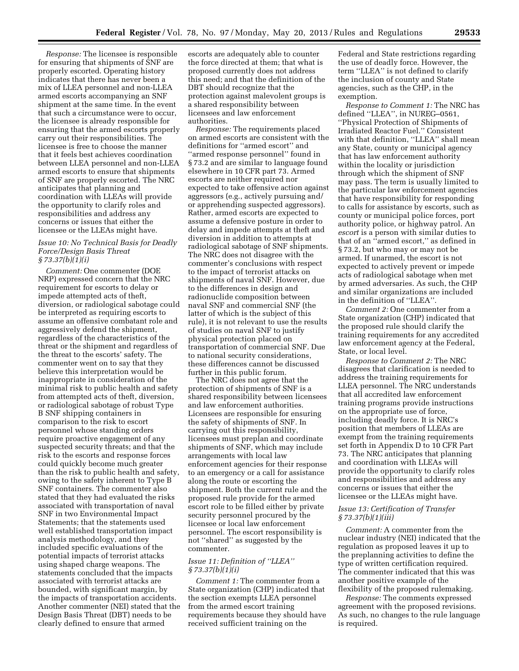*Response:* The licensee is responsible for ensuring that shipments of SNF are properly escorted. Operating history indicates that there has never been a mix of LLEA personnel and non-LLEA armed escorts accompanying an SNF shipment at the same time. In the event that such a circumstance were to occur, the licensee is already responsible for ensuring that the armed escorts properly carry out their responsibilities. The licensee is free to choose the manner that it feels best achieves coordination between LLEA personnel and non-LLEA armed escorts to ensure that shipments of SNF are properly escorted. The NRC anticipates that planning and coordination with LLEAs will provide the opportunity to clarify roles and responsibilities and address any concerns or issues that either the licensee or the LLEAs might have.

# *Issue 10: No Technical Basis for Deadly Force/Design Basis Threat § 73.37(b)(1)(i)*

*Comment:* One commenter (DOE NRP) expressed concern that the NRC requirement for escorts to delay or impede attempted acts of theft, diversion, or radiological sabotage could be interpreted as requiring escorts to assume an offensive combatant role and aggressively defend the shipment, regardless of the characteristics of the threat or the shipment and regardless of the threat to the escorts' safety. The commenter went on to say that they believe this interpretation would be inappropriate in consideration of the minimal risk to public health and safety from attempted acts of theft, diversion, or radiological sabotage of robust Type B SNF shipping containers in comparison to the risk to escort personnel whose standing orders require proactive engagement of any suspected security threats; and that the risk to the escorts and response forces could quickly become much greater than the risk to public health and safety, owing to the safety inherent to Type B SNF containers. The commenter also stated that they had evaluated the risks associated with transportation of naval SNF in two Environmental Impact Statements; that the statements used well established transportation impact analysis methodology, and they included specific evaluations of the potential impacts of terrorist attacks using shaped charge weapons. The statements concluded that the impacts associated with terrorist attacks are bounded, with significant margin, by the impacts of transportation accidents. Another commenter (NEI) stated that the Design Basis Threat (DBT) needs to be clearly defined to ensure that armed

escorts are adequately able to counter the force directed at them; that what is proposed currently does not address this need; and that the definition of the DBT should recognize that the protection against malevolent groups is a shared responsibility between licensees and law enforcement authorities.

*Response:* The requirements placed on armed escorts are consistent with the definitions for ''armed escort'' and ''armed response personnel'' found in § 73.2 and are similar to language found elsewhere in 10 CFR part 73. Armed escorts are neither required nor expected to take offensive action against aggressors (e.g., actively pursuing and/ or apprehending suspected aggressors). Rather, armed escorts are expected to assume a defensive posture in order to delay and impede attempts at theft and diversion in addition to attempts at radiological sabotage of SNF shipments. The NRC does not disagree with the commenter's conclusions with respect to the impact of terrorist attacks on shipments of naval SNF. However, due to the differences in design and radionuclide composition between naval SNF and commercial SNF (the latter of which is the subject of this rule), it is not relevant to use the results of studies on naval SNF to justify physical protection placed on transportation of commercial SNF. Due to national security considerations, these differences cannot be discussed further in this public forum.

The NRC does not agree that the protection of shipments of SNF is a shared responsibility between licensees and law enforcement authorities. Licensees are responsible for ensuring the safety of shipments of SNF. In carrying out this responsibility, licensees must preplan and coordinate shipments of SNF, which may include arrangements with local law enforcement agencies for their response to an emergency or a call for assistance along the route or escorting the shipment. Both the current rule and the proposed rule provide for the armed escort role to be filled either by private security personnel procured by the licensee or local law enforcement personnel. The escort responsibility is not ''shared'' as suggested by the commenter.

#### *Issue 11: Definition of ''LLEA'' § 73.37(b)(1)(i)*

*Comment 1:* The commenter from a State organization (CHP) indicated that the section exempts LLEA personnel from the armed escort training requirements because they should have received sufficient training on the

Federal and State restrictions regarding the use of deadly force. However, the term ''LLEA'' is not defined to clarify the inclusion of county and State agencies, such as the CHP, in the exemption.

*Response to Comment 1:* The NRC has defined ''LLEA'', in NUREG–0561, ''Physical Protection of Shipments of Irradiated Reactor Fuel.'' Consistent with that definition, ''LLEA'' shall mean any State, county or municipal agency that has law enforcement authority within the locality or jurisdiction through which the shipment of SNF may pass. The term is usually limited to the particular law enforcement agencies that have responsibility for responding to calls for assistance by escorts, such as county or municipal police forces, port authority police, or highway patrol. An *escort* is a person with similar duties to that of an ''armed escort,'' as defined in § 73.2, but who may or may not be armed. If unarmed, the escort is not expected to actively prevent or impede acts of radiological sabotage when met by armed adversaries. As such, the CHP and similar organizations are included in the definition of ''LLEA''.

*Comment 2:* One commenter from a State organization (CHP) indicated that the proposed rule should clarify the training requirements for any accredited law enforcement agency at the Federal, State, or local level.

*Response to Comment 2:* The NRC disagrees that clarification is needed to address the training requirements for LLEA personnel. The NRC understands that all accredited law enforcement training programs provide instructions on the appropriate use of force, including deadly force. It is NRC's position that members of LLEAs are exempt from the training requirements set forth in Appendix D to 10 CFR Part 73. The NRC anticipates that planning and coordination with LLEAs will provide the opportunity to clarify roles and responsibilities and address any concerns or issues that either the licensee or the LLEAs might have.

#### *Issue 13: Certification of Transfer § 73.37(b)(1)(iii)*

*Comment:* A commenter from the nuclear industry (NEI) indicated that the regulation as proposed leaves it up to the preplanning activities to define the type of written certification required. The commenter indicated that this was another positive example of the flexibility of the proposed rulemaking.

*Response:* The comments expressed agreement with the proposed revisions. As such, no changes to the rule language is required.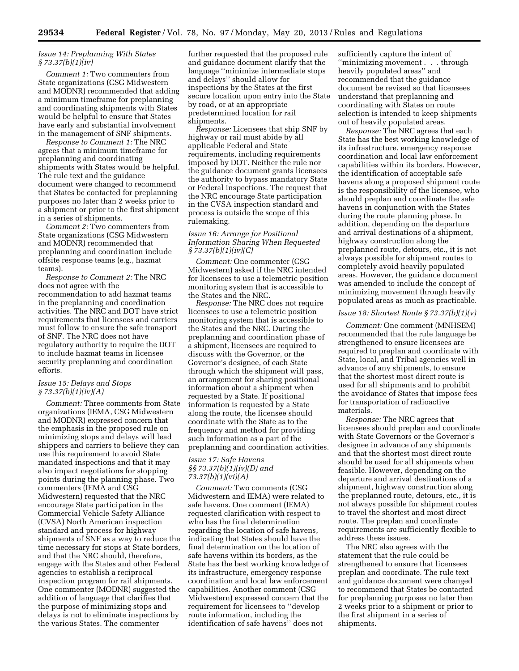### *Issue 14: Preplanning With States § 73.37(b)(1)(iv)*

*Comment 1:* Two commenters from State organizations (CSG Midwestern and MODNR) recommended that adding a minimum timeframe for preplanning and coordinating shipments with States would be helpful to ensure that States have early and substantial involvement in the management of SNF shipments.

*Response to Comment 1:* The NRC agrees that a minimum timeframe for preplanning and coordinating shipments with States would be helpful. The rule text and the guidance document were changed to recommend that States be contacted for preplanning purposes no later than 2 weeks prior to a shipment or prior to the first shipment in a series of shipments.

*Comment 2:* Two commenters from State organizations (CSG Midwestern and MODNR) recommended that preplanning and coordination include offsite response teams (e.g., hazmat teams).

*Response to Comment 2:* The NRC does not agree with the recommendation to add hazmat teams in the preplanning and coordination activities. The NRC and DOT have strict requirements that licensees and carriers must follow to ensure the safe transport of SNF. The NRC does not have regulatory authority to require the DOT to include hazmat teams in licensee security preplanning and coordination efforts.

#### *Issue 15: Delays and Stops § 73.37(b)(1)(iv)(A)*

*Comment:* Three comments from State organizations (IEMA, CSG Midwestern and MODNR) expressed concern that the emphasis in the proposed rule on minimizing stops and delays will lead shippers and carriers to believe they can use this requirement to avoid State mandated inspections and that it may also impact negotiations for stopping points during the planning phase. Two commenters (IEMA and CSG Midwestern) requested that the NRC encourage State participation in the Commercial Vehicle Safety Alliance (CVSA) North American inspection standard and process for highway shipments of SNF as a way to reduce the time necessary for stops at State borders, and that the NRC should, therefore, engage with the States and other Federal agencies to establish a reciprocal inspection program for rail shipments. One commenter (MODNR) suggested the addition of language that clarifies that the purpose of minimizing stops and delays is not to eliminate inspections by the various States. The commenter

further requested that the proposed rule and guidance document clarify that the language ''minimize intermediate stops and delays'' should allow for inspections by the States at the first secure location upon entry into the State by road, or at an appropriate predetermined location for rail shipments.

*Response:* Licensees that ship SNF by highway or rail must abide by all applicable Federal and State requirements, including requirements imposed by DOT. Neither the rule nor the guidance document grants licensees the authority to bypass mandatory State or Federal inspections. The request that the NRC encourage State participation in the CVSA inspection standard and process is outside the scope of this rulemaking.

#### *Issue 16: Arrange for Positional Information Sharing When Requested § 73.37(b)(1)(iv)(C)*

*Comment:* One commenter (CSG Midwestern) asked if the NRC intended for licensees to use a telemetric position monitoring system that is accessible to the States and the NRC.

*Response:* The NRC does not require licensees to use a telemetric position monitoring system that is accessible to the States and the NRC. During the preplanning and coordination phase of a shipment, licensees are required to discuss with the Governor, or the Governor's designee, of each State through which the shipment will pass, an arrangement for sharing positional information about a shipment when requested by a State. If positional information is requested by a State along the route, the licensee should coordinate with the State as to the frequency and method for providing such information as a part of the preplanning and coordination activities.

# *Issue 17: Safe Havens §§ 73.37(b)(1)(iv)(D) and 73.37(b)(1)(vi)(A)*

*Comment:* Two comments (CSG Midwestern and IEMA) were related to safe havens. One comment (IEMA) requested clarification with respect to who has the final determination regarding the location of safe havens, indicating that States should have the final determination on the location of safe havens within its borders, as the State has the best working knowledge of its infrastructure, emergency response coordination and local law enforcement capabilities. Another comment (CSG Midwestern) expressed concern that the requirement for licensees to ''develop route information, including the identification of safe havens'' does not

sufficiently capture the intent of ''minimizing movement . . . through heavily populated areas'' and recommended that the guidance document be revised so that licensees understand that preplanning and coordinating with States on route selection is intended to keep shipments out of heavily populated areas.

*Response:* The NRC agrees that each State has the best working knowledge of its infrastructure, emergency response coordination and local law enforcement capabilities within its borders. However, the identification of acceptable safe havens along a proposed shipment route is the responsibility of the licensee, who should preplan and coordinate the safe havens in conjunction with the States during the route planning phase. In addition, depending on the departure and arrival destinations of a shipment, highway construction along the preplanned route, detours, etc., it is not always possible for shipment routes to completely avoid heavily populated areas. However, the guidance document was amended to include the concept of minimizing movement through heavily populated areas as much as practicable.

#### *Issue 18: Shortest Route § 73.37(b)(1)(v)*

*Comment:* One comment (MNHSEM) recommended that the rule language be strengthened to ensure licensees are required to preplan and coordinate with State, local, and Tribal agencies well in advance of any shipments, to ensure that the shortest most direct route is used for all shipments and to prohibit the avoidance of States that impose fees for transportation of radioactive materials.

*Response:* The NRC agrees that licensees should preplan and coordinate with State Governors or the Governor's designee in advance of any shipments and that the shortest most direct route should be used for all shipments when feasible. However, depending on the departure and arrival destinations of a shipment, highway construction along the preplanned route, detours, etc., it is not always possible for shipment routes to travel the shortest and most direct route. The preplan and coordinate requirements are sufficiently flexible to address these issues.

The NRC also agrees with the statement that the rule could be strengthened to ensure that licensees preplan and coordinate. The rule text and guidance document were changed to recommend that States be contacted for preplanning purposes no later than 2 weeks prior to a shipment or prior to the first shipment in a series of shipments.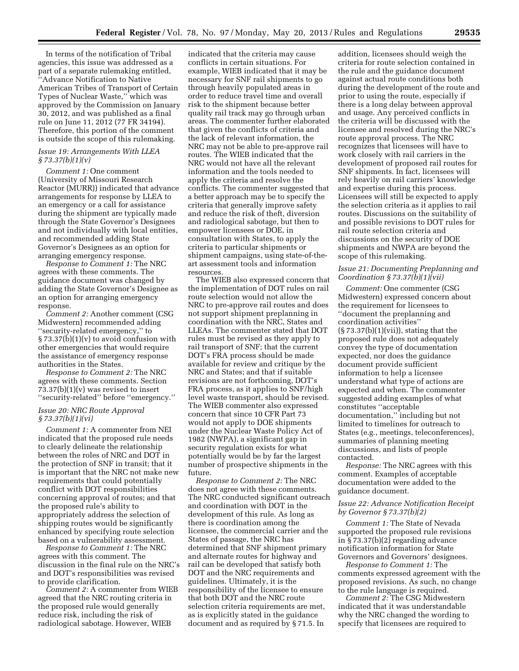In terms of the notification of Tribal agencies, this issue was addressed as a part of a separate rulemaking entitled, ''Advance Notification to Native American Tribes of Transport of Certain Types of Nuclear Waste,'' which was approved by the Commission on January 30, 2012, and was published as a final rule on June 11, 2012 (77 FR 34194). Therefore, this portion of the comment is outside the scope of this rulemaking.

#### *Issue 19: Arrangements With LLEA § 73.37(b)(1)(v)*

*Comment 1:* One comment (University of Missouri Research Reactor (MURR)) indicated that advance arrangements for response by LLEA to an emergency or a call for assistance during the shipment are typically made through the State Governor's Designees and not individually with local entities, and recommended adding State Governor's Designees as an option for arranging emergency response.

*Response to Comment 1:* The NRC agrees with these comments. The guidance document was changed by adding the State Governor's Designee as an option for arranging emergency response.

*Comment 2:* Another comment (CSG Midwestern) recommended adding ''security-related emergency,'' to  $\S 73.37(b)(1)(v)$  to avoid confusion with other emergencies that would require the assistance of emergency response authorities in the States.

*Response to Comment 2:* The NRC agrees with these comments. Section  $73.37(b)(1)(v)$  was revised to insert ''security-related'' before ''emergency.''

#### *Issue 20: NRC Route Approval § 73.37(b)(1)(vi)*

*Comment 1:* A commenter from NEI indicated that the proposed rule needs to clearly delineate the relationship between the roles of NRC and DOT in the protection of SNF in transit; that it is important that the NRC not make new requirements that could potentially conflict with DOT responsibilities concerning approval of routes; and that the proposed rule's ability to appropriately address the selection of shipping routes would be significantly enhanced by specifying route selection based on a vulnerability assessment.

*Response to Comment 1:* The NRC agrees with this comment. The discussion in the final rule on the NRC's and DOT's responsibilities was revised to provide clarification.

*Comment 2:* A commenter from WIEB agreed that the NRC routing criteria in the proposed rule would generally reduce risk, including the risk of radiological sabotage. However, WIEB

indicated that the criteria may cause conflicts in certain situations. For example, WIEB indicated that it may be necessary for SNF rail shipments to go through heavily populated areas in order to reduce travel time and overall risk to the shipment because better quality rail track may go through urban areas. The commenter further elaborated that given the conflicts of criteria and the lack of relevant information, the NRC may not be able to pre-approve rail routes. The WIEB indicated that the NRC would not have all the relevant information and the tools needed to apply the criteria and resolve the conflicts. The commenter suggested that a better approach may be to specify the criteria that generally improve safety and reduce the risk of theft, diversion and radiological sabotage, but then to empower licensees or DOE, in consultation with States, to apply the criteria to particular shipments or shipment campaigns, using state-of-theart assessment tools and information resources.

The WIEB also expressed concern that the implementation of DOT rules on rail route selection would not allow the NRC to pre-approve rail routes and does not support shipment preplanning in coordination with the NRC, States and LLEAs. The commenter stated that DOT rules must be revised as they apply to rail transport of SNF; that the current DOT's FRA process should be made available for review and critique by the NRC and States; and that if suitable revisions are not forthcoming, DOT's FRA process, as it applies to SNF/high level waste transport, should be revised. The WIEB commenter also expressed concern that since 10 CFR Part 73 would not apply to DOE shipments under the Nuclear Waste Policy Act of 1982 (NWPA), a significant gap in security regulation exists for what potentially would be by far the largest number of prospective shipments in the future.

*Response to Comment 2:* The NRC does not agree with these comments. The NRC conducted significant outreach and coordination with DOT in the development of this rule. As long as there is coordination among the licensee, the commercial carrier and the States of passage, the NRC has determined that SNF shipment primary and alternate routes for highway and rail can be developed that satisfy both DOT and the NRC requirements and guidelines. Ultimately, it is the responsibility of the licensee to ensure that both DOT and the NRC route selection criteria requirements are met, as is explicitly stated in the guidance document and as required by § 71.5. In

addition, licensees should weigh the criteria for route selection contained in the rule and the guidance document against actual route conditions both during the development of the route and prior to using the route, especially if there is a long delay between approval and usage. Any perceived conflicts in the criteria will be discussed with the licensee and resolved during the NRC's route approval process. The NRC recognizes that licensees will have to work closely with rail carriers in the development of proposed rail routes for SNF shipments. In fact, licensees will rely heavily on rail carriers' knowledge and expertise during this process. Licensees will still be expected to apply the selection criteria as it applies to rail routes. Discussions on the suitability of and possible revisions to DOT rules for rail route selection criteria and discussions on the security of DOE shipments and NWPA are beyond the scope of this rulemaking.

# *Issue 21: Documenting Preplanning and Coordination § 73.37(b)(1)(vii)*

*Comment:* One commenter (CSG Midwestern) expressed concern about the requirement for licensees to ''document the preplanning and coordination activities''  $(\S 73.37(b)(1)(vii))$ , stating that the proposed rule does not adequately convey the type of documentation expected, nor does the guidance document provide sufficient information to help a licensee understand what type of actions are expected and when. The commenter suggested adding examples of what constitutes ''acceptable documentation,'' including but not limited to timelines for outreach to States (e.g., meetings, teleconferences), summaries of planning meeting discussions, and lists of people contacted.

*Response:* The NRC agrees with this comment. Examples of acceptable documentation were added to the guidance document.

#### *Issue 22: Advance Notification Receipt by Governor § 73.37(b)(2)*

*Comment 1:* The State of Nevada supported the proposed rule revisions in § 73.37(b)(2) regarding advance notification information for State Governors and Governors' designees.

*Response to Comment 1:* The comments expressed agreement with the proposed revisions. As such, no change to the rule language is required.

*Comment 2:* The CSG Midwestern indicated that it was understandable why the NRC changed the wording to specify that licensees are required to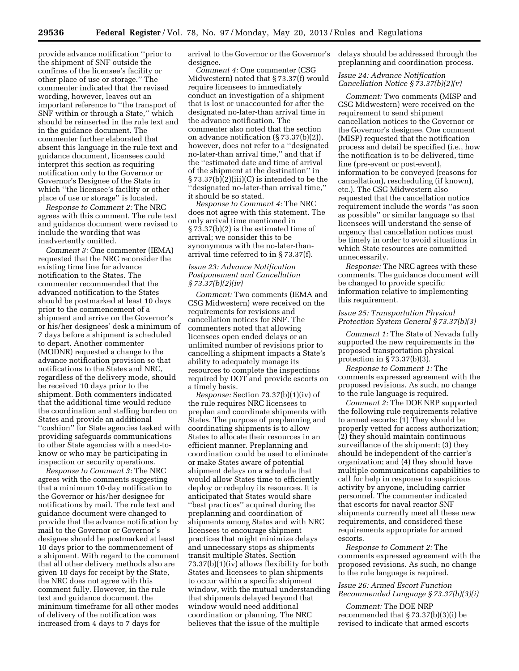provide advance notification ''prior to the shipment of SNF outside the confines of the licensee's facility or other place of use or storage.'' The commenter indicated that the revised wording, however, leaves out an important reference to ''the transport of SNF within or through a State,'' which should be reinserted in the rule text and in the guidance document. The commenter further elaborated that absent this language in the rule text and guidance document, licensees could interpret this section as requiring notification only to the Governor or Governor's Designee of the State in which ''the licensee's facility or other place of use or storage'' is located.

*Response to Comment 2:* The NRC agrees with this comment. The rule text and guidance document were revised to include the wording that was inadvertently omitted.

*Comment 3:* One commenter (IEMA) requested that the NRC reconsider the existing time line for advance notification to the States. The commenter recommended that the advanced notification to the States should be postmarked at least 10 days prior to the commencement of a shipment and arrive on the Governor's or his/her designees' desk a minimum of 7 days before a shipment is scheduled to depart. Another commenter (MODNR) requested a change to the advance notification provision so that notifications to the States and NRC, regardless of the delivery mode, should be received 10 days prior to the shipment. Both commenters indicated that the additional time would reduce the coordination and staffing burden on States and provide an additional "cushion" for State agencies tasked with providing safeguards communications to other State agencies with a need-toknow or who may be participating in inspection or security operations.

*Response to Comment 3:* The NRC agrees with the comments suggesting that a minimum 10-day notification to the Governor or his/her designee for notifications by mail. The rule text and guidance document were changed to provide that the advance notification by mail to the Governor or Governor's designee should be postmarked at least 10 days prior to the commencement of a shipment. With regard to the comment that all other delivery methods also are given 10 days for receipt by the State, the NRC does not agree with this comment fully. However, in the rule text and guidance document, the minimum timeframe for all other modes of delivery of the notification was increased from 4 days to 7 days for

arrival to the Governor or the Governor's designee.

*Comment 4:* One commenter (CSG Midwestern) noted that § 73.37(f) would require licensees to immediately conduct an investigation of a shipment that is lost or unaccounted for after the designated no-later-than arrival time in the advance notification. The commenter also noted that the section on advance notification (§ 73.37(b)(2)), however, does not refer to a ''designated no-later-than arrival time,'' and that if the ''estimated date and time of arrival of the shipment at the destination'' in § 73.37(b)(2)(iii)(C) is intended to be the ''designated no-later-than arrival time,'' it should be so stated.

*Response to Comment 4:* The NRC does not agree with this statement. The only arrival time mentioned in § 73.37(b)(2) is the estimated time of arrival; we consider this to be synonymous with the no-later-thanarrival time referred to in § 73.37(f).

#### *Issue 23: Advance Notification Postponement and Cancellation § 73.37(b)(2)(iv)*

*Comment:* Two comments (IEMA and CSG Midwestern) were received on the requirements for revisions and cancellation notices for SNF. The commenters noted that allowing licensees open ended delays or an unlimited number of revisions prior to cancelling a shipment impacts a State's ability to adequately manage its resources to complete the inspections required by DOT and provide escorts on a timely basis.

*Response:* Section 73.37(b)(1)(iv) of the rule requires NRC licensees to preplan and coordinate shipments with States. The purpose of preplanning and coordinating shipments is to allow States to allocate their resources in an efficient manner. Preplanning and coordination could be used to eliminate or make States aware of potential shipment delays on a schedule that would allow States time to efficiently deploy or redeploy its resources. It is anticipated that States would share ''best practices'' acquired during the preplanning and coordination of shipments among States and with NRC licensees to encourage shipment practices that might minimize delays and unnecessary stops as shipments transit multiple States. Section 73.37(b)(1)(iv) allows flexibility for both States and licensees to plan shipments to occur within a specific shipment window, with the mutual understanding that shipments delayed beyond that window would need additional coordination or planning. The NRC believes that the issue of the multiple

delays should be addressed through the preplanning and coordination process.

#### *Issue 24: Advance Notification Cancellation Notice § 73.37(b)(2)(v)*

*Comment:* Two comments (MISP and CSG Midwestern) were received on the requirement to send shipment cancellation notices to the Governor or the Governor's designee. One comment (MISP) requested that the notification process and detail be specified (i.e., how the notification is to be delivered, time line (pre-event or post-event), information to be conveyed (reasons for cancellation), rescheduling (if known), etc.). The CSG Midwestern also requested that the cancellation notice requirement include the words ''as soon as possible'' or similar language so that licensees will understand the sense of urgency that cancellation notices must be timely in order to avoid situations in which State resources are committed unnecessarily.

*Response:* The NRC agrees with these comments. The guidance document will be changed to provide specific information relative to implementing this requirement.

#### *Issue 25: Transportation Physical Protection System General § 73.37(b)(3)*

*Comment 1:* The State of Nevada fully supported the new requirements in the proposed transportation physical protection in § 73.37(b)(3).

*Response to Comment 1:* The comments expressed agreement with the proposed revisions. As such, no change to the rule language is required.

*Comment 2:* The DOE NRP supported the following rule requirements relative to armed escorts: (1) They should be properly vetted for access authorization; (2) they should maintain continuous surveillance of the shipment; (3) they should be independent of the carrier's organization; and (4) they should have multiple communications capabilities to call for help in response to suspicious activity by anyone, including carrier personnel. The commenter indicated that escorts for naval reactor SNF shipments currently meet all these new requirements, and considered these requirements appropriate for armed escorts.

*Response to Comment 2:* The comments expressed agreement with the proposed revisions. As such, no change to the rule language is required.

# *Issue 26: Armed Escort Function Recommended Language § 73.37(b)(3)(i)*

*Comment:* The DOE NRP recommended that § 73.37(b)(3)(i) be revised to indicate that armed escorts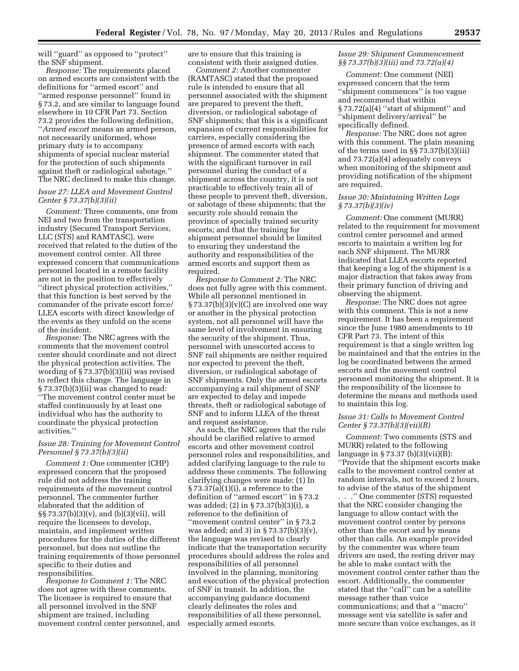will "guard" as opposed to "protect" the SNF shipment.

*Response:* The requirements placed on armed escorts are consistent with the definitions for ''armed escort'' and ''armed response personnel'' found in § 73.2, and are similar to language found elsewhere in 10 CFR Part 73. Section 73.2 provides the following definition, ''*Armed escort* means an armed person, not necessarily uniformed, whose primary duty is to accompany shipments of special nuclear material for the protection of such shipments against theft or radiological sabotage.'' The NRC declined to make this change.

#### *Issue 27: LLEA and Movement Control Center § 73.37(b)(3)(ii)*

*Comment:* Three comments, one from NEI and two from the transportation industry (Secured Transport Services, LLC (STS) and RAMTASC), were received that related to the duties of the movement control center. All three expressed concern that communications personnel located in a remote facility are not in the position to effectively ''direct physical protection activities,'' that this function is best served by the commander of the private escort force/ LLEA escorts with direct knowledge of the events as they unfold on the scene of the incident.

*Response:* The NRC agrees with the comments that the movement control center should coordinate and not direct the physical protection activities. The wording of § 73.37(b)(3)(ii) was revised to reflect this change. The language in § 73.37(b)(3)(ii) was changed to read: ''The movement control center must be staffed continuously by at least one individual who has the authority to coordinate the physical protection activities.''

#### *Issue 28: Training for Movement Control Personnel § 73.37(b)(3)(ii)*

*Comment 1:* One commenter (CHP) expressed concern that the proposed rule did not address the training requirements of the movement control personnel. The commenter further elaborated that the addition of §§ 73.37(b)(3)(v), and (b)(3)(vii), will require the licensees to develop, maintain, and implement written procedures for the duties of the different personnel, but does not outline the training requirements of those personnel specific to their duties and responsibilities.

*Response to Comment 1:* The NRC does not agree with these comments. The licensee is required to ensure that all personnel involved in the SNF shipment are trained, including movement control center personnel, and are to ensure that this training is consistent with their assigned duties.

*Comment 2:* Another commenter (RAMTASC) stated that the proposed rule is intended to ensure that all personnel associated with the shipment are prepared to prevent the theft, diversion, or radiological sabotage of SNF shipments; that this is a significant expansion of current responsibilities for carriers, especially considering the presence of armed escorts with each shipment. The commenter stated that with the significant turnover in rail personnel during the conduct of a shipment across the country, it is not practicable to effectively train all of these people to prevent theft, diversion, or sabotage of these shipments; that the security role should remain the province of specially trained security escorts; and that the training for shipment personnel should be limited to ensuring they understand the authority and responsibilities of the armed escorts and support them as required.

*Response to Comment 2:* The NRC does not fully agree with this comment. While all personnel mentioned in  $\S 73.37(b)(3)(v)(C)$  are involved one way or another in the physical protection system, not all personnel will have the same level of involvement in ensuring the security of the shipment. Thus, personnel with unescorted access to SNF rail shipments are neither required nor expected to prevent the theft, diversion, or radiological sabotage of SNF shipments. Only the armed escorts accompanying a rail shipment of SNF are expected to delay and impede threats, theft or radiological sabotage of SNF and to inform LLEA of the threat and request assistance.

As such, the NRC agrees that the rule should be clarified relative to armed escorts and other movement control personnel roles and responsibilities, and added clarifying language to the rule to address these comments. The following clarifying changes were made: (1) In  $\S 73.37(a)(1)(i)$ , a reference to the definition of ''armed escort'' in § 73.2 was added; (2) in § 73.37(b)(3)(i), a reference to the definition of "movement control center" in § 73.2 was added; and 3) in § 73.37(b)(3)(v), the language was revised to clearly indicate that the transportation security procedures should address the roles and responsibilities of all personnel involved in the planning, monitoring and execution of the physical protection of SNF in transit. In addition, the accompanying guidance document clearly delineates the roles and responsibilities of all these personnel, especially armed escorts.

# *Issue 29: Shipment Commencement §§ 73.37(b)(3)(iii) and 73.72(a)(4)*

*Comment:* One comment (NEI) expressed concern that the term ''shipment commences'' is too vague and recommend that within § 73.72(a)(4) ''start of shipment'' and ''shipment delivery/arrival'' be specifically defined.

*Response:* The NRC does not agree with this comment. The plain meaning of the terms used in §§ 73.37(b)(3)(iii) and 73.72(a)(4) adequately conveys when monitoring of the shipment and providing notification of the shipment are required.

#### *Issue 30: Maintaining Written Logs § 73.37(b)(3)(iv)*

*Comment:* One comment (MURR) related to the requirement for movement control center personnel and armed escorts to maintain a written log for each SNF shipment. The MURR indicated that LLEA escorts reported that keeping a log of the shipment is a major distraction that takes away from their primary function of driving and observing the shipment.

*Response:* The NRC does not agree with this comment. This is not a new requirement. It has been a requirement since the June 1980 amendments to 10 CFR Part 73. The intent of this requirement is that a single written log be maintained and that the entries in the log be coordinated between the armed escorts and the movement control personnel monitoring the shipment. It is the responsibility of the licensee to determine the means and methods used to maintain this log.

## *Issue 31: Calls to Movement Control Center § 73.37(b)(3)(vii)(B)*

*Comment:* Two comments (STS and MURR) related to the following language in  $\S 73.37$  (b)(3)(vii)(B): ''Provide that the shipment escorts make calls to the movement control center at random intervals, not to exceed 2 hours, to advise of the status of the shipment . . .'' One commenter (STS) requested that the NRC consider changing the language to allow contact with the movement control center by persons other than the escort and by means other than calls. An example provided by the commenter was where team drivers are used, the resting driver may be able to make contact with the movement control center rather than the escort. Additionally, the commenter stated that the ''call'' can be a satellite message rather than voice communications; and that a ''macro'' message sent via satellite is safer and more secure than voice exchanges, as it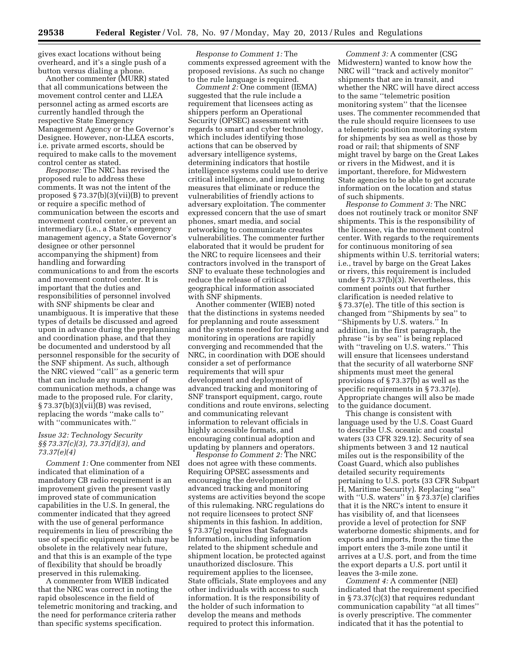gives exact locations without being overheard, and it's a single push of a button versus dialing a phone.

Another commenter (MURR) stated that all communications between the movement control center and LLEA personnel acting as armed escorts are currently handled through the respective State Emergency Management Agency or the Governor's Designee. However, non-LLEA escorts, i.e. private armed escorts, should be required to make calls to the movement control center as stated.

*Response:* The NRC has revised the proposed rule to address these comments. It was not the intent of the proposed § 73.37(b)(3)(vii)(B) to prevent or require a specific method of communication between the escorts and movement control center, or prevent an intermediary (i.e., a State's emergency management agency, a State Governor's designee or other personnel accompanying the shipment) from handling and forwarding communications to and from the escorts and movement control center. It is important that the duties and responsibilities of personnel involved with SNF shipments be clear and unambiguous. It is imperative that these types of details be discussed and agreed upon in advance during the preplanning and coordination phase, and that they be documented and understood by all personnel responsible for the security of the SNF shipment. As such, although the NRC viewed ''call'' as a generic term that can include any number of communication methods, a change was made to the proposed rule. For clarity, § 73.37(b)(3)(vii)(B) was revised, replacing the words ''make calls to'' with ''communicates with.''

#### *Issue 32: Technology Security §§ 73.37(c)(3), 73.37(d)(3), and 73.37(e)(4)*

*Comment 1:* One commenter from NEI indicated that elimination of a mandatory CB radio requirement is an improvement given the present vastly improved state of communication capabilities in the U.S. In general, the commenter indicated that they agreed with the use of general performance requirements in lieu of prescribing the use of specific equipment which may be obsolete in the relatively near future, and that this is an example of the type of flexibility that should be broadly preserved in this rulemaking.

A commenter from WIEB indicated that the NRC was correct in noting the rapid obsolescence in the field of telemetric monitoring and tracking, and the need for performance criteria rather than specific systems specification.

*Response to Comment 1:* The comments expressed agreement with the proposed revisions. As such no change to the rule language is required.

*Comment 2:* One comment (IEMA) suggested that the rule include a requirement that licensees acting as shippers perform an Operational Security (OPSEC) assessment with regards to smart and cyber technology, which includes identifying those actions that can be observed by adversary intelligence systems, determining indicators that hostile intelligence systems could use to derive critical intelligence, and implementing measures that eliminate or reduce the vulnerabilities of friendly actions to adversary exploitation. The commenter expressed concern that the use of smart phones, smart media, and social networking to communicate creates vulnerabilities. The commenter further elaborated that it would be prudent for the NRC to require licensees and their contractors involved in the transport of SNF to evaluate these technologies and reduce the release of critical geographical information associated with SNF shipments.

Another commenter (WIEB) noted that the distinctions in systems needed for preplanning and route assessment and the systems needed for tracking and monitoring in operations are rapidly converging and recommended that the NRC, in coordination with DOE should consider a set of performance requirements that will spur development and deployment of advanced tracking and monitoring of SNF transport equipment, cargo, route conditions and route environs, selecting and communicating relevant information to relevant officials in highly accessible formats, and encouraging continual adoption and updating by planners and operators.

*Response to Comment 2:* The NRC does not agree with these comments. Requiring OPSEC assessments and encouraging the development of advanced tracking and monitoring systems are activities beyond the scope of this rulemaking. NRC regulations do not require licensees to protect SNF shipments in this fashion. In addition, § 73.37(g) requires that Safeguards Information, including information related to the shipment schedule and shipment location, be protected against unauthorized disclosure. This requirement applies to the licensee, State officials, State employees and any other individuals with access to such information. It is the responsibility of the holder of such information to develop the means and methods required to protect this information.

*Comment 3:* A commenter (CSG Midwestern) wanted to know how the NRC will ''track and actively monitor'' shipments that are in transit, and whether the NRC will have direct access to the same ''telemetric position monitoring system'' that the licensee uses. The commenter recommended that the rule should require licensees to use a telemetric position monitoring system for shipments by sea as well as those by road or rail; that shipments of SNF might travel by barge on the Great Lakes or rivers in the Midwest, and it is important, therefore, for Midwestern State agencies to be able to get accurate information on the location and status of such shipments.

*Response to Comment 3:* The NRC does not routinely track or monitor SNF shipments. This is the responsibility of the licensee, via the movement control center. With regards to the requirements for continuous monitoring of sea shipments within U.S. territorial waters; i.e., travel by barge on the Great Lakes or rivers, this requirement is included under § 73.37(b)(3). Nevertheless, this comment points out that further clarification is needed relative to § 73.37(e). The title of this section is changed from ''Shipments by sea'' to ''Shipments by U.S. waters.'' In addition, in the first paragraph, the phrase ''is by sea'' is being replaced with "traveling on U.S. waters." This will ensure that licensees understand that the security of all waterborne SNF shipments must meet the general provisions of § 73.37(b) as well as the specific requirements in § 73.37(e). Appropriate changes will also be made to the guidance document.

This change is consistent with language used by the U.S. Coast Guard to describe U.S. oceanic and coastal waters (33 CFR 329.12). Security of sea shipments between 3 and 12 nautical miles out is the responsibility of the Coast Guard, which also publishes detailed security requirements pertaining to U.S. ports (33 CFR Subpart H, Maritime Security). Replacing ''sea'' with "U.S. waters" in §73.37(e) clarifies that it is the NRC's intent to ensure it has visibility of, and that licensees provide a level of protection for SNF waterborne domestic shipments, and for exports and imports, from the time the import enters the 3-mile zone until it arrives at a U.S. port, and from the time the export departs a U.S. port until it leaves the 3-mile zone.

*Comment 4:* A commenter (NEI) indicated that the requirement specified in § 73.37(c)(3) that requires redundant communication capability ''at all times'' is overly prescriptive. The commenter indicated that it has the potential to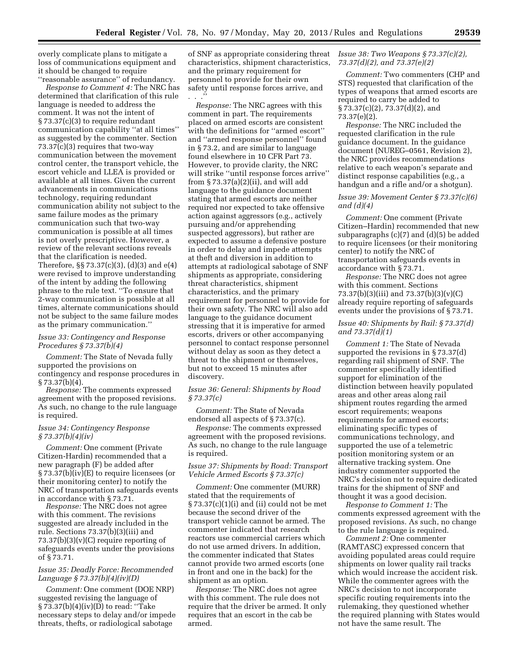overly complicate plans to mitigate a loss of communications equipment and it should be changed to require ''reasonable assurance'' of redundancy.

*Response to Comment 4:* The NRC has determined that clarification of this rule language is needed to address the comment. It was not the intent of § 73.37(c)(3) to require redundant communication capability ''at all times'' as suggested by the commenter. Section 73.37(c)(3) requires that two-way communication between the movement control center, the transport vehicle, the escort vehicle and LLEA is provided or available at all times. Given the current advancements in communications technology, requiring redundant communication ability not subject to the same failure modes as the primary communication such that two-way communication is possible at all times is not overly prescriptive. However, a review of the relevant sections reveals that the clarification is needed. Therefore, §§ 73.37(c)(3), (d)(3) and e(4) were revised to improve understanding of the intent by adding the following phrase to the rule text. ''To ensure that 2-way communication is possible at all times, alternate communications should not be subject to the same failure modes as the primary communication.''

#### *Issue 33: Contingency and Response Procedures § 73.37(b)(4)*

*Comment:* The State of Nevada fully supported the provisions on contingency and response procedures in  $§ 73.37(b)(4).$ 

*Response:* The comments expressed agreement with the proposed revisions. As such, no change to the rule language is required.

#### *Issue 34: Contingency Response § 73.37(b)(4)(iv)*

*Comment:* One comment (Private Citizen-Hardin) recommended that a new paragraph (F) be added after § 73.37(b)(iv)(E) to require licensees (or their monitoring center) to notify the NRC of transportation safeguards events in accordance with § 73.71.

*Response:* The NRC does not agree with this comment. The revisions suggested are already included in the rule. Sections 73.37(b)(3)(iii) and  $73.37(b)(3)(v)(C)$  require reporting of safeguards events under the provisions of § 73.71.

#### *Issue 35: Deadly Force: Recommended Language § 73.37(b)(4)(iv)(D)*

*Comment:* One comment (DOE NRP) suggested revising the language of § 73.37(b)(4)(iv)(D) to read: ''Take necessary steps to delay and/or impede threats, thefts, or radiological sabotage

of SNF as appropriate considering threat characteristics, shipment characteristics, and the primary requirement for personnel to provide for their own safety until response forces arrive, and . . .''

*Response:* The NRC agrees with this comment in part. The requirements placed on armed escorts are consistent with the definitions for ''armed escort'' and ''armed response personnel'' found in § 73.2, and are similar to language found elsewhere in 10 CFR Part 73. However, to provide clarity, the NRC will strike ''until response forces arrive'' from § 73.37(a)(2)(ii), and will add language to the guidance document stating that armed escorts are neither required nor expected to take offensive action against aggressors (e.g., actively pursuing and/or apprehending suspected aggressors), but rather are expected to assume a defensive posture in order to delay and impede attempts at theft and diversion in addition to attempts at radiological sabotage of SNF shipments as appropriate, considering threat characteristics, shipment characteristics, and the primary requirement for personnel to provide for their own safety. The NRC will also add language to the guidance document stressing that it is imperative for armed escorts, drivers or other accompanying personnel to contact response personnel without delay as soon as they detect a threat to the shipment or themselves, but not to exceed 15 minutes after discovery.

#### *Issue 36: General: Shipments by Road § 73.37(c)*

*Comment:* The State of Nevada endorsed all aspects of § 73.37(c).

*Response:* The comments expressed agreement with the proposed revisions. As such, no change to the rule language is required.

#### *Issue 37: Shipments by Road: Transport Vehicle Armed Escorts § 73.37(c)*

*Comment:* One commenter (MURR) stated that the requirements of  $\S 73.37(c)(1)(i)$  and (ii) could not be met because the second driver of the transport vehicle cannot be armed. The commenter indicated that research reactors use commercial carriers which do not use armed drivers. In addition, the commenter indicated that States cannot provide two armed escorts (one in front and one in the back) for the shipment as an option.

*Response:* The NRC does not agree with this comment. The rule does not require that the driver be armed. It only requires that an escort in the cab be armed.

#### *Issue 38: Two Weapons § 73.37(c)(2), 73.37(d)(2), and 73.37(e)(2)*

*Comment:* Two commenters (CHP and STS) requested that clarification of the types of weapons that armed escorts are required to carry be added to § 73.37(c)(2), 73.37(d)(2), and 73.37(e)(2).

*Response:* The NRC included the requested clarification in the rule guidance document. In the guidance document (NUREG–0561, Revision 2), the NRC provides recommendations relative to each weapon's separate and distinct response capabilities (e.g., a handgun and a rifle and/or a shotgun).

#### *Issue 39: Movement Center § 73.37(c)(6) and (d)(4)*

*Comment:* One comment (Private Citizen–Hardin) recommended that new subparagraphs (c)(7) and (d)(5) be added to require licensees (or their monitoring center) to notify the NRC of transportation safeguards events in accordance with § 73.71.

*Response:* The NRC does not agree with this comment. Sections 73.37(b)(3)(iii) and 73.37(b)(3)(v)(C) already require reporting of safeguards events under the provisions of § 73.71.

#### *Issue 40: Shipments by Rail: § 73.37(d) and 73.37(d)(1)*

*Comment 1:* The State of Nevada supported the revisions in § 73.37(d) regarding rail shipment of SNF. The commenter specifically identified support for elimination of the distinction between heavily populated areas and other areas along rail shipment routes regarding the armed escort requirements; weapons requirements for armed escorts; eliminating specific types of communications technology, and supported the use of a telemetric position monitoring system or an alternative tracking system. One industry commenter supported the NRC's decision not to require dedicated trains for the shipment of SNF and thought it was a good decision.

*Response to Comment 1:* The comments expressed agreement with the proposed revisions. As such, no change to the rule language is required.

*Comment 2:* One commenter (RAMTASC) expressed concern that avoiding populated areas could require shipments on lower quality rail tracks which would increase the accident risk. While the commenter agrees with the NRC's decision to not incorporate specific routing requirements into the rulemaking, they questioned whether the required planning with States would not have the same result. The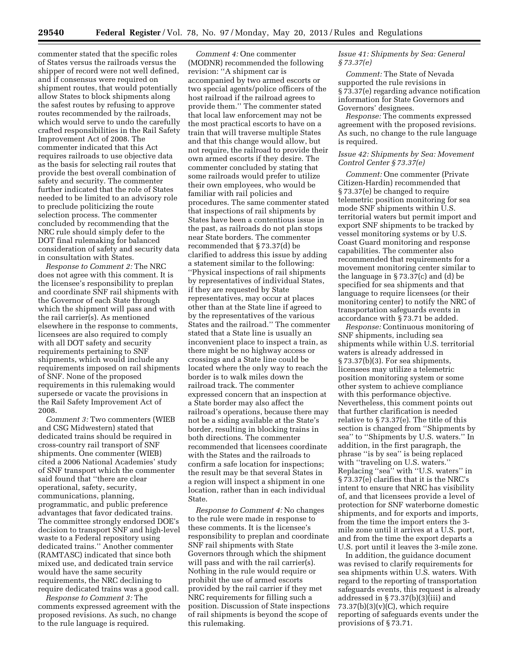commenter stated that the specific roles of States versus the railroads versus the shipper of record were not well defined, and if consensus were required on shipment routes, that would potentially allow States to block shipments along the safest routes by refusing to approve routes recommended by the railroads, which would serve to undo the carefully crafted responsibilities in the Rail Safety Improvement Act of 2008. The commenter indicated that this Act requires railroads to use objective data as the basis for selecting rail routes that provide the best overall combination of safety and security. The commenter further indicated that the role of States needed to be limited to an advisory role to preclude politicizing the route selection process. The commenter concluded by recommending that the NRC rule should simply defer to the DOT final rulemaking for balanced consideration of safety and security data in consultation with States.

*Response to Comment 2:* The NRC does not agree with this comment. It is the licensee's responsibility to preplan and coordinate SNF rail shipments with the Governor of each State through which the shipment will pass and with the rail carrier(s). As mentioned elsewhere in the response to comments, licensees are also required to comply with all DOT safety and security requirements pertaining to SNF shipments, which would include any requirements imposed on rail shipments of SNF. None of the proposed requirements in this rulemaking would supersede or vacate the provisions in the Rail Safety Improvement Act of 2008.

*Comment 3:* Two commenters (WIEB and CSG Midwestern) stated that dedicated trains should be required in cross-country rail transport of SNF shipments. One commenter (WIEB) cited a 2006 National Academies' study of SNF transport which the commenter said found that ''there are clear operational, safety, security, communications, planning, programmatic, and public preference advantages that favor dedicated trains. The committee strongly endorsed DOE's decision to transport SNF and high-level waste to a Federal repository using dedicated trains.'' Another commenter (RAMTASC) indicated that since both mixed use, and dedicated train service would have the same security requirements, the NRC declining to require dedicated trains was a good call.

*Response to Comment 3:* The comments expressed agreement with the proposed revisions. As such, no change to the rule language is required.

*Comment 4:* One commenter (MODNR) recommended the following revision: ''A shipment car is accompanied by two armed escorts or two special agents/police officers of the host railroad if the railroad agrees to provide them.'' The commenter stated that local law enforcement may not be the most practical escorts to have on a train that will traverse multiple States and that this change would allow, but not require, the railroad to provide their own armed escorts if they desire. The commenter concluded by stating that some railroads would prefer to utilize their own employees, who would be familiar with rail policies and procedures. The same commenter stated that inspections of rail shipments by States have been a contentious issue in the past, as railroads do not plan stops near State borders. The commenter recommended that § 73.37(d) be clarified to address this issue by adding a statement similar to the following: ''Physical inspections of rail shipments by representatives of individual States, if they are requested by State representatives, may occur at places other than at the State line if agreed to by the representatives of the various States and the railroad.'' The commenter stated that a State line is usually an inconvenient place to inspect a train, as there might be no highway access or crossings and a State line could be located where the only way to reach the border is to walk miles down the railroad track. The commenter expressed concern that an inspection at a State border may also affect the railroad's operations, because there may not be a siding available at the State's border, resulting in blocking trains in both directions. The commenter recommended that licensees coordinate with the States and the railroads to confirm a safe location for inspections; the result may be that several States in a region will inspect a shipment in one location, rather than in each individual State.

*Response to Comment 4:* No changes to the rule were made in response to these comments. It is the licensee's responsibility to preplan and coordinate SNF rail shipments with State Governors through which the shipment will pass and with the rail carrier(s). Nothing in the rule would require or prohibit the use of armed escorts provided by the rail carrier if they met NRC requirements for filling such a position. Discussion of State inspections of rail shipments is beyond the scope of this rulemaking.

#### *Issue 41: Shipments by Sea: General § 73.37(e)*

*Comment:* The State of Nevada supported the rule revisions in § 73.37(e) regarding advance notification information for State Governors and Governors' designees.

*Response:* The comments expressed agreement with the proposed revisions. As such, no change to the rule language is required.

#### *Issue 42: Shipments by Sea: Movement Control Center § 73.37(e)*

*Comment:* One commenter (Private Citizen-Hardin) recommended that § 73.37(e) be changed to require telemetric position monitoring for sea mode SNF shipments within U.S. territorial waters but permit import and export SNF shipments to be tracked by vessel monitoring systems or by U.S. Coast Guard monitoring and response capabilities. The commenter also recommended that requirements for a movement monitoring center similar to the language in § 73.37(c) and (d) be specified for sea shipments and that language to require licensees (or their monitoring center) to notify the NRC of transportation safeguards events in accordance with § 73.71 be added.

*Response:* Continuous monitoring of SNF shipments, including sea shipments while within U.S. territorial waters is already addressed in § 73.37(b)(3). For sea shipments, licensees may utilize a telemetric position monitoring system or some other system to achieve compliance with this performance objective. Nevertheless, this comment points out that further clarification is needed relative to § 73.37(e). The title of this section is changed from ''Shipments by sea'' to ''Shipments by U.S. waters.'' In addition, in the first paragraph, the phrase ''is by sea'' is being replaced with "traveling on U.S. waters." Replacing ''sea'' with ''U.S. waters'' in § 73.37(e) clarifies that it is the NRC's intent to ensure that NRC has visibility of, and that licensees provide a level of protection for SNF waterborne domestic shipments, and for exports and imports, from the time the import enters the 3 mile zone until it arrives at a U.S. port, and from the time the export departs a U.S. port until it leaves the 3-mile zone.

In addition, the guidance document was revised to clarify requirements for sea shipments within U.S. waters. With regard to the reporting of transportation safeguards events, this request is already addressed in § 73.37(b)(3)(iii) and  $73.37(b)(3)(v)(C)$ , which require reporting of safeguards events under the provisions of § 73.71.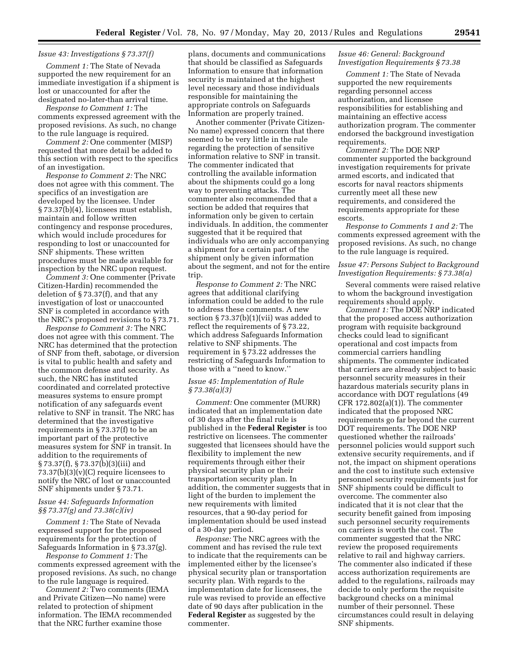#### *Issue 43: Investigations § 73.37(f)*

*Comment 1:* The State of Nevada supported the new requirement for an immediate investigation if a shipment is lost or unaccounted for after the designated no-later-than arrival time.

*Response to Comment 1:* The comments expressed agreement with the proposed revisions. As such, no change to the rule language is required.

*Comment 2:* One commenter (MISP) requested that more detail be added to this section with respect to the specifics of an investigation.

*Response to Comment 2:* The NRC does not agree with this comment. The specifics of an investigation are developed by the licensee. Under § 73.37(b)(4), licensees must establish, maintain and follow written contingency and response procedures, which would include procedures for responding to lost or unaccounted for SNF shipments. These written procedures must be made available for inspection by the NRC upon request.

*Comment 3:* One commenter (Private Citizen-Hardin) recommended the deletion of § 73.37(f), and that any investigation of lost or unaccounted SNF is completed in accordance with the NRC's proposed revisions to § 73.71.

*Response to Comment 3:* The NRC does not agree with this comment. The NRC has determined that the protection of SNF from theft, sabotage, or diversion is vital to public health and safety and the common defense and security. As such, the NRC has instituted coordinated and correlated protective measures systems to ensure prompt notification of any safeguards event relative to SNF in transit. The NRC has determined that the investigative requirements in § 73.37(f) to be an important part of the protective measures system for SNF in transit. In addition to the requirements of § 73.37(f), § 73.37(b)(3)(iii) and  $73.37(b)(3)(v)(C)$  require licensees to notify the NRC of lost or unaccounted SNF shipments under § 73.71.

#### *Issue 44: Safeguards Information §§ 73.37(g) and 73.38(c)(iv)*

*Comment 1:* The State of Nevada expressed support for the proposed requirements for the protection of Safeguards Information in § 73.37(g).

*Response to Comment 1:* The comments expressed agreement with the proposed revisions. As such, no change to the rule language is required.

*Comment 2:* Two comments (IEMA and Private Citizen—No name) were related to protection of shipment information. The IEMA recommended that the NRC further examine those

plans, documents and communications that should be classified as Safeguards Information to ensure that information security is maintained at the highest level necessary and those individuals responsible for maintaining the appropriate controls on Safeguards Information are properly trained.

Another commenter (Private Citizen-No name) expressed concern that there seemed to be very little in the rule regarding the protection of sensitive information relative to SNF in transit. The commenter indicated that controlling the available information about the shipments could go a long way to preventing attacks. The commenter also recommended that a section be added that requires that information only be given to certain individuals. In addition, the commenter suggested that it be required that individuals who are only accompanying a shipment for a certain part of the shipment only be given information about the segment, and not for the entire trip.

*Response to Comment 2:* The NRC agrees that additional clarifying information could be added to the rule to address these comments. A new section § 73.37(b)(1)(vii) was added to reflect the requirements of § 73.22, which address Safeguards Information relative to SNF shipments. The requirement in § 73.22 addresses the restricting of Safeguards Information to those with a ''need to know.''

#### *Issue 45: Implementation of Rule § 73.38(a)(3)*

*Comment:* One commenter (MURR) indicated that an implementation date of 30 days after the final rule is published in the **Federal Register** is too restrictive on licensees. The commenter suggested that licensees should have the flexibility to implement the new requirements through either their physical security plan or their transportation security plan. In addition, the commenter suggests that in light of the burden to implement the new requirements with limited resources, that a 90-day period for implementation should be used instead of a 30-day period.

*Response:* The NRC agrees with the comment and has revised the rule text to indicate that the requirements can be implemented either by the licensee's physical security plan or transportation security plan. With regards to the implementation date for licensees, the rule was revised to provide an effective date of 90 days after publication in the **Federal Register** as suggested by the commenter.

#### *Issue 46: General: Background Investigation Requirements § 73.38*

*Comment 1:* The State of Nevada supported the new requirements regarding personnel access authorization, and licensee responsibilities for establishing and maintaining an effective access authorization program. The commenter endorsed the background investigation requirements.

*Comment 2:* The DOE NRP commenter supported the background investigation requirements for private armed escorts, and indicated that escorts for naval reactors shipments currently meet all these new requirements, and considered the requirements appropriate for these escorts.

*Response to Comments 1 and 2:* The comments expressed agreement with the proposed revisions. As such, no change to the rule language is required.

*Issue 47: Persons Subject to Background Investigation Requirements: § 73.38(a)* 

Several comments were raised relative to whom the background investigation requirements should apply.

*Comment 1:* The DOE NRP indicated that the proposed access authorization program with requisite background checks could lead to significant operational and cost impacts from commercial carriers handling shipments. The commenter indicated that carriers are already subject to basic personnel security measures in their hazardous materials security plans in accordance with DOT regulations (49 CFR  $172.802(a)(1)$ . The commenter indicated that the proposed NRC requirements go far beyond the current DOT requirements. The DOE NRP questioned whether the railroads' personnel policies would support such extensive security requirements, and if not, the impact on shipment operations and the cost to institute such extensive personnel security requirements just for SNF shipments could be difficult to overcome. The commenter also indicated that it is not clear that the security benefit gained from imposing such personnel security requirements on carriers is worth the cost. The commenter suggested that the NRC review the proposed requirements relative to rail and highway carriers. The commenter also indicated if these access authorization requirements are added to the regulations, railroads may decide to only perform the requisite background checks on a minimal number of their personnel. These circumstances could result in delaying SNF shipments.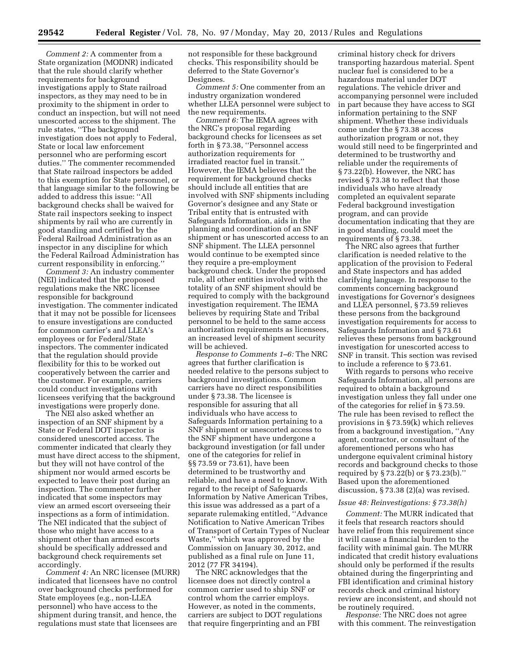*Comment 2:* A commenter from a State organization (MODNR) indicated that the rule should clarify whether requirements for background investigations apply to State railroad inspectors, as they may need to be in proximity to the shipment in order to conduct an inspection, but will not need unescorted access to the shipment. The rule states, ''The background investigation does not apply to Federal, State or local law enforcement personnel who are performing escort duties.'' The commenter recommended that State railroad inspectors be added to this exemption for State personnel, or that language similar to the following be added to address this issue: ''All background checks shall be waived for State rail inspectors seeking to inspect shipments by rail who are currently in good standing and certified by the Federal Railroad Administration as an inspector in any discipline for which the Federal Railroad Administration has current responsibility in enforcing.''

*Comment 3:* An industry commenter (NEI) indicated that the proposed regulations make the NRC licensee responsible for background investigation. The commenter indicated that it may not be possible for licensees to ensure investigations are conducted for common carrier's and LLEA's employees or for Federal/State inspectors. The commenter indicated that the regulation should provide flexibility for this to be worked out cooperatively between the carrier and the customer. For example, carriers could conduct investigations with licensees verifying that the background investigations were properly done.

The NEI also asked whether an inspection of an SNF shipment by a State or Federal DOT inspector is considered unescorted access. The commenter indicated that clearly they must have direct access to the shipment, but they will not have control of the shipment nor would armed escorts be expected to leave their post during an inspection. The commenter further indicated that some inspectors may view an armed escort overseeing their inspections as a form of intimidation. The NEI indicated that the subject of those who might have access to a shipment other than armed escorts should be specifically addressed and background check requirements set accordingly.

*Comment 4:* An NRC licensee (MURR) indicated that licensees have no control over background checks performed for State employees (e.g., non-LLEA personnel) who have access to the shipment during transit, and hence, the regulations must state that licensees are

not responsible for these background checks. This responsibility should be deferred to the State Governor's Designees.

*Comment 5:* One commenter from an industry organization wondered whether LLEA personnel were subject to the new requirements.

*Comment 6:* The IEMA agrees with the NRC's proposal regarding background checks for licensees as set forth in § 73.38, ''Personnel access authorization requirements for irradiated reactor fuel in transit.'' However, the IEMA believes that the requirement for background checks should include all entities that are involved with SNF shipments including Governor's designee and any State or Tribal entity that is entrusted with Safeguards Information, aids in the planning and coordination of an SNF shipment or has unescorted access to an SNF shipment. The LLEA personnel would continue to be exempted since they require a pre-employment background check. Under the proposed rule, all other entities involved with the totality of an SNF shipment should be required to comply with the background investigation requirement. The IEMA believes by requiring State and Tribal personnel to be held to the same access authorization requirements as licensees, an increased level of shipment security will be achieved.

*Response to Comments 1–6:* The NRC agrees that further clarification is needed relative to the persons subject to background investigations. Common carriers have no direct responsibilities under § 73.38. The licensee is responsible for assuring that all individuals who have access to Safeguards Information pertaining to a SNF shipment or unescorted access to the SNF shipment have undergone a background investigation (or fall under one of the categories for relief in §§ 73.59 or 73.61), have been determined to be trustworthy and reliable, and have a need to know. With regard to the receipt of Safeguards Information by Native American Tribes, this issue was addressed as a part of a separate rulemaking entitled, ''Advance Notification to Native American Tribes of Transport of Certain Types of Nuclear Waste,'' which was approved by the Commission on January 30, 2012, and published as a final rule on June 11, 2012 (77 FR 34194).

The NRC acknowledges that the licensee does not directly control a common carrier used to ship SNF or control whom the carrier employs. However, as noted in the comments, carriers are subject to DOT regulations that require fingerprinting and an FBI

criminal history check for drivers transporting hazardous material. Spent nuclear fuel is considered to be a hazardous material under DOT regulations. The vehicle driver and accompanying personnel were included in part because they have access to SGI information pertaining to the SNF shipment. Whether these individuals come under the § 73.38 access authorization program or not, they would still need to be fingerprinted and determined to be trustworthy and reliable under the requirements of § 73.22(b). However, the NRC has revised § 73.38 to reflect that those individuals who have already completed an equivalent separate Federal background investigation program, and can provide documentation indicating that they are in good standing, could meet the requirements of § 73.38.

The NRC also agrees that further clarification is needed relative to the application of the provision to Federal and State inspectors and has added clarifying language. In response to the comments concerning background investigations for Governor's designees and LLEA personnel, § 73.59 relieves these persons from the background investigation requirements for access to Safeguards Information and § 73.61 relieves these persons from background investigation for unescorted access to SNF in transit. This section was revised to include a reference to § 73.61.

With regards to persons who receive Safeguards Information, all persons are required to obtain a background investigation unless they fall under one of the categories for relief in § 73.59. The rule has been revised to reflect the provisions in § 73.59(k) which relieves from a background investigation, ''Any agent, contractor, or consultant of the aforementioned persons who has undergone equivalent criminal history records and background checks to those required by § 73.22(b) or § 73.23(b).'' Based upon the aforementioned discussion, § 73.38 (2)(a) was revised.

#### *Issue 48: Reinvestigations: § 73.38(h)*

*Comment:* The MURR indicated that it feels that research reactors should have relief from this requirement since it will cause a financial burden to the facility with minimal gain. The MURR indicated that credit history evaluations should only be performed if the results obtained during the fingerprinting and FBI identification and criminal history records check and criminal history review are inconsistent, and should not be routinely required.

*Response:* The NRC does not agree with this comment. The reinvestigation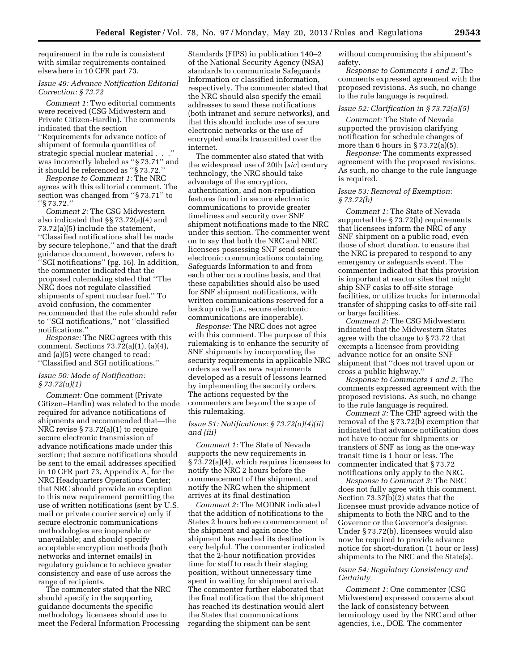requirement in the rule is consistent with similar requirements contained elsewhere in 10 CFR part 73.

# *Issue 49: Advance Notification Editorial Correction: § 73.72*

*Comment 1:* Two editorial comments were received (CSG Midwestern and Private Citizen-Hardin). The comments indicated that the section ''Requirements for advance notice of shipment of formula quantities of strategic special nuclear material . . .'' was incorrectly labeled as ''§ 73.71'' and it should be referenced as ''§ 73.72.''

*Response to Comment 1:* The NRC agrees with this editorial comment. The section was changed from ''§ 73.71'' to ''§ 73.72.''

*Comment 2:* The CSG Midwestern also indicated that §§ 73.72(a)(4) and 73.72(a)(5) include the statement, ''Classified notifications shall be made by secure telephone,'' and that the draft guidance document, however, refers to ''SGI notifications'' (pg. 16). In addition, the commenter indicated that the proposed rulemaking stated that ''The NRC does not regulate classified shipments of spent nuclear fuel.'' To avoid confusion, the commenter recommended that the rule should refer to ''SGI notifications,'' not ''classified notifications.''

*Response:* The NRC agrees with this comment. Sections 73.72(a)(1), (a)(4), and (a)(5) were changed to read: ''Classified and SGI notifications.''

#### *Issue 50: Mode of Notification: § 73.72(a)(1)*

*Comment:* One comment (Private Citizen–Hardin) was related to the mode required for advance notifications of shipments and recommended that—the NRC revise § 73.72(a)(1) to require secure electronic transmission of advance notifications made under this section; that secure notifications should be sent to the email addresses specified in 10 CFR part 73, Appendix A, for the NRC Headquarters Operations Center; that NRC should provide an exception to this new requirement permitting the use of written notifications (sent by U.S. mail or private courier service) only if secure electronic communications methodologies are inoperable or unavailable; and should specify acceptable encryption methods (both networks and internet emails) in regulatory guidance to achieve greater consistency and ease of use across the range of recipients.

The commenter stated that the NRC should specify in the supporting guidance documents the specific methodology licensees should use to meet the Federal Information Processing Standards (FIPS) in publication 140–2 of the National Security Agency (NSA) standards to communicate Safeguards Information or classified information, respectively. The commenter stated that the NRC should also specify the email addresses to send these notifications (both intranet and secure networks), and that this should include use of secure electronic networks or the use of encrypted emails transmitted over the internet.

The commenter also stated that with the widespread use of 20th [*sic*] century technology, the NRC should take advantage of the encryption, authentication, and non-repudiation features found in secure electronic communications to provide greater timeliness and security over SNF shipment notifications made to the NRC under this section. The commenter went on to say that both the NRC and NRC licensees possessing SNF send secure electronic communications containing Safeguards Information to and from each other on a routine basis, and that these capabilities should also be used for SNF shipment notifications, with written communications reserved for a backup role (i.e., secure electronic communications are inoperable).

*Response:* The NRC does not agree with this comment. The purpose of this rulemaking is to enhance the security of SNF shipments by incorporating the security requirements in applicable NRC orders as well as new requirements developed as a result of lessons learned by implementing the security orders. The actions requested by the commenters are beyond the scope of this rulemaking.

#### *Issue 51: Notifications: § 73.72(a)(4)(ii) and (iii)*

*Comment 1:* The State of Nevada supports the new requirements in § 73.72(a)(4), which requires licensees to notify the NRC 2 hours before the commencement of the shipment, and notify the NRC when the shipment arrives at its final destination

*Comment 2:* The MODNR indicated that the addition of notifications to the States 2 hours before commencement of the shipment and again once the shipment has reached its destination is very helpful. The commenter indicated that the 2-hour notification provides time for staff to reach their staging position, without unnecessary time spent in waiting for shipment arrival. The commenter further elaborated that the final notification that the shipment has reached its destination would alert the States that communications regarding the shipment can be sent

without compromising the shipment's safety.

*Response to Comments 1 and 2:* The comments expressed agreement with the proposed revisions. As such, no change to the rule language is required.

#### *Issue 52: Clarification in § 73.72(a)(5)*

*Comment:* The State of Nevada supported the provision clarifying notification for schedule changes of more than 6 hours in  $\S 73.72(a)(5)$ .

*Response:* The comments expressed agreement with the proposed revisions. As such, no change to the rule language is required.

#### *Issue 53: Removal of Exemption: § 73.72(b)*

*Comment 1:* The State of Nevada supported the § 73.72(b) requirements that licensees inform the NRC of any SNF shipment on a public road, even those of short duration, to ensure that the NRC is prepared to respond to any emergency or safeguards event. The commenter indicated that this provision is important at reactor sites that might ship SNF casks to off-site storage facilities, or utilize trucks for intermodal transfer of shipping casks to off-site rail or barge facilities.

*Comment 2:* The CSG Midwestern indicated that the Midwestern States agree with the change to § 73.72 that exempts a licensee from providing advance notice for an onsite SNF shipment that ''does not travel upon or cross a public highway.''

*Response to Comments 1 and 2:* The comments expressed agreement with the proposed revisions. As such, no change to the rule language is required.

*Comment 3:* The CHP agreed with the removal of the § 73.72(b) exemption that indicated that advance notification does not have to occur for shipments or transfers of SNF as long as the one-way transit time is 1 hour or less. The commenter indicated that § 73.72 notifications only apply to the NRC.

*Response to Comment 3:* The NRC does not fully agree with this comment. Section 73.37(b)(2) states that the licensee must provide advance notice of shipments to both the NRC and to the Governor or the Governor's designee. Under § 73.72(b), licensees would also now be required to provide advance notice for short-duration (1 hour or less) shipments to the NRC and the State(s).

#### *Issue 54: Regulatory Consistency and Certainty*

*Comment 1:* One commenter (CSG Midwestern) expressed concerns about the lack of consistency between terminology used by the NRC and other agencies, i.e., DOE. The commenter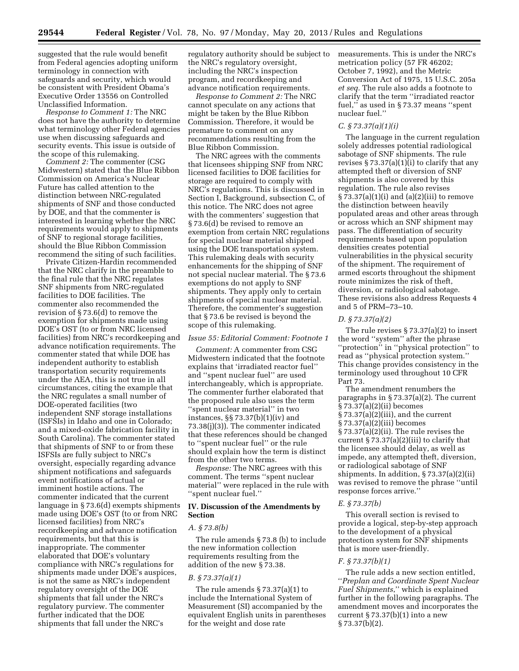suggested that the rule would benefit from Federal agencies adopting uniform terminology in connection with safeguards and security, which would be consistent with President Obama's Executive Order 13556 on Controlled Unclassified Information.

*Response to Comment 1:* The NRC does not have the authority to determine what terminology other Federal agencies use when discussing safeguards and security events. This issue is outside of the scope of this rulemaking.

*Comment 2:* The commenter (CSG Midwestern) stated that the Blue Ribbon Commission on America's Nuclear Future has called attention to the distinction between NRC-regulated shipments of SNF and those conducted by DOE, and that the commenter is interested in learning whether the NRC requirements would apply to shipments of SNF to regional storage facilities, should the Blue Ribbon Commission recommend the siting of such facilities.

Private Citizen-Hardin recommended that the NRC clarify in the preamble to the final rule that the NRC regulates SNF shipments from NRC-regulated facilities to DOE facilities. The commenter also recommended the revision of § 73.6(d) to remove the exemption for shipments made using DOE's OST (to or from NRC licensed facilities) from NRC's recordkeeping and advance notification requirements. The commenter stated that while DOE has independent authority to establish transportation security requirements under the AEA, this is not true in all circumstances, citing the example that the NRC regulates a small number of DOE-operated facilities (two independent SNF storage installations (ISFSIs) in Idaho and one in Colorado; and a mixed-oxide fabrication facility in South Carolina). The commenter stated that shipments of SNF to or from these ISFSIs are fully subject to NRC's oversight, especially regarding advance shipment notifications and safeguards event notifications of actual or imminent hostile actions. The commenter indicated that the current language in § 73.6(d) exempts shipments made using DOE's OST (to or from NRC licensed facilities) from NRC's recordkeeping and advance notification requirements, but that this is inappropriate. The commenter elaborated that DOE's voluntary compliance with NRC's regulations for shipments made under DOE's auspices, is not the same as NRC's independent regulatory oversight of the DOE shipments that fall under the NRC's regulatory purview. The commenter further indicated that the DOE shipments that fall under the NRC's

regulatory authority should be subject to the NRC's regulatory oversight, including the NRC's inspection program, and recordkeeping and advance notification requirements.

*Response to Comment 2:* The NRC cannot speculate on any actions that might be taken by the Blue Ribbon Commission. Therefore, it would be premature to comment on any recommendations resulting from the Blue Ribbon Commission.

The NRC agrees with the comments that licensees shipping SNF from NRC licensed facilities to DOE facilities for storage are required to comply with NRC's regulations. This is discussed in Section I, Background, subsection C, of this notice. The NRC does not agree with the commenters' suggestion that § 73.6(d) be revised to remove an exemption from certain NRC regulations for special nuclear material shipped using the DOE transportation system. This rulemaking deals with security enhancements for the shipping of SNF not special nuclear material. The § 73.6 exemptions do not apply to SNF shipments. They apply only to certain shipments of special nuclear material. Therefore, the commenter's suggestion that § 73.6 be revised is beyond the scope of this rulemaking.

#### *Issue 55: Editorial Comment: Footnote 1*

*Comment:* A commenter from CSG Midwestern indicated that the footnote explains that 'irradiated reactor fuel'' and ''spent nuclear fuel'' are used interchangeably, which is appropriate. The commenter further elaborated that the proposed rule also uses the term ''spent nuclear material'' in two instances, §§ 73.37(b)(1)(iv) and 73.38(j)(3)). The commenter indicated that these references should be changed to ''spent nuclear fuel'' or the rule should explain how the term is distinct from the other two terms.

*Response:* The NRC agrees with this comment. The terms ''spent nuclear material'' were replaced in the rule with ''spent nuclear fuel.''

#### **IV. Discussion of the Amendments by Section**

#### *A. § 73.8(b)*

The rule amends § 73.8 (b) to include the new information collection requirements resulting from the addition of the new § 73.38.

# *B. § 73.37(a)(1)*

The rule amends § 73.37(a)(1) to include the International System of Measurement (SI) accompanied by the equivalent English units in parentheses for the weight and dose rate

measurements. This is under the NRC's metrication policy (57 FR 46202; October 7, 1992), and the Metric Conversion Act of 1975, 15 U.S.C. 205a *et seq.* The rule also adds a footnote to clarify that the term ''irradiated reactor fuel,'' as used in § 73.37 means ''spent nuclear fuel.''

#### *C. § 73.37(a)(1)(i)*

The language in the current regulation solely addresses potential radiological sabotage of SNF shipments. The rule revises  $\S 73.37(a)(1)(i)$  to clarify that any attempted theft or diversion of SNF shipments is also covered by this regulation. The rule also revises  $\S 73.37(a)(1)(i)$  and  $(a)(2)(iii)$  to remove the distinction between heavily populated areas and other areas through or across which an SNF shipment may pass. The differentiation of security requirements based upon population densities creates potential vulnerabilities in the physical security of the shipment. The requirement of armed escorts throughout the shipment route minimizes the risk of theft, diversion, or radiological sabotage. These revisions also address Requests 4 and 5 of PRM–73–10.

#### *D. § 73.37(a)(2)*

The rule revises § 73.37(a)(2) to insert the word ''system'' after the phrase ''protection'' in ''physical protection'' to read as ''physical protection system.'' This change provides consistency in the terminology used throughout 10 CFR Part 73.

The amendment renumbers the paragraphs in § 73.37(a)(2). The current § 73.37(a)(2)(ii) becomes § 73.37(a)(2)(iii), and the current § 73.37(a)(2)(iii) becomes § 73.37(a)(2)(ii). The rule revises the current  $\S 73.37(a)(2)(iii)$  to clarify that the licensee should delay, as well as impede, any attempted theft, diversion, or radiological sabotage of SNF shipments. In addition, § 73.37(a)(2)(ii) was revised to remove the phrase ''until response forces arrive.''

#### *E. § 73.37(b)*

This overall section is revised to provide a logical, step-by-step approach to the development of a physical protection system for SNF shipments that is more user-friendly.

#### *F. § 73.37(b)(1)*

The rule adds a new section entitled, ''*Preplan and Coordinate Spent Nuclear Fuel Shipments*,'' which is explained further in the following paragraphs. The amendment moves and incorporates the current  $\S 73.37(b)(1)$  into a new § 73.37(b)(2).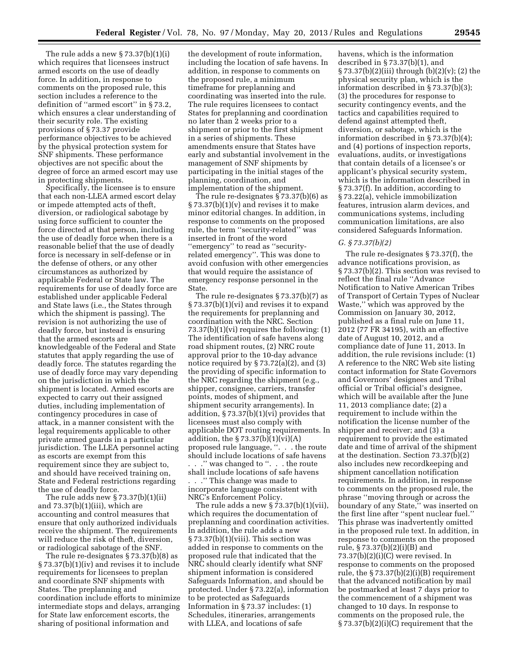The rule adds a new § 73.37(b)(1)(i) which requires that licensees instruct armed escorts on the use of deadly force. In addition, in response to comments on the proposed rule, this section includes a reference to the definition of ''armed escort'' in § 73.2, which ensures a clear understanding of their security role. The existing provisions of § 73.37 provide performance objectives to be achieved by the physical protection system for SNF shipments. These performance objectives are not specific about the degree of force an armed escort may use in protecting shipments.

Specifically, the licensee is to ensure that each non-LLEA armed escort delay or impede attempted acts of theft, diversion, or radiological sabotage by using force sufficient to counter the force directed at that person, including the use of deadly force when there is a reasonable belief that the use of deadly force is necessary in self-defense or in the defense of others, or any other circumstances as authorized by applicable Federal or State law. The requirements for use of deadly force are established under applicable Federal and State laws (i.e., the States through which the shipment is passing). The revision is not authorizing the use of deadly force, but instead is ensuring that the armed escorts are knowledgeable of the Federal and State statutes that apply regarding the use of deadly force. The statutes regarding the use of deadly force may vary depending on the jurisdiction in which the shipment is located. Armed escorts are expected to carry out their assigned duties, including implementation of contingency procedures in case of attack, in a manner consistent with the legal requirements applicable to other private armed guards in a particular jurisdiction. The LLEA personnel acting as escorts are exempt from this requirement since they are subject to, and should have received training on, State and Federal restrictions regarding the use of deadly force.

The rule adds new § 73.37(b)(1)(ii) and 73.37(b)(1)(iii), which are accounting and control measures that ensure that only authorized individuals receive the shipment. The requirements will reduce the risk of theft, diversion, or radiological sabotage of the SNF.

The rule re-designates § 73.37(b)(8) as § 73.37(b)(1)(iv) and revises it to include requirements for licensees to preplan and coordinate SNF shipments with States. The preplanning and coordination include efforts to minimize intermediate stops and delays, arranging for State law enforcement escorts, the sharing of positional information and

the development of route information, including the location of safe havens. In addition, in response to comments on the proposed rule, a minimum timeframe for preplanning and coordinating was inserted into the rule. The rule requires licensees to contact States for preplanning and coordination no later than 2 weeks prior to a shipment or prior to the first shipment in a series of shipments. These amendments ensure that States have early and substantial involvement in the management of SNF shipments by participating in the initial stages of the planning, coordination, and implementation of the shipment.

The rule re-designates § 73.37(b)(6) as § 73.37(b)(1)(v) and revises it to make minor editorial changes. In addition, in response to comments on the proposed rule, the term ''security-related'' was inserted in front of the word ''emergency'' to read as ''securityrelated emergency''. This was done to avoid confusion with other emergencies that would require the assistance of emergency response personnel in the State.

The rule re-designates § 73.37(b)(7) as § 73.37(b)(1)(vi) and revises it to expand the requirements for preplanning and coordination with the NRC. Section 73.37(b)(1)(vi) requires the following: (1) The identification of safe havens along road shipment routes, (2) NRC route approval prior to the 10-day advance notice required by  $\S 73.72(a)(2)$ , and (3) the providing of specific information to the NRC regarding the shipment (e.g., shipper, consignee, carriers, transfer points, modes of shipment, and shipment security arrangements). In addition, § 73.37(b)(1)(vi) provides that licensees must also comply with applicable DOT routing requirements. In addition, the  $\S 73.37(b)(1)(vi)(A)$ proposed rule language, ''. . . the route should include locations of safe havens . . .'' was changed to ''. . . the route shall include locations of safe havens . . .'' This change was made to

incorporate language consistent with NRC's Enforcement Policy.

The rule adds a new § 73.37(b)(1)(vii), which requires the documentation of preplanning and coordination activities. In addition, the rule adds a new § 73.37(b)(1)(viii). This section was added in response to comments on the proposed rule that indicated that the NRC should clearly identify what SNF shipment information is considered Safeguards Information, and should be protected. Under § 73.22(a), information to be protected as Safeguards Information in § 73.37 includes: (1) Schedules, itineraries, arrangements with LLEA, and locations of safe

havens, which is the information described in § 73.37(b)(1), and § 73.37(b)(2)(iii) through (b)(2)(v); (2) the physical security plan, which is the information described in § 73.37(b)(3); (3) the procedures for response to security contingency events, and the tactics and capabilities required to defend against attempted theft, diversion, or sabotage, which is the information described in § 73.37(b)(4); and (4) portions of inspection reports, evaluations, audits, or investigations that contain details of a licensee's or applicant's physical security system, which is the information described in § 73.37(f). In addition, according to § 73.22(a), vehicle immobilization features, intrusion alarm devices, and communications systems, including communication limitations, are also considered Safeguards Information.

#### *G. § 73.37(b)(2)*

The rule re-designates § 73.37(f), the advance notifications provision, as § 73.37(b)(2). This section was revised to reflect the final rule ''Advance Notification to Native American Tribes of Transport of Certain Types of Nuclear Waste,'' which was approved by the Commission on January 30, 2012, published as a final rule on June 11, 2012 (77 FR 34195), with an effective date of August 10, 2012, and a compliance date of June 11, 2013. In addition, the rule revisions include: (1) A reference to the NRC Web site listing contact information for State Governors and Governors' designees and Tribal official or Tribal official's designee, which will be available after the June 11, 2013 compliance date; (2) a requirement to include within the notification the license number of the shipper and receiver; and (3) a requirement to provide the estimated date and time of arrival of the shipment at the destination. Section 73.37(b)(2) also includes new recordkeeping and shipment cancellation notification requirements. In addition, in response to comments on the proposed rule, the phrase ''moving through or across the boundary of any State,'' was inserted on the first line after ''spent nuclear fuel.'' This phrase was inadvertently omitted in the proposed rule text. In addition, in response to comments on the proposed rule, § 73.37(b)(2)(i)(B) and 73.37(b)(2)(i)(C) were revised. In response to comments on the proposed rule, the § 73.37(b)(2)(i)(B) requirement that the advanced notification by mail be postmarked at least 7 days prior to the commencement of a shipment was changed to 10 days. In response to comments on the proposed rule, the § 73.37(b)(2)(i)(C) requirement that the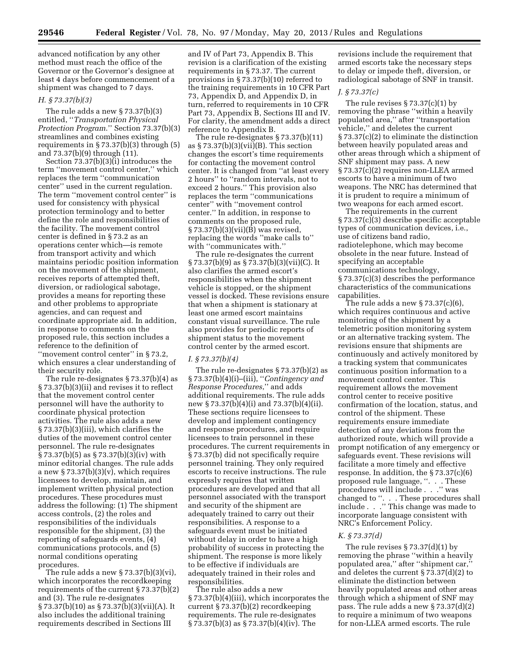advanced notification by any other method must reach the office of the Governor or the Governor's designee at least 4 days before commencement of a shipment was changed to 7 days.

#### *H. § 73.37(b)(3)*

The rule adds a new § 73.37(b)(3) entitled, ''*Transportation Physical Protection Program*.'' Section 73.37(b)(3) streamlines and combines existing requirements in  $\S 73.37(b)(3)$  through  $(5)$ and 73.37(b)(9) through (11).

Section 73.37(b)(3)(i) introduces the term ''movement control center,'' which replaces the term ''communication center'' used in the current regulation. The term ''movement control center'' is used for consistency with physical protection terminology and to better define the role and responsibilities of the facility. The movement control center is defined in § 73.2 as an operations center which—is remote from transport activity and which maintains periodic position information on the movement of the shipment, receives reports of attempted theft, diversion, or radiological sabotage, provides a means for reporting these and other problems to appropriate agencies, and can request and coordinate appropriate aid. In addition, in response to comments on the proposed rule, this section includes a reference to the definition of "movement control center" in §73.2, which ensures a clear understanding of their security role.

The rule re-designates § 73.37(b)(4) as § 73.37(b)(3)(ii) and revises it to reflect that the movement control center personnel will have the authority to coordinate physical protection activities. The rule also adds a new § 73.37(b)(3)(iii), which clarifies the duties of the movement control center personnel. The rule re-designates § 73.37(b)(5) as § 73.37(b)(3)(iv) with minor editorial changes. The rule adds a new  $\S 73.37(b)(3)(v)$ , which requires licensees to develop, maintain, and implement written physical protection procedures. These procedures must address the following: (1) The shipment access controls, (2) the roles and responsibilities of the individuals responsible for the shipment, (3) the reporting of safeguards events, (4) communications protocols, and (5) normal conditions operating procedures.

The rule adds a new  $\S 73.37(b)(3)(vi)$ , which incorporates the recordkeeping requirements of the current § 73.37(b)(2) and (3). The rule re-designates § 73.37(b)(10) as § 73.37(b)(3)(vii)(A). It also includes the additional training requirements described in Sections III

and IV of Part 73, Appendix B. This revision is a clarification of the existing requirements in § 73.37. The current provisions in § 73.37(b)(10) referred to the training requirements in 10 CFR Part 73, Appendix D, and Appendix D, in turn, referred to requirements in 10 CFR Part 73, Appendix B, Sections III and IV. For clarity, the amendment adds a direct reference to Appendix B.

The rule re-designates § 73.37(b)(11) as § 73.37(b)(3)(vii)(B). This section changes the escort's time requirements for contacting the movement control center. It is changed from ''at least every 2 hours'' to ''random intervals, not to exceed 2 hours.'' This provision also replaces the term ''communications center'' with ''movement control center.'' In addition, in response to comments on the proposed rule, § 73.37(b)(3)(vii)(B) was revised, replacing the words ''make calls to'' with "communicates with."

The rule re-designates the current § 73.37(b)(9) as § 73.37(b)(3)(vii)(C). It also clarifies the armed escort's responsibilities when the shipment vehicle is stopped, or the shipment vessel is docked. These revisions ensure that when a shipment is stationary at least one armed escort maintains constant visual surveillance. The rule also provides for periodic reports of shipment status to the movement control center by the armed escort.

#### *I. § 73.37(b)(4)*

The rule re-designates § 73.37(b)(2) as § 73.37(b)(4)(i)–(iii), ''*Contingency and Response Procedures*,'' and adds additional requirements. The rule adds new § 73.37(b)(4)(i) and 73.37(b)(4)(ii). These sections require licensees to develop and implement contingency and response procedures, and require licensees to train personnel in these procedures. The current requirements in § 73.37(b) did not specifically require personnel training. They only required escorts to receive instructions. The rule expressly requires that written procedures are developed and that all personnel associated with the transport and security of the shipment are adequately trained to carry out their responsibilities. A response to a safeguards event must be initiated without delay in order to have a high probability of success in protecting the shipment. The response is more likely to be effective if individuals are adequately trained in their roles and responsibilities.

The rule also adds a new § 73.37(b)(4)(iii), which incorporates the current § 73.37(b)(2) recordkeeping requirements. The rule re-designates § 73.37(b)(3) as § 73.37(b)(4)(iv). The

revisions include the requirement that armed escorts take the necessary steps to delay or impede theft, diversion, or radiological sabotage of SNF in transit.

#### *J. § 73.37(c)*

The rule revises  $\S 73.37(c)(1)$  by removing the phrase ''within a heavily populated area,'' after ''transportation vehicle,'' and deletes the current § 73.37(c)(2) to eliminate the distinction between heavily populated areas and other areas through which a shipment of SNF shipment may pass. A new § 73.37(c)(2) requires non-LLEA armed escorts to have a minimum of two weapons. The NRC has determined that it is prudent to require a minimum of two weapons for each armed escort.

The requirements in the current § 73.37(c)(3) describe specific acceptable types of communication devices, i.e., use of citizens band radio, radiotelephone, which may become obsolete in the near future. Instead of specifying an acceptable communications technology, § 73.37(c)(3) describes the performance characteristics of the communications capabilities.

The rule adds a new § 73.37(c)(6), which requires continuous and active monitoring of the shipment by a telemetric position monitoring system or an alternative tracking system. The revisions ensure that shipments are continuously and actively monitored by a tracking system that communicates continuous position information to a movement control center. This requirement allows the movement control center to receive positive confirmation of the location, status, and control of the shipment. These requirements ensure immediate detection of any deviations from the authorized route, which will provide a prompt notification of any emergency or safeguards event. These revisions will facilitate a more timely and effective response. In addition, the § 73.37(c)(6) proposed rule language, ''. . . These procedures will include . . .'' was changed to ''. . . These procedures shall include . . .'' This change was made to incorporate language consistent with NRC's Enforcement Policy.

#### *K. § 73.37(d)*

The rule revises § 73.37(d)(1) by removing the phrase ''within a heavily populated area,'' after ''shipment car,'' and deletes the current  $\S 73.37(d)(2)$  to eliminate the distinction between heavily populated areas and other areas through which a shipment of SNF may pass. The rule adds a new § 73.37(d)(2) to require a minimum of two weapons for non-LLEA armed escorts. The rule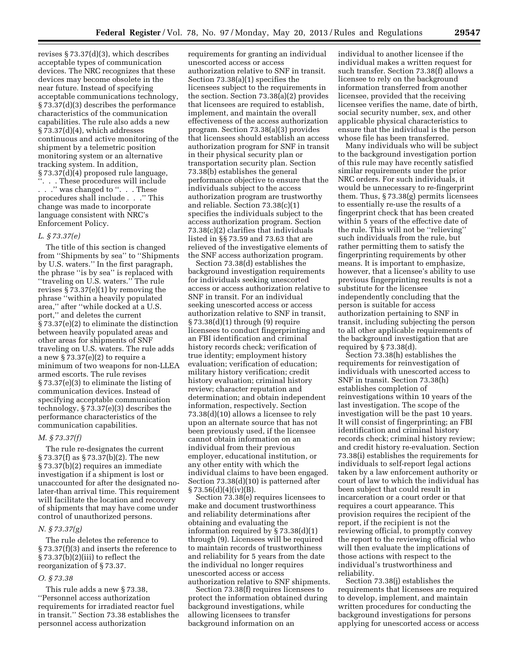revises § 73.37(d)(3), which describes acceptable types of communication devices. The NRC recognizes that these devices may become obsolete in the near future. Instead of specifying acceptable communications technology, § 73.37(d)(3) describes the performance characteristics of the communication capabilities. The rule also adds a new § 73.37(d)(4), which addresses continuous and active monitoring of the shipment by a telemetric position monitoring system or an alternative tracking system. In addition, § 73.37(d)(4) proposed rule language, ''. . . These procedures will include . . .'' was changed to ''. . . These procedures shall include . . .'' This change was made to incorporate language consistent with NRC's Enforcement Policy.

# *L. § 73.37(e)*

The title of this section is changed from ''Shipments by sea'' to ''Shipments by U.S. waters.'' In the first paragraph, the phrase ''is by sea'' is replaced with ''traveling on U.S. waters.'' The rule revises § 73.37(e)(1) by removing the phrase ''within a heavily populated area,'' after ''while docked at a U.S. port,'' and deletes the current § 73.37(e)(2) to eliminate the distinction between heavily populated areas and other areas for shipments of SNF traveling on U.S. waters. The rule adds a new § 73.37(e)(2) to require a minimum of two weapons for non-LLEA armed escorts. The rule revises § 73.37(e)(3) to eliminate the listing of communication devices. Instead of specifying acceptable communication technology, § 73.37(e)(3) describes the performance characteristics of the communication capabilities.

#### *M. § 73.37(f)*

The rule re-designates the current § 73.37(f) as § 73.37(b)(2). The new § 73.37(b)(2) requires an immediate investigation if a shipment is lost or unaccounted for after the designated nolater-than arrival time. This requirement will facilitate the location and recovery of shipments that may have come under control of unauthorized persons.

#### *N. § 73.37(g)*

The rule deletes the reference to § 73.37(f)(3) and inserts the reference to § 73.37(b)(2)(iii) to reflect the reorganization of § 73.37.

#### *O. § 73.38*

This rule adds a new § 73.38, ''Personnel access authorization requirements for irradiated reactor fuel in transit.'' Section 73.38 establishes the personnel access authorization

requirements for granting an individual unescorted access or access authorization relative to SNF in transit. Section 73.38(a)(1) specifies the licensees subject to the requirements in the section. Section 73.38(a)(2) provides that licensees are required to establish, implement, and maintain the overall effectiveness of the access authorization program. Section 73.38(a)(3) provides that licensees should establish an access authorization program for SNF in transit in their physical security plan or transportation security plan. Section 73.38(b) establishes the general performance objective to ensure that the individuals subject to the access authorization program are trustworthy and reliable. Section 73.38(c)(1) specifies the individuals subject to the access authorization program. Section 73.38(c)(2) clarifies that individuals listed in §§ 73.59 and 73.63 that are relieved of the investigative elements of the SNF access authorization program.

Section 73.38(d) establishes the background investigation requirements for individuals seeking unescorted access or access authorization relative to SNF in transit. For an individual seeking unescorted access or access authorization relative to SNF in transit, § 73.38(d)(1) through (9) require licensees to conduct fingerprinting and an FBI identification and criminal history records check; verification of true identity; employment history evaluation; verification of education; military history verification; credit history evaluation; criminal history review; character reputation and determination; and obtain independent information, respectively. Section 73.38(d)(10) allows a licensee to rely upon an alternate source that has not been previously used, if the licensee cannot obtain information on an individual from their previous employer, educational institution, or any other entity with which the individual claims to have been engaged. Section 73.38(d)(10) is patterned after § 73.56(d)(4)(iv)(B).

Section 73.38(e) requires licensees to make and document trustworthiness and reliability determinations after obtaining and evaluating the information required by § 73.38(d)(1) through (9). Licensees will be required to maintain records of trustworthiness and reliability for 5 years from the date the individual no longer requires unescorted access or access authorization relative to SNF shipments.

Section 73.38(f) requires licensees to protect the information obtained during background investigations, while allowing licensees to transfer background information on an

individual to another licensee if the individual makes a written request for such transfer. Section 73.38(f) allows a licensee to rely on the background information transferred from another licensee, provided that the receiving licensee verifies the name, date of birth, social security number, sex, and other applicable physical characteristics to ensure that the individual is the person whose file has been transferred.

Many individuals who will be subject to the background investigation portion of this rule may have recently satisfied similar requirements under the prior NRC orders. For such individuals, it would be unnecessary to re-fingerprint them. Thus, § 73.38(g) permits licensees to essentially re-use the results of a fingerprint check that has been created within 5 years of the effective date of the rule. This will not be ''relieving'' such individuals from the rule, but rather permitting them to satisfy the fingerprinting requirements by other means. It is important to emphasize, however, that a licensee's ability to use previous fingerprinting results is not a substitute for the licensee independently concluding that the person is suitable for access authorization pertaining to SNF in transit, including subjecting the person to all other applicable requirements of the background investigation that are required by § 73.38(d).

Section 73.38(h) establishes the requirements for reinvestigation of individuals with unescorted access to SNF in transit. Section 73.38(h) establishes completion of reinvestigations within 10 years of the last investigation. The scope of the investigation will be the past 10 years. It will consist of fingerprinting; an FBI identification and criminal history records check; criminal history review; and credit history re-evaluation. Section 73.38(i) establishes the requirements for individuals to self-report legal actions taken by a law enforcement authority or court of law to which the individual has been subject that could result in incarceration or a court order or that requires a court appearance. This provision requires the recipient of the report, if the recipient is not the reviewing official, to promptly convey the report to the reviewing official who will then evaluate the implications of those actions with respect to the individual's trustworthiness and reliability.

Section 73.38(j) establishes the requirements that licensees are required to develop, implement, and maintain written procedures for conducting the background investigations for persons applying for unescorted access or access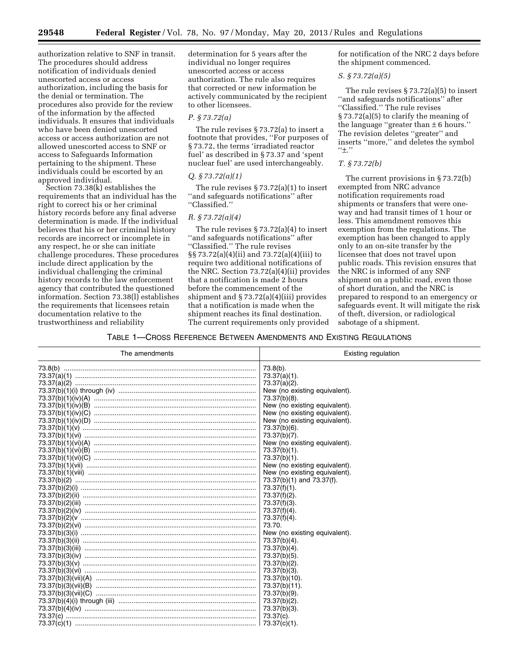authorization relative to SNF in transit. The procedures should address notification of individuals denied unescorted access or access authorization, including the basis for the denial or termination. The procedures also provide for the review of the information by the affected individuals. It ensures that individuals who have been denied unescorted access or access authorization are not allowed unescorted access to SNF or access to Safeguards Information pertaining to the shipment. These individuals could be escorted by an approved individual.

Section 73.38(k) establishes the requirements that an individual has the right to correct his or her criminal history records before any final adverse determination is made. If the individual believes that his or her criminal history records are incorrect or incomplete in any respect, he or she can initiate challenge procedures. These procedures include direct application by the individual challenging the criminal history records to the law enforcement agency that contributed the questioned information. Section 73.38(l) establishes the requirements that licensees retain documentation relative to the trustworthiness and reliability

determination for 5 years after the individual no longer requires unescorted access or access authorization. The rule also requires that corrected or new information be actively communicated by the recipient to other licensees.

#### *P. § 73.72(a)*

The rule revises § 73.72(a) to insert a footnote that provides, ''For purposes of § 73.72, the terms 'irradiated reactor fuel' as described in § 73.37 and 'spent nuclear fuel' are used interchangeably.

#### *Q. § 73.72(a)(1)*

The rule revises § 73.72(a)(1) to insert ''and safeguards notifications'' after ''Classified.''

#### *R. § 73.72(a)(4)*

The rule revises  $\S 73.72(a)(4)$  to insert ''and safeguards notifications'' after ''Classified.'' The rule revises §§ 73.72(a)(4)(ii) and 73.72(a)(4)(iii) to require two additional notifications of the NRC. Section 73.72(a)(4)(ii) provides that a notification is made 2 hours before the commencement of the shipment and § 73.72(a)(4)(iii) provides that a notification is made when the shipment reaches its final destination. The current requirements only provided for notification of the NRC 2 days before the shipment commenced.

## *S. § 73.72(a)(5)*

The rule revises § 73.72(a)(5) to insert ''and safeguards notifications'' after ''Classified.'' The rule revises § 73.72(a)(5) to clarify the meaning of the language "greater than  $\pm$  6 hours." The revision deletes ''greater'' and inserts ''more,'' and deletes the symbol ''±.''

# *T. § 73.72(b)*

The current provisions in § 73.72(b) exempted from NRC advance notification requirements road shipments or transfers that were oneway and had transit times of 1 hour or less. This amendment removes this exemption from the regulations. The exemption has been changed to apply only to an on-site transfer by the licensee that does not travel upon public roads. This revision ensures that the NRC is informed of any SNF shipment on a public road, even those of short duration, and the NRC is prepared to respond to an emergency or safeguards event. It will mitigate the risk of theft, diversion, or radiological sabotage of a shipment.

#### TABLE 1—CROSS REFERENCE BETWEEN AMENDMENTS AND EXISTING REGULATIONS

| The amendments | Existing regulation           |
|----------------|-------------------------------|
|                | $73.8(b)$ .                   |
|                | $73.37(a)(1)$ .               |
|                | 73.37(a)(2).                  |
|                | New (no existing equivalent). |
|                | 73.37(b)(8).                  |
|                | New (no existing equivalent). |
|                | New (no existing equivalent). |
|                | New (no existing equivalent). |
|                | 73.37(b)(6).                  |
|                | 73.37(b)(7).                  |
|                | New (no existing equivalent). |
|                | 73.37(b)(1).                  |
|                | 73.37(b)(1).                  |
|                | New (no existing equivalent). |
|                | New (no existing equivalent). |
|                | 73.37(b)(1) and 73.37(f).     |
|                | 73.37(f)(1).                  |
|                | 73.37(f)(2).                  |
|                | $73.37(f)(3)$ .               |
|                | 73.37(f)(4).                  |
|                | 73.37(f)(4).                  |
|                | 73.70.                        |
|                | New (no existing equivalent). |
|                | 73.37(b)(4).                  |
|                | 73.37(b)(4).                  |
|                | 73.37(b)(5).                  |
|                | 73.37(b)(2).                  |
|                | 73.37(b)(3).                  |
|                | 73.37(b)(10).                 |
|                | 73.37(b)(11).                 |
|                | 73.37(b)(9).                  |
|                | 73.37(b)(2).                  |
|                | 73.37(b)(3).                  |
|                | 73.37(c).                     |
|                |                               |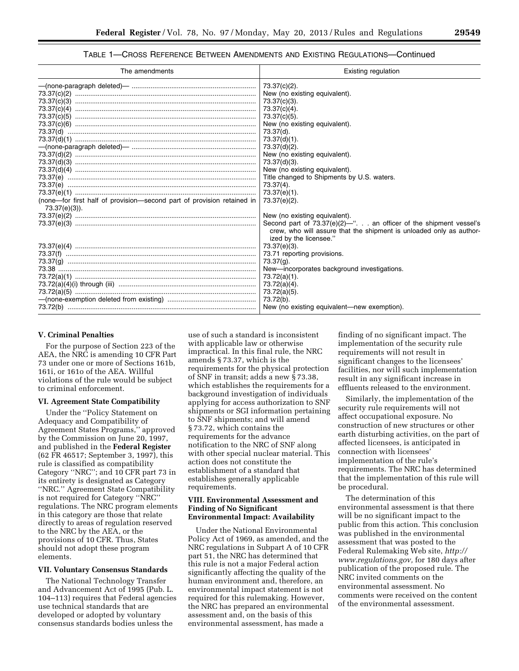# TABLE 1—CROSS REFERENCE BETWEEN AMENDMENTS AND EXISTING REGULATIONS—Continued

| The amendments                                                                          | Existing regulation                                                                                                                                                                                                                                                                                                                                                                                                                                                                                                                      |
|-----------------------------------------------------------------------------------------|------------------------------------------------------------------------------------------------------------------------------------------------------------------------------------------------------------------------------------------------------------------------------------------------------------------------------------------------------------------------------------------------------------------------------------------------------------------------------------------------------------------------------------------|
| (none—for first half of provision—second part of provision retained in<br>73.37(e)(3)). | 73.37(c)(2).<br>New (no existing equivalent).<br>73.37(c)(3).<br>73.37(c)(4).<br>73.37(c)(5).<br>New (no existing equivalent).<br>73.37(d).<br>73.37(d)(1).<br>73.37(d)(2).<br>New (no existing equivalent).<br>73.37(d)(3).<br>New (no existing equivalent).<br>Title changed to Shipments by U.S. waters.<br>$73.37(4)$ .<br>73.37(e)(1).<br>73.37(e)(2).<br>New (no existing equivalent).<br>Second part of 73.37(e)(2)-". an officer of the shipment vessel's<br>crew, who will assure that the shipment is unloaded only as author- |
|                                                                                         | ized by the licensee."<br>73.37(e)(3).<br>73.71 reporting provisions.<br>$73.37(q)$ .<br>New-incorporates background investigations.<br>73.72(a)(1).<br>73.72(a)(4).<br>73.72(a)(5).<br>73.72(b).<br>New (no existing equivalent—new exemption).                                                                                                                                                                                                                                                                                         |

#### **V. Criminal Penalties**

For the purpose of Section 223 of the AEA, the NRC is amending 10 CFR Part 73 under one or more of Sections 161b, 161i, or 161o of the AEA. Willful violations of the rule would be subject to criminal enforcement.

#### **VI. Agreement State Compatibility**

Under the ''Policy Statement on Adequacy and Compatibility of Agreement States Programs,'' approved by the Commission on June 20, 1997, and published in the **Federal Register**  (62 FR 46517; September 3, 1997), this rule is classified as compatibility Category ''NRC''; and 10 CFR part 73 in its entirety is designated as Category ''NRC.'' Agreement State Compatibility is not required for Category ''NRC'' regulations. The NRC program elements in this category are those that relate directly to areas of regulation reserved to the NRC by the AEA, or the provisions of 10 CFR. Thus, States should not adopt these program elements.

#### **VII. Voluntary Consensus Standards**

The National Technology Transfer and Advancement Act of 1995 (Pub. L. 104–113) requires that Federal agencies use technical standards that are developed or adopted by voluntary consensus standards bodies unless the

use of such a standard is inconsistent with applicable law or otherwise impractical. In this final rule, the NRC amends § 73.37, which is the requirements for the physical protection of SNF in transit; adds a new § 73.38, which establishes the requirements for a background investigation of individuals applying for access authorization to SNF shipments or SGI information pertaining to SNF shipments; and will amend § 73.72, which contains the requirements for the advance notification to the NRC of SNF along with other special nuclear material. This action does not constitute the establishment of a standard that establishes generally applicable requirements.

#### **VIII. Environmental Assessment and Finding of No Significant Environmental Impact: Availability**

Under the National Environmental Policy Act of 1969, as amended, and the NRC regulations in Subpart A of 10 CFR part 51, the NRC has determined that this rule is not a major Federal action significantly affecting the quality of the human environment and, therefore, an environmental impact statement is not required for this rulemaking. However, the NRC has prepared an environmental assessment and, on the basis of this environmental assessment, has made a

finding of no significant impact. The implementation of the security rule requirements will not result in significant changes to the licensees' facilities, nor will such implementation result in any significant increase in effluents released to the environment.

Similarly, the implementation of the security rule requirements will not affect occupational exposure. No construction of new structures or other earth disturbing activities, on the part of affected licensees, is anticipated in connection with licensees' implementation of the rule's requirements. The NRC has determined that the implementation of this rule will be procedural.

The determination of this environmental assessment is that there will be no significant impact to the public from this action. This conclusion was published in the environmental assessment that was posted to the Federal Rulemaking Web site, *[http://](http://www.regulations.gov) [www.regulations.gov,](http://www.regulations.gov)* for 180 days after publication of the proposed rule. The NRC invited comments on the environmental assessment. No comments were received on the content of the environmental assessment.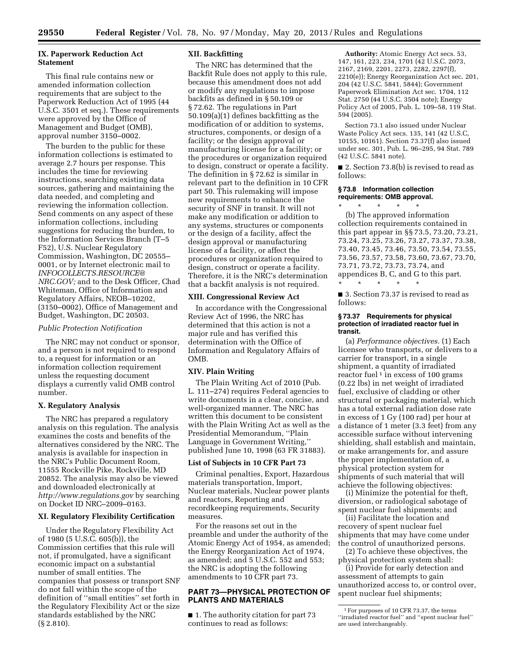#### **IX. Paperwork Reduction Act Statement**

This final rule contains new or amended information collection requirements that are subject to the Paperwork Reduction Act of 1995 (44 U.S.C. 3501 et seq.). These requirements were approved by the Office of Management and Budget (OMB), approval number 3150–0002.

The burden to the public for these information collections is estimated to average 2.7 hours per response. This includes the time for reviewing instructions, searching existing data sources, gathering and maintaining the data needed, and completing and reviewing the information collection. Send comments on any aspect of these information collections, including suggestions for reducing the burden, to the Information Services Branch (T–5 F52), U.S. Nuclear Regulatory Commission, Washington, DC 20555– 0001, or by Internet electronic mail to *[INFOCOLLECTS.RESOURCE@](mailto:INFOCOLLECTS.RESOURCE@NRC.GOV) [NRC.GOV;](mailto:INFOCOLLECTS.RESOURCE@NRC.GOV)* and to the Desk Officer, Chad Whiteman, Office of Information and Regulatory Affairs, NEOB–10202, (3150–0002), Office of Management and Budget, Washington, DC 20503.

#### *Public Protection Notification*

The NRC may not conduct or sponsor, and a person is not required to respond to, a request for information or an information collection requirement unless the requesting document displays a currently valid OMB control number.

#### **X. Regulatory Analysis**

The NRC has prepared a regulatory analysis on this regulation. The analysis examines the costs and benefits of the alternatives considered by the NRC. The analysis is available for inspection in the NRC's Public Document Room, 11555 Rockville Pike, Rockville, MD 20852. The analysis may also be viewed and downloaded electronically at *<http://www.regulations.gov>* by searching on Docket ID NRC–2009–0163.

#### **XI. Regulatory Flexibility Certification**

Under the Regulatory Flexibility Act of 1980 (5 U.S.C. 605(b)), the Commission certifies that this rule will not, if promulgated, have a significant economic impact on a substantial number of small entities. The companies that possess or transport SNF do not fall within the scope of the definition of ''small entities'' set forth in the Regulatory Flexibility Act or the size standards established by the NRC (§ 2.810).

#### **XII. Backfitting**

The NRC has determined that the Backfit Rule does not apply to this rule, because this amendment does not add or modify any regulations to impose backfits as defined in § 50.109 or § 72.62. The regulations in Part 50.109(a)(1) defines backfitting as the modification of or addition to systems, structures, components, or design of a facility; or the design approval or manufacturing license for a facility; or the procedures or organization required to design, construct or operate a facility. The definition in § 72.62 is similar in relevant part to the definition in 10 CFR part 50. This rulemaking will impose new requirements to enhance the security of SNF in transit. It will not make any modification or addition to any systems, structures or components or the design of a facility, affect the design approval or manufacturing license of a facility, or affect the procedures or organization required to design, construct or operate a facility. Therefore, it is the NRC's determination that a backfit analysis is not required.

#### **XIII. Congressional Review Act**

In accordance with the Congressional Review Act of 1996, the NRC has determined that this action is not a major rule and has verified this determination with the Office of Information and Regulatory Affairs of OMB.

# **XIV. Plain Writing**

The Plain Writing Act of 2010 (Pub. L. 111–274) requires Federal agencies to write documents in a clear, concise, and well-organized manner. The NRC has written this document to be consistent with the Plain Writing Act as well as the Presidential Memorandum, ''Plain Language in Government Writing,'' published June 10, 1998 (63 FR 31883).

#### **List of Subjects in 10 CFR Part 73**

Criminal penalties, Export, Hazardous materials transportation, Import, Nuclear materials, Nuclear power plants and reactors, Reporting and recordkeeping requirements, Security measures.

For the reasons set out in the preamble and under the authority of the Atomic Energy Act of 1954, as amended; the Energy Reorganization Act of 1974, as amended; and 5 U.S.C. 552 and 553; the NRC is adopting the following amendments to 10 CFR part 73.

#### **PART 73—PHYSICAL PROTECTION OF PLANTS AND MATERIALS**

■ 1. The authority citation for part 73 continues to read as follows:

**Authority:** Atomic Energy Act secs. 53, 147, 161, 223, 234, 1701 (42 U.S.C. 2073, 2167, 2169, 2201, 2273, 2282, 2297(f), 2210(e)); Energy Reorganization Act sec. 201, 204 (42 U.S.C. 5841, 5844); Government Paperwork Elimination Act sec. 1704, 112 Stat. 2750 (44 U.S.C. 3504 note); Energy Policy Act of 2005, Pub. L. 109–58, 119 Stat. 594 (2005).

Section 73.1 also issued under Nuclear Waste Policy Act secs. 135, 141 (42 U.S.C, 10155, 10161). Section 73.37(f) also issued under sec. 301, Pub. L. 96–295, 94 Stat. 789 (42 U.S.C. 5841 note).

■ 2. Section 73.8(b) is revised to read as follows:

#### **§ 73.8 Information collection requirements: OMB approval.**

\* \* \* \* \* (b) The approved information collection requirements contained in this part appear in §§ 73.5, 73.20, 73.21, 73.24, 73.25, 73.26, 73.27, 73.37, 73.38, 73.40, 73.45, 73.46, 73.50, 73.54, 73.55, 73.56, 73.57, 73.58, 73.60, 73.67, 73.70, 73.71, 73.72, 73.73, 73.74, and appendices B, C, and G to this part.

\* \* \* \* \* ■ 3. Section 73.37 is revised to read as follows:

#### **§ 73.37 Requirements for physical protection of irradiated reactor fuel in transit.**

(a) *Performance objectives.* (1) Each licensee who transports, or delivers to a carrier for transport, in a single shipment, a quantity of irradiated reactor fuel  $1$  in excess of 100 grams (0.22 lbs) in net weight of irradiated fuel, exclusive of cladding or other structural or packaging material, which has a total external radiation dose rate in excess of 1 Gy (100 rad) per hour at a distance of 1 meter (3.3 feet) from any accessible surface without intervening shielding, shall establish and maintain, or make arrangements for, and assure the proper implementation of, a physical protection system for shipments of such material that will achieve the following objectives:

(i) Minimize the potential for theft, diversion, or radiological sabotage of spent nuclear fuel shipments; and

(ii) Facilitate the location and recovery of spent nuclear fuel shipments that may have come under the control of unauthorized persons.

(2) To achieve these objectives, the physical protection system shall:

(i) Provide for early detection and assessment of attempts to gain unauthorized access to, or control over, spent nuclear fuel shipments;

<sup>1</sup>For purposes of 10 CFR 73.37, the terms ''irradiated reactor fuel'' and ''spent nuclear fuel'' are used interchangeably.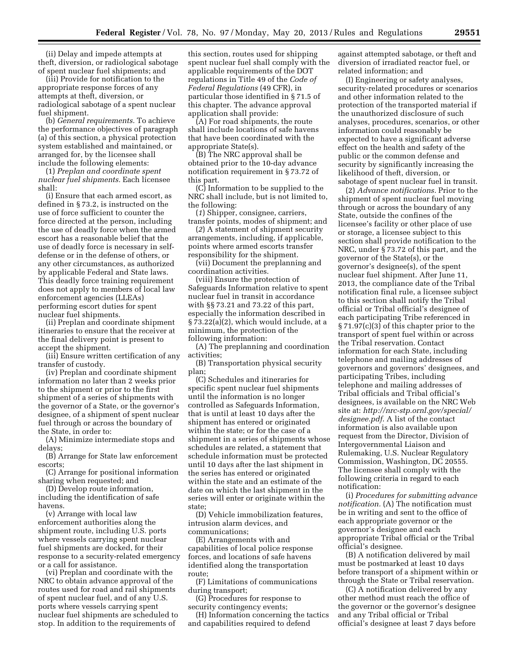(ii) Delay and impede attempts at theft, diversion, or radiological sabotage of spent nuclear fuel shipments; and

(iii) Provide for notification to the appropriate response forces of any attempts at theft, diversion, or radiological sabotage of a spent nuclear fuel shipment.

(b) *General requirements.* To achieve the performance objectives of paragraph (a) of this section, a physical protection system established and maintained, or arranged for, by the licensee shall include the following elements:

(1) *Preplan and coordinate spent nuclear fuel shipments.* Each licensee shall:

(i) Ensure that each armed escort, as defined in § 73.2, is instructed on the use of force sufficient to counter the force directed at the person, including the use of deadly force when the armed escort has a reasonable belief that the use of deadly force is necessary in selfdefense or in the defense of others, or any other circumstances, as authorized by applicable Federal and State laws. This deadly force training requirement does not apply to members of local law enforcement agencies (LLEAs) performing escort duties for spent nuclear fuel shipments.

(ii) Preplan and coordinate shipment itineraries to ensure that the receiver at the final delivery point is present to accept the shipment.

(iii) Ensure written certification of any transfer of custody.

(iv) Preplan and coordinate shipment information no later than 2 weeks prior to the shipment or prior to the first shipment of a series of shipments with the governor of a State, or the governor's designee, of a shipment of spent nuclear fuel through or across the boundary of the State, in order to:

(A) Minimize intermediate stops and delays;

(B) Arrange for State law enforcement escorts;

(C) Arrange for positional information sharing when requested; and

(D) Develop route information, including the identification of safe havens.

(v) Arrange with local law enforcement authorities along the shipment route, including U.S. ports where vessels carrying spent nuclear fuel shipments are docked, for their response to a security-related emergency or a call for assistance.

(vi) Preplan and coordinate with the NRC to obtain advance approval of the routes used for road and rail shipments of spent nuclear fuel, and of any U.S. ports where vessels carrying spent nuclear fuel shipments are scheduled to stop. In addition to the requirements of

this section, routes used for shipping spent nuclear fuel shall comply with the applicable requirements of the DOT regulations in Title 49 of the *Code of Federal Regulations* (49 CFR), in particular those identified in § 71.5 of this chapter. The advance approval application shall provide:

(A) For road shipments, the route shall include locations of safe havens that have been coordinated with the appropriate State(s).

(B) The NRC approval shall be obtained prior to the 10-day advance notification requirement in § 73.72 of this part.

(C) Information to be supplied to the NRC shall include, but is not limited to, the following:

(*1*) Shipper, consignee, carriers, transfer points, modes of shipment; and

(*2*) A statement of shipment security arrangements, including, if applicable, points where armed escorts transfer responsibility for the shipment.

(vii) Document the preplanning and coordination activities.

(viii) Ensure the protection of Safeguards Information relative to spent nuclear fuel in transit in accordance with §§ 73.21 and 73.22 of this part, especially the information described in § 73.22(a)(2), which would include, at a minimum, the protection of the following information:

(A) The preplanning and coordination activities;

(B) Transportation physical security plan;

(C) Schedules and itineraries for specific spent nuclear fuel shipments until the information is no longer controlled as Safeguards Information, that is until at least 10 days after the shipment has entered or originated within the state; or for the case of a shipment in a series of shipments whose schedules are related, a statement that schedule information must be protected until 10 days after the last shipment in the series has entered or originated within the state and an estimate of the date on which the last shipment in the series will enter or originate within the state;

(D) Vehicle immobilization features, intrusion alarm devices, and communications;

(E) Arrangements with and capabilities of local police response forces, and locations of safe havens identified along the transportation route;

(F) Limitations of communications during transport;

(G) Procedures for response to security contingency events;

(H) Information concerning the tactics and capabilities required to defend

against attempted sabotage, or theft and diversion of irradiated reactor fuel, or related information; and

(I) Engineering or safety analyses, security-related procedures or scenarios and other information related to the protection of the transported material if the unauthorized disclosure of such analyses, procedures, scenarios, or other information could reasonably be expected to have a significant adverse effect on the health and safety of the public or the common defense and security by significantly increasing the likelihood of theft, diversion, or sabotage of spent nuclear fuel in transit.

(2) *Advance notifications.* Prior to the shipment of spent nuclear fuel moving through or across the boundary of any State, outside the confines of the licensee's facility or other place of use or storage, a licensee subject to this section shall provide notification to the NRC, under § 73.72 of this part, and the governor of the State(s), or the governor's designee(s), of the spent nuclear fuel shipment. After June 11, 2013, the compliance date of the Tribal notification final rule, a licensee subject to this section shall notify the Tribal official or Tribal official's designee of each participating Tribe referenced in § 71.97(c)(3) of this chapter prior to the transport of spent fuel within or across the Tribal reservation. Contact information for each State, including telephone and mailing addresses of governors and governors' designees, and participating Tribes, including telephone and mailing addresses of Tribal officials and Tribal official's designees, is available on the NRC Web site at: *[http://nrc-stp.ornl.gov/special/](http://nrc-stp.ornl.gov/special/designee.pdf) [designee.pdf](http://nrc-stp.ornl.gov/special/designee.pdf)*. A list of the contact information is also available upon request from the Director, Division of Intergovernmental Liaison and Rulemaking, U.S. Nuclear Regulatory Commission, Washington, DC 20555. The licensee shall comply with the following criteria in regard to each notification:

(i) *Procedures for submitting advance notification.* (A) The notification must be in writing and sent to the office of each appropriate governor or the governor's designee and each appropriate Tribal official or the Tribal official's designee.

(B) A notification delivered by mail must be postmarked at least 10 days before transport of a shipment within or through the State or Tribal reservation.

(C) A notification delivered by any other method must reach the office of the governor or the governor's designee and any Tribal official or Tribal official's designee at least 7 days before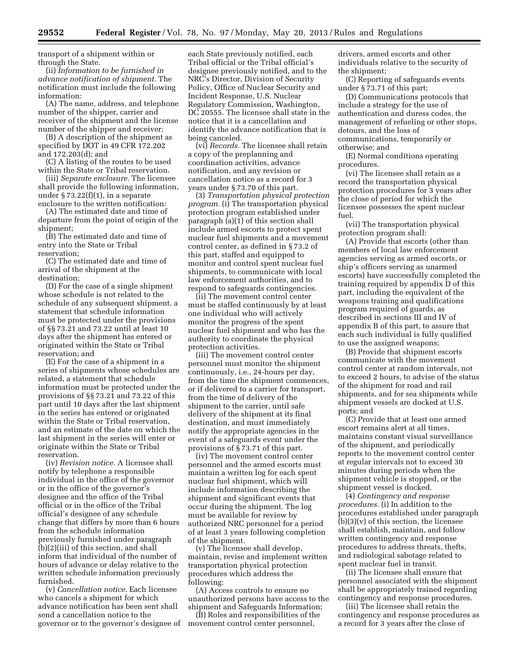transport of a shipment within or through the State.

(ii) *Information to be furnished in advance notification of shipment.* The notification must include the following information:

(A) The name, address, and telephone number of the shipper, carrier and receiver of the shipment and the license number of the shipper and receiver;

(B) A description of the shipment as specified by DOT in 49 CFR 172.202 and 172.203(d); and

(C) A listing of the routes to be used within the State or Tribal reservation.

(iii) *Separate enclosure.* The licensee shall provide the following information, under  $\S 73.22(f)(1)$ , in a separate enclosure to the written notification:

(A) The estimated date and time of departure from the point of origin of the shipment;

(B) The estimated date and time of entry into the State or Tribal reservation;

(C) The estimated date and time of arrival of the shipment at the destination;

(D) For the case of a single shipment whose schedule is not related to the schedule of any subsequent shipment, a statement that schedule information must be protected under the provisions of §§ 73.21 and 73.22 until at least 10 days after the shipment has entered or originated within the State or Tribal reservation; and

(E) For the case of a shipment in a series of shipments whose schedules are related, a statement that schedule information must be protected under the provisions of §§ 73.21 and 73.22 of this part until 10 days after the last shipment in the series has entered or originated within the State or Tribal reservation, and an estimate of the date on which the last shipment in the series will enter or originate within the State or Tribal reservation.

(iv) *Revision notice.* A licensee shall notify by telephone a responsible individual in the office of the governor or in the office of the governor's designee and the office of the Tribal official or in the office of the Tribal official's designee of any schedule change that differs by more than 6 hours from the schedule information previously furnished under paragraph (b)(2)(iii) of this section, and shall inform that individual of the number of hours of advance or delay relative to the written schedule information previously furnished.

(v) *Cancellation notice.* Each licensee who cancels a shipment for which advance notification has been sent shall send a cancellation notice to the governor or to the governor's designee of

each State previously notified, each Tribal official or the Tribal official's designee previously notified, and to the NRC's Director, Division of Security Policy, Office of Nuclear Security and Incident Response, U.S. Nuclear Regulatory Commission, Washington, DC 20555. The licensee shall state in the notice that it is a cancellation and identify the advance notification that is being canceled.

(vi) *Records.* The licensee shall retain a copy of the preplanning and coordination activities, advance notification, and any revision or cancellation notice as a record for 3 years under § 73.70 of this part.

(3) *Transportation physical protection program.* (i) The transportation physical protection program established under paragraph (a)(1) of this section shall include armed escorts to protect spent nuclear fuel shipments and a movement control center, as defined in § 73.2 of this part, staffed and equipped to monitor and control spent nuclear fuel shipments, to communicate with local law enforcement authorities, and to respond to safeguards contingencies.

(ii) The movement control center must be staffed continuously by at least one individual who will actively monitor the progress of the spent nuclear fuel shipment and who has the authority to coordinate the physical protection activities.

(iii) The movement control center personnel must monitor the shipment continuously, i.e., 24-hours per day, from the time the shipment commences, or if delivered to a carrier for transport, from the time of delivery of the shipment to the carrier, until safe delivery of the shipment at its final destination, and must immediately notify the appropriate agencies in the event of a safeguards event under the provisions of § 73.71 of this part.

(iv) The movement control center personnel and the armed escorts must maintain a written log for each spent nuclear fuel shipment, which will include information describing the shipment and significant events that occur during the shipment. The log must be available for review by authorized NRC personnel for a period of at least 3 years following completion of the shipment.

(v) The licensee shall develop, maintain, revise and implement written transportation physical protection procedures which address the following:

(A) Access controls to ensure no unauthorized persons have access to the shipment and Safeguards Information;

(B) Roles and responsibilities of the movement control center personnel,

drivers, armed escorts and other individuals relative to the security of the shipment;

(C) Reporting of safeguards events under § 73.71 of this part;

(D) Communications protocols that include a strategy for the use of authentication and duress codes, the management of refueling or other stops, detours, and the loss of communications, temporarily or otherwise; and

(E) Normal conditions operating procedures.

(vi) The licensee shall retain as a record the transportation physical protection procedures for 3 years after the close of period for which the licensee possesses the spent nuclear fuel.

(vii) The transportation physical protection program shall:

(A) Provide that escorts (other than members of local law enforcement agencies serving as armed escorts, or ship's officers serving as unarmed escorts) have successfully completed the training required by appendix D of this part, including the equivalent of the weapons training and qualifications program required of guards, as described in sections III and IV of appendix B of this part, to assure that each such individual is fully qualified to use the assigned weapons;

(B) Provide that shipment escorts communicate with the movement control center at random intervals, not to exceed 2 hours, to advise of the status of the shipment for road and rail shipments, and for sea shipments while shipment vessels are docked at U.S. ports; and

(C) Provide that at least one armed escort remains alert at all times, maintains constant visual surveillance of the shipment, and periodically reports to the movement control center at regular intervals not to exceed 30 minutes during periods when the shipment vehicle is stopped, or the shipment vessel is docked.

(4) *Contingency and response procedures.* (i) In addition to the procedures established under paragraph  $(b)(3)(v)$  of this section, the licensee shall establish, maintain, and follow written contingency and response procedures to address threats, thefts, and radiological sabotage related to spent nuclear fuel in transit.

(ii) The licensee shall ensure that personnel associated with the shipment shall be appropriately trained regarding contingency and response procedures.

(iii) The licensee shall retain the contingency and response procedures as a record for 3 years after the close of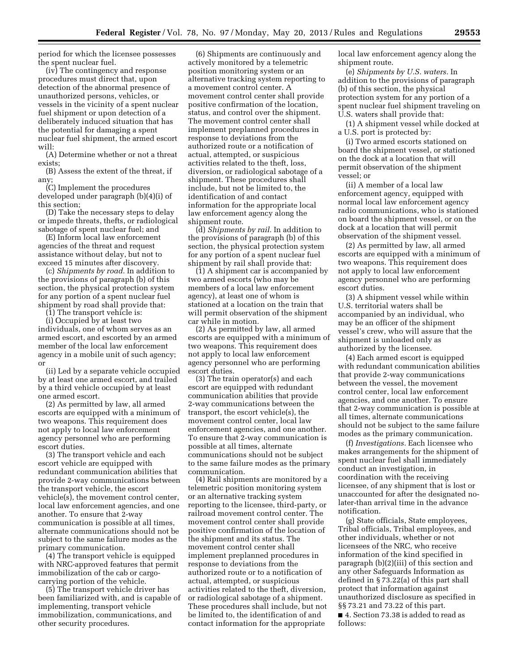period for which the licensee possesses the spent nuclear fuel.

(iv) The contingency and response procedures must direct that, upon detection of the abnormal presence of unauthorized persons, vehicles, or vessels in the vicinity of a spent nuclear fuel shipment or upon detection of a deliberately induced situation that has the potential for damaging a spent nuclear fuel shipment, the armed escort will:

(A) Determine whether or not a threat exists;

(B) Assess the extent of the threat, if any;

(C) Implement the procedures developed under paragraph (b)(4)(i) of this section;

(D) Take the necessary steps to delay or impede threats, thefts, or radiological sabotage of spent nuclear fuel; and

(E) Inform local law enforcement agencies of the threat and request assistance without delay, but not to exceed 15 minutes after discovery.

(c) *Shipments by road.* In addition to the provisions of paragraph (b) of this section, the physical protection system for any portion of a spent nuclear fuel shipment by road shall provide that:

(1) The transport vehicle is:

(i) Occupied by at least two individuals, one of whom serves as an armed escort, and escorted by an armed member of the local law enforcement agency in a mobile unit of such agency; or

(ii) Led by a separate vehicle occupied by at least one armed escort, and trailed by a third vehicle occupied by at least one armed escort.

(2) As permitted by law, all armed escorts are equipped with a minimum of two weapons. This requirement does not apply to local law enforcement agency personnel who are performing escort duties.

(3) The transport vehicle and each escort vehicle are equipped with redundant communication abilities that provide 2-way communications between the transport vehicle, the escort vehicle(s), the movement control center, local law enforcement agencies, and one another. To ensure that 2-way communication is possible at all times, alternate communications should not be subject to the same failure modes as the primary communication.

(4) The transport vehicle is equipped with NRC-approved features that permit immobilization of the cab or cargocarrying portion of the vehicle.

(5) The transport vehicle driver has been familiarized with, and is capable of implementing, transport vehicle immobilization, communications, and other security procedures.

(6) Shipments are continuously and actively monitored by a telemetric position monitoring system or an alternative tracking system reporting to a movement control center. A movement control center shall provide positive confirmation of the location, status, and control over the shipment. The movement control center shall implement preplanned procedures in response to deviations from the authorized route or a notification of actual, attempted, or suspicious activities related to the theft, loss, diversion, or radiological sabotage of a shipment. These procedures shall include, but not be limited to, the identification of and contact information for the appropriate local law enforcement agency along the shipment route.

(d) *Shipments by rail.* In addition to the provisions of paragraph (b) of this section, the physical protection system for any portion of a spent nuclear fuel shipment by rail shall provide that:

(1) A shipment car is accompanied by two armed escorts (who may be members of a local law enforcement agency), at least one of whom is stationed at a location on the train that will permit observation of the shipment car while in motion.

(2) As permitted by law, all armed escorts are equipped with a minimum of two weapons. This requirement does not apply to local law enforcement agency personnel who are performing escort duties.

(3) The train operator(s) and each escort are equipped with redundant communication abilities that provide 2-way communications between the transport, the escort vehicle(s), the movement control center, local law enforcement agencies, and one another. To ensure that 2-way communication is possible at all times, alternate communications should not be subject to the same failure modes as the primary communication.

(4) Rail shipments are monitored by a telemetric position monitoring system or an alternative tracking system reporting to the licensee, third-party, or railroad movement control center. The movement control center shall provide positive confirmation of the location of the shipment and its status. The movement control center shall implement preplanned procedures in response to deviations from the authorized route or to a notification of actual, attempted, or suspicious activities related to the theft, diversion, or radiological sabotage of a shipment. These procedures shall include, but not be limited to, the identification of and contact information for the appropriate

local law enforcement agency along the shipment route.

(e) *Shipments by U.S. waters.* In addition to the provisions of paragraph (b) of this section, the physical protection system for any portion of a spent nuclear fuel shipment traveling on U.S. waters shall provide that:

(1) A shipment vessel while docked at a U.S. port is protected by:

(i) Two armed escorts stationed on board the shipment vessel, or stationed on the dock at a location that will permit observation of the shipment vessel; or

(ii) A member of a local law enforcement agency, equipped with normal local law enforcement agency radio communications, who is stationed on board the shipment vessel, or on the dock at a location that will permit observation of the shipment vessel.

(2) As permitted by law, all armed escorts are equipped with a minimum of two weapons. This requirement does not apply to local law enforcement agency personnel who are performing escort duties.

(3) A shipment vessel while within U.S. territorial waters shall be accompanied by an individual, who may be an officer of the shipment vessel's crew, who will assure that the shipment is unloaded only as authorized by the licensee.

(4) Each armed escort is equipped with redundant communication abilities that provide 2-way communications between the vessel, the movement control center, local law enforcement agencies, and one another. To ensure that 2-way communication is possible at all times, alternate communications should not be subject to the same failure modes as the primary communication.

(f) *Investigations.* Each licensee who makes arrangements for the shipment of spent nuclear fuel shall immediately conduct an investigation, in coordination with the receiving licensee, of any shipment that is lost or unaccounted for after the designated nolater-than arrival time in the advance notification.

(g) State officials, State employees, Tribal officials, Tribal employees, and other individuals, whether or not licensees of the NRC, who receive information of the kind specified in paragraph (b)(2)(iii) of this section and any other Safeguards Information as defined in § 73.22(a) of this part shall protect that information against unauthorized disclosure as specified in §§ 73.21 and 73.22 of this part. ■ 4. Section 73.38 is added to read as follows: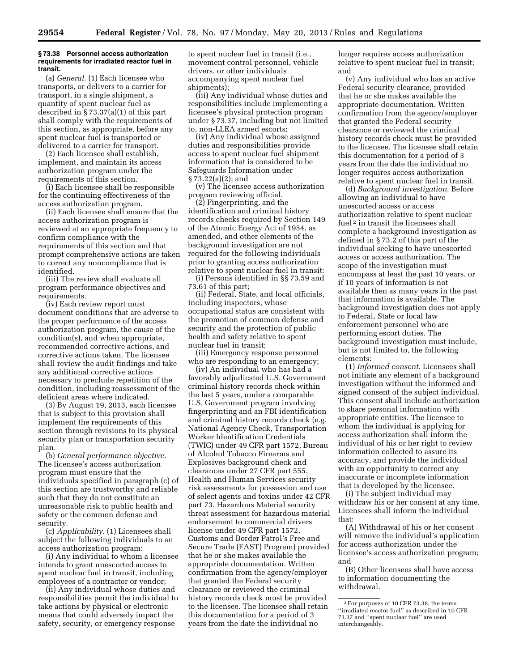#### **§ 73.38 Personnel access authorization requirements for irradiated reactor fuel in transit.**

(a) *General.* (1) Each licensee who transports, or delivers to a carrier for transport, in a single shipment, a quantity of spent nuclear fuel as described in § 73.37(a)(1) of this part shall comply with the requirements of this section, as appropriate, before any spent nuclear fuel is transported or delivered to a carrier for transport.

(2) Each licensee shall establish, implement, and maintain its access authorization program under the requirements of this section.

(i) Each licensee shall be responsible for the continuing effectiveness of the access authorization program.

(ii) Each licensee shall ensure that the access authorization program is reviewed at an appropriate frequency to confirm compliance with the requirements of this section and that prompt comprehensive actions are taken to correct any noncompliance that is identified.

(iii) The review shall evaluate all program performance objectives and requirements.

(iv) Each review report must document conditions that are adverse to the proper performance of the access authorization program, the cause of the condition(s), and when appropriate, recommended corrective actions, and corrective actions taken. The licensee shall review the audit findings and take any additional corrective actions necessary to preclude repetition of the condition, including reassessment of the deficient areas where indicated.

(3) By August 19, 2013, each licensee that is subject to this provision shall implement the requirements of this section through revisions to its physical security plan or transportation security plan.

(b) *General performance objective.*  The licensee's access authorization program must ensure that the individuals specified in paragraph (c) of this section are trustworthy and reliable such that they do not constitute an unreasonable risk to public health and safety or the common defense and security.

(c) *Applicability.* (1) Licensees shall subject the following individuals to an access authorization program:

(i) Any individual to whom a licensee intends to grant unescorted access to spent nuclear fuel in transit, including employees of a contractor or vendor;

(ii) Any individual whose duties and responsibilities permit the individual to take actions by physical or electronic means that could adversely impact the safety, security, or emergency response

to spent nuclear fuel in transit (i.e., movement control personnel, vehicle drivers, or other individuals accompanying spent nuclear fuel shipments);

(iii) Any individual whose duties and responsibilities include implementing a licensee's physical protection program under § 73.37, including but not limited to, non-LLEA armed escorts;

(iv) Any individual whose assigned duties and responsibilities provide access to spent nuclear fuel shipment information that is considered to be Safeguards Information under § 73.22(a)(2); and

(v) The licensee access authorization program reviewing official.

(2) Fingerprinting, and the identification and criminal history records checks required by Section 149 of the Atomic Energy Act of 1954, as amended, and other elements of the background investigation are not required for the following individuals prior to granting access authorization relative to spent nuclear fuel in transit:

(i) Persons identified in §§ 73.59 and 73.61 of this part;

(ii) Federal, State, and local officials, including inspectors, whose occupational status are consistent with the promotion of common defense and security and the protection of public health and safety relative to spent nuclear fuel in transit;

(iii) Emergency response personnel who are responding to an emergency;

(iv) An individual who has had a favorably adjudicated U.S. Government criminal history records check within the last 5 years, under a comparable U.S. Government program involving fingerprinting and an FBI identification and criminal history records check (e.g. National Agency Check, Transportation Worker Identification Credentials (TWIC) under 49 CFR part 1572, Bureau of Alcohol Tobacco Firearms and Explosives background check and clearances under 27 CFR part 555, Health and Human Services security risk assessments for possession and use of select agents and toxins under 42 CFR part 73, Hazardous Material security threat assessment for hazardous material endorsement to commercial drivers license under 49 CFR part 1572, Customs and Border Patrol's Free and Secure Trade (FAST) Program) provided that he or she makes available the appropriate documentation. Written confirmation from the agency/employer that granted the Federal security clearance or reviewed the criminal history records check must be provided to the licensee. The licensee shall retain this documentation for a period of 3 years from the date the individual no

longer requires access authorization relative to spent nuclear fuel in transit; and

(v) Any individual who has an active Federal security clearance, provided that he or she makes available the appropriate documentation. Written confirmation from the agency/employer that granted the Federal security clearance or reviewed the criminal history records check must be provided to the licensee. The licensee shall retain this documentation for a period of 3 years from the date the individual no longer requires access authorization relative to spent nuclear fuel in transit.

(d) *Background investigation.* Before allowing an individual to have unescorted access or access authorization relative to spent nuclear fuel<sup>2</sup> in transit the licensees shall complete a background investigation as defined in § 73.2 of this part of the individual seeking to have unescorted access or access authorization. The scope of the investigation must encompass at least the past 10 years, or if 10 years of information is not available then as many years in the past that information is available. The background investigation does not apply to Federal, State or local law enforcement personnel who are performing escort duties. The background investigation must include, but is not limited to, the following elements:

(1) *Informed consent.* Licensees shall not initiate any element of a background investigation without the informed and signed consent of the subject individual. This consent shall include authorization to share personal information with appropriate entities. The licensee to whom the individual is applying for access authorization shall inform the individual of his or her right to review information collected to assure its accuracy, and provide the individual with an opportunity to correct any inaccurate or incomplete information that is developed by the licensee.

(i) The subject individual may withdraw his or her consent at any time. Licensees shall inform the individual that:

(A) Withdrawal of his or her consent will remove the individual's application for access authorization under the licensee's access authorization program; and

(B) Other licensees shall have access to information documenting the withdrawal.

<sup>2</sup>For purposes of 10 CFR 73.38, the terms ''irradiated reactor fuel'' as described in 10 CFR 73.37 and ''spent nuclear fuel'' are used interchangeably.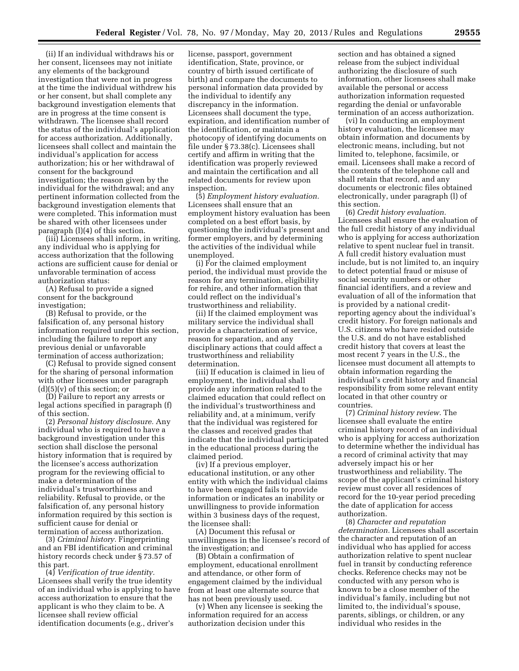(ii) If an individual withdraws his or her consent, licensees may not initiate any elements of the background investigation that were not in progress at the time the individual withdrew his or her consent, but shall complete any background investigation elements that are in progress at the time consent is withdrawn. The licensee shall record the status of the individual's application for access authorization. Additionally, licensees shall collect and maintain the individual's application for access authorization; his or her withdrawal of consent for the background investigation; the reason given by the individual for the withdrawal; and any pertinent information collected from the background investigation elements that were completed. This information must be shared with other licensees under paragraph (l)(4) of this section.

(iii) Licensees shall inform, in writing, any individual who is applying for access authorization that the following actions are sufficient cause for denial or unfavorable termination of access authorization status:

(A) Refusal to provide a signed consent for the background investigation;

(B) Refusal to provide, or the falsification of, any personal history information required under this section, including the failure to report any previous denial or unfavorable termination of access authorization;

(C) Refusal to provide signed consent for the sharing of personal information with other licensees under paragraph  $(d)(5)(v)$  of this section; or

(D) Failure to report any arrests or legal actions specified in paragraph (f) of this section.

(2) *Personal history disclosure.* Any individual who is required to have a background investigation under this section shall disclose the personal history information that is required by the licensee's access authorization program for the reviewing official to make a determination of the individual's trustworthiness and reliability. Refusal to provide, or the falsification of, any personal history information required by this section is sufficient cause for denial or termination of access authorization.

(3) *Criminal history.* Fingerprinting and an FBI identification and criminal history records check under § 73.57 of this part.

(4) *Verification of true identity.*  Licensees shall verify the true identity of an individual who is applying to have access authorization to ensure that the applicant is who they claim to be. A licensee shall review official identification documents (e.g., driver's

license, passport, government identification, State, province, or country of birth issued certificate of birth) and compare the documents to personal information data provided by the individual to identify any discrepancy in the information. Licensees shall document the type, expiration, and identification number of the identification, or maintain a photocopy of identifying documents on file under § 73.38(c). Licensees shall certify and affirm in writing that the identification was properly reviewed and maintain the certification and all related documents for review upon inspection.

(5) *Employment history evaluation.*  Licensees shall ensure that an employment history evaluation has been completed on a best effort basis, by questioning the individual's present and former employers, and by determining the activities of the individual while unemployed.

(i) For the claimed employment period, the individual must provide the reason for any termination, eligibility for rehire, and other information that could reflect on the individual's trustworthiness and reliability.

(ii) If the claimed employment was military service the individual shall provide a characterization of service, reason for separation, and any disciplinary actions that could affect a trustworthiness and reliability determination.

(iii) If education is claimed in lieu of employment, the individual shall provide any information related to the claimed education that could reflect on the individual's trustworthiness and reliability and, at a minimum, verify that the individual was registered for the classes and received grades that indicate that the individual participated in the educational process during the claimed period.

(iv) If a previous employer, educational institution, or any other entity with which the individual claims to have been engaged fails to provide information or indicates an inability or unwillingness to provide information within 3 business days of the request, the licensee shall:

(A) Document this refusal or unwillingness in the licensee's record of the investigation; and

(B) Obtain a confirmation of employment, educational enrollment and attendance, or other form of engagement claimed by the individual from at least one alternate source that has not been previously used.

(v) When any licensee is seeking the information required for an access authorization decision under this

section and has obtained a signed release from the subject individual authorizing the disclosure of such information, other licensees shall make available the personal or access authorization information requested regarding the denial or unfavorable termination of an access authorization.

(vi) In conducting an employment history evaluation, the licensee may obtain information and documents by electronic means, including, but not limited to, telephone, facsimile, or email. Licensees shall make a record of the contents of the telephone call and shall retain that record, and any documents or electronic files obtained electronically, under paragraph (l) of this section.

(6) *Credit history evaluation.*  Licensees shall ensure the evaluation of the full credit history of any individual who is applying for access authorization relative to spent nuclear fuel in transit. A full credit history evaluation must include, but is not limited to, an inquiry to detect potential fraud or misuse of social security numbers or other financial identifiers, and a review and evaluation of all of the information that is provided by a national creditreporting agency about the individual's credit history. For foreign nationals and U.S. citizens who have resided outside the U.S. and do not have established credit history that covers at least the most recent 7 years in the U.S., the licensee must document all attempts to obtain information regarding the individual's credit history and financial responsibility from some relevant entity located in that other country or countries.

(7) *Criminal history review.* The licensee shall evaluate the entire criminal history record of an individual who is applying for access authorization to determine whether the individual has a record of criminal activity that may adversely impact his or her trustworthiness and reliability. The scope of the applicant's criminal history review must cover all residences of record for the 10-year period preceding the date of application for access authorization.

(8) *Character and reputation determination.* Licensees shall ascertain the character and reputation of an individual who has applied for access authorization relative to spent nuclear fuel in transit by conducting reference checks. Reference checks may not be conducted with any person who is known to be a close member of the individual's family, including but not limited to, the individual's spouse, parents, siblings, or children, or any individual who resides in the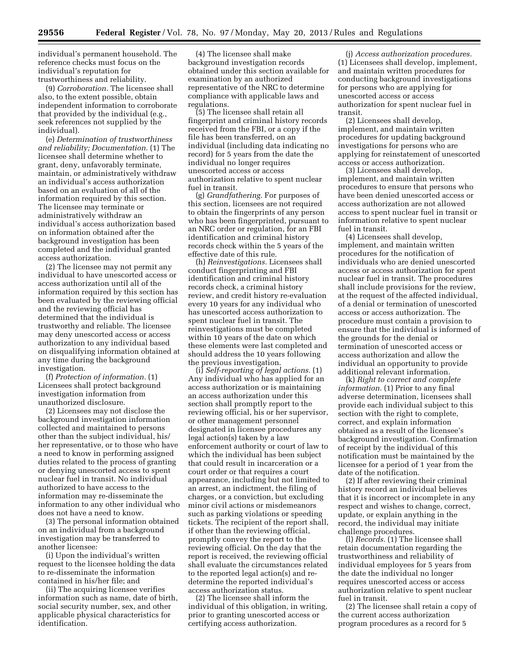individual's permanent household. The reference checks must focus on the individual's reputation for trustworthiness and reliability.

(9) *Corroboration.* The licensee shall also, to the extent possible, obtain independent information to corroborate that provided by the individual (e.g., seek references not supplied by the individual).

(e) *Determination of trustworthiness and reliability; Documentation.* (1) The licensee shall determine whether to grant, deny, unfavorably terminate, maintain, or administratively withdraw an individual's access authorization based on an evaluation of all of the information required by this section. The licensee may terminate or administratively withdraw an individual's access authorization based on information obtained after the background investigation has been completed and the individual granted access authorization.

(2) The licensee may not permit any individual to have unescorted access or access authorization until all of the information required by this section has been evaluated by the reviewing official and the reviewing official has determined that the individual is trustworthy and reliable. The licensee may deny unescorted access or access authorization to any individual based on disqualifying information obtained at any time during the background investigation.

(f) *Protection of information.* (1) Licensees shall protect background investigation information from unauthorized disclosure.

(2) Licensees may not disclose the background investigation information collected and maintained to persons other than the subject individual, his/ her representative, or to those who have a need to know in performing assigned duties related to the process of granting or denying unescorted access to spent nuclear fuel in transit. No individual authorized to have access to the information may re-disseminate the information to any other individual who does not have a need to know.

(3) The personal information obtained on an individual from a background investigation may be transferred to another licensee:

(i) Upon the individual's written request to the licensee holding the data to re-disseminate the information contained in his/her file; and

(ii) The acquiring licensee verifies information such as name, date of birth, social security number, sex, and other applicable physical characteristics for identification.

(4) The licensee shall make background investigation records obtained under this section available for examination by an authorized representative of the NRC to determine compliance with applicable laws and regulations.

(5) The licensee shall retain all fingerprint and criminal history records received from the FBI, or a copy if the file has been transferred, on an individual (including data indicating no record) for 5 years from the date the individual no longer requires unescorted access or access authorization relative to spent nuclear fuel in transit.

(g) *Grandfathering.* For purposes of this section, licensees are not required to obtain the fingerprints of any person who has been fingerprinted, pursuant to an NRC order or regulation, for an FBI identification and criminal history records check within the 5 years of the effective date of this rule.

(h) *Reinvestigations.* Licensees shall conduct fingerprinting and FBI identification and criminal history records check, a criminal history review, and credit history re-evaluation every 10 years for any individual who has unescorted access authorization to spent nuclear fuel in transit. The reinvestigations must be completed within 10 years of the date on which these elements were last completed and should address the 10 years following the previous investigation.

(i) *Self-reporting of legal actions.* (1) Any individual who has applied for an access authorization or is maintaining an access authorization under this section shall promptly report to the reviewing official, his or her supervisor, or other management personnel designated in licensee procedures any legal action(s) taken by a law enforcement authority or court of law to which the individual has been subject that could result in incarceration or a court order or that requires a court appearance, including but not limited to an arrest, an indictment, the filing of charges, or a conviction, but excluding minor civil actions or misdemeanors such as parking violations or speeding tickets. The recipient of the report shall, if other than the reviewing official, promptly convey the report to the reviewing official. On the day that the report is received, the reviewing official shall evaluate the circumstances related to the reported legal action(s) and redetermine the reported individual's access authorization status.

(2) The licensee shall inform the individual of this obligation, in writing, prior to granting unescorted access or certifying access authorization.

(j) *Access authorization procedures.*  (1) Licensees shall develop, implement, and maintain written procedures for conducting background investigations for persons who are applying for unescorted access or access authorization for spent nuclear fuel in transit.

(2) Licensees shall develop, implement, and maintain written procedures for updating background investigations for persons who are applying for reinstatement of unescorted access or access authorization.

(3) Licensees shall develop, implement, and maintain written procedures to ensure that persons who have been denied unescorted access or access authorization are not allowed access to spent nuclear fuel in transit or information relative to spent nuclear fuel in transit.

(4) Licensees shall develop, implement, and maintain written procedures for the notification of individuals who are denied unescorted access or access authorization for spent nuclear fuel in transit. The procedures shall include provisions for the review, at the request of the affected individual, of a denial or termination of unescorted access or access authorization. The procedure must contain a provision to ensure that the individual is informed of the grounds for the denial or termination of unescorted access or access authorization and allow the individual an opportunity to provide additional relevant information.

(k) *Right to correct and complete information.* (1) Prior to any final adverse determination, licensees shall provide each individual subject to this section with the right to complete, correct, and explain information obtained as a result of the licensee's background investigation. Confirmation of receipt by the individual of this notification must be maintained by the licensee for a period of 1 year from the date of the notification.

(2) If after reviewing their criminal history record an individual believes that it is incorrect or incomplete in any respect and wishes to change, correct, update, or explain anything in the record, the individual may initiate challenge procedures.

(l) *Records.* (1) The licensee shall retain documentation regarding the trustworthiness and reliability of individual employees for 5 years from the date the individual no longer requires unescorted access or access authorization relative to spent nuclear fuel in transit.

(2) The licensee shall retain a copy of the current access authorization program procedures as a record for 5